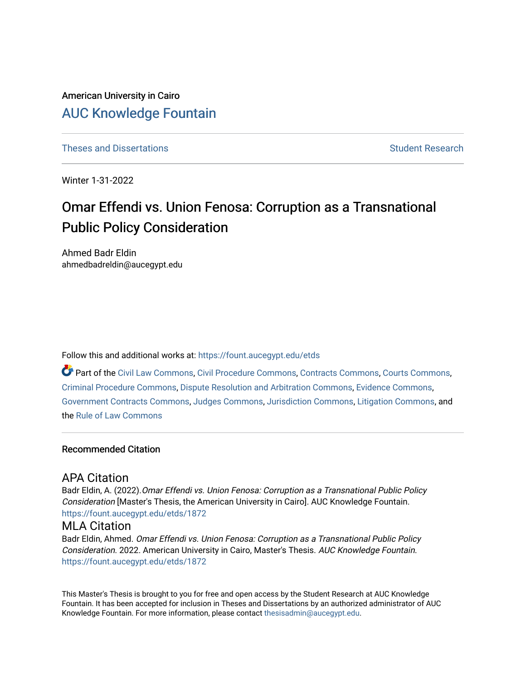# American University in Cairo [AUC Knowledge Fountain](https://fount.aucegypt.edu/)

[Theses and Dissertations](https://fount.aucegypt.edu/etds) Student Research

Winter 1-31-2022

# Omar Effendi vs. Union Fenosa: Corruption as a Transnational Public Policy Consideration

Ahmed Badr Eldin ahmedbadreldin@aucegypt.edu

Follow this and additional works at: [https://fount.aucegypt.edu/etds](https://fount.aucegypt.edu/etds?utm_source=fount.aucegypt.edu%2Fetds%2F1872&utm_medium=PDF&utm_campaign=PDFCoverPages) 

Part of the [Civil Law Commons](http://network.bepress.com/hgg/discipline/835?utm_source=fount.aucegypt.edu%2Fetds%2F1872&utm_medium=PDF&utm_campaign=PDFCoverPages), [Civil Procedure Commons,](http://network.bepress.com/hgg/discipline/584?utm_source=fount.aucegypt.edu%2Fetds%2F1872&utm_medium=PDF&utm_campaign=PDFCoverPages) [Contracts Commons](http://network.bepress.com/hgg/discipline/591?utm_source=fount.aucegypt.edu%2Fetds%2F1872&utm_medium=PDF&utm_campaign=PDFCoverPages), [Courts Commons](http://network.bepress.com/hgg/discipline/839?utm_source=fount.aucegypt.edu%2Fetds%2F1872&utm_medium=PDF&utm_campaign=PDFCoverPages), [Criminal Procedure Commons,](http://network.bepress.com/hgg/discipline/1073?utm_source=fount.aucegypt.edu%2Fetds%2F1872&utm_medium=PDF&utm_campaign=PDFCoverPages) [Dispute Resolution and Arbitration Commons](http://network.bepress.com/hgg/discipline/890?utm_source=fount.aucegypt.edu%2Fetds%2F1872&utm_medium=PDF&utm_campaign=PDFCoverPages), [Evidence Commons](http://network.bepress.com/hgg/discipline/601?utm_source=fount.aucegypt.edu%2Fetds%2F1872&utm_medium=PDF&utm_campaign=PDFCoverPages), [Government Contracts Commons,](http://network.bepress.com/hgg/discipline/845?utm_source=fount.aucegypt.edu%2Fetds%2F1872&utm_medium=PDF&utm_campaign=PDFCoverPages) [Judges Commons](http://network.bepress.com/hgg/discipline/849?utm_source=fount.aucegypt.edu%2Fetds%2F1872&utm_medium=PDF&utm_campaign=PDFCoverPages), [Jurisdiction Commons,](http://network.bepress.com/hgg/discipline/850?utm_source=fount.aucegypt.edu%2Fetds%2F1872&utm_medium=PDF&utm_campaign=PDFCoverPages) [Litigation Commons](http://network.bepress.com/hgg/discipline/910?utm_source=fount.aucegypt.edu%2Fetds%2F1872&utm_medium=PDF&utm_campaign=PDFCoverPages), and the [Rule of Law Commons](http://network.bepress.com/hgg/discipline/1122?utm_source=fount.aucegypt.edu%2Fetds%2F1872&utm_medium=PDF&utm_campaign=PDFCoverPages) 

### Recommended Citation

# APA Citation

Badr Eldin, A. (2022).Omar Effendi vs. Union Fenosa: Corruption as a Transnational Public Policy Consideration [Master's Thesis, the American University in Cairo]. AUC Knowledge Fountain. [https://fount.aucegypt.edu/etds/1872](https://fount.aucegypt.edu/etds/1872?utm_source=fount.aucegypt.edu%2Fetds%2F1872&utm_medium=PDF&utm_campaign=PDFCoverPages)

# MLA Citation

Badr Eldin, Ahmed. Omar Effendi vs. Union Fenosa: Corruption as a Transnational Public Policy Consideration. 2022. American University in Cairo, Master's Thesis. AUC Knowledge Fountain. [https://fount.aucegypt.edu/etds/1872](https://fount.aucegypt.edu/etds/1872?utm_source=fount.aucegypt.edu%2Fetds%2F1872&utm_medium=PDF&utm_campaign=PDFCoverPages)

This Master's Thesis is brought to you for free and open access by the Student Research at AUC Knowledge Fountain. It has been accepted for inclusion in Theses and Dissertations by an authorized administrator of AUC Knowledge Fountain. For more information, please contact [thesisadmin@aucegypt.edu.](mailto:thesisadmin@aucegypt.edu)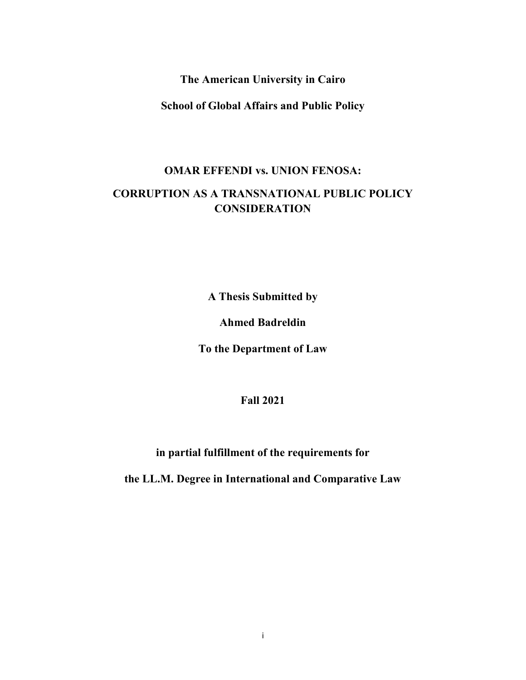**The American University in Cairo** 

**School of Global Affairs and Public Policy** 

# **OMAR EFFENDI vs. UNION FENOSA: CORRUPTION AS A TRANSNATIONAL PUBLIC POLICY CONSIDERATION**

**A Thesis Submitted by** 

**Ahmed Badreldin** 

**To the Department of Law** 

**Fall 2021** 

**in partial fulfillment of the requirements for** 

**the LL.M. Degree in International and Comparative Law**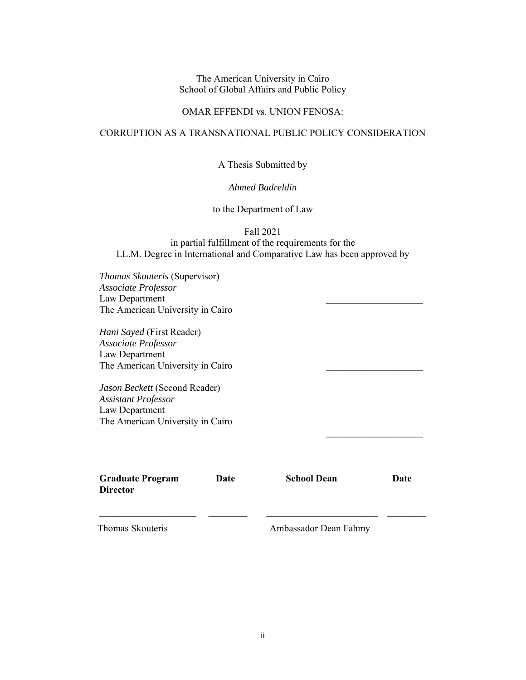### The American University in Cairo School of Global Affairs and Public Policy

### OMAR EFFENDI vs. UNION FENOSA:

# CORRUPTION AS A TRANSNATIONAL PUBLIC POLICY CONSIDERATION

A Thesis Submitted by

*Ahmed Badreldin* 

to the Department of Law

Fall 2021

in partial fulfillment of the requirements for the LL.M. Degree in International and Comparative Law has been approved by

*Thomas Skouteris* (Supervisor) *Associate Professor* Law Department The American University in Cairo

*Hani Sayed* (First Reader) *Associate Professor* Law Department The American University in Cairo

*Jason Beckett* (Second Reader) *Assistant Professor* Law Department The American University in Cairo

**Graduate Program Director** 

**Date School Dean Date** 

 $\overline{\phantom{a}}$  , where  $\overline{\phantom{a}}$  , where  $\overline{\phantom{a}}$ 

 $\mathcal{L}_\text{max}$ 

Thomas Skouteris **Ambassador Dean Fahmy** 

**\_\_\_\_\_\_\_\_\_\_\_\_\_\_\_\_\_\_\_\_ \_\_\_\_\_\_\_\_ \_\_\_\_\_\_\_\_\_\_\_\_\_\_\_\_\_\_\_\_\_\_\_ \_\_\_\_\_\_\_\_**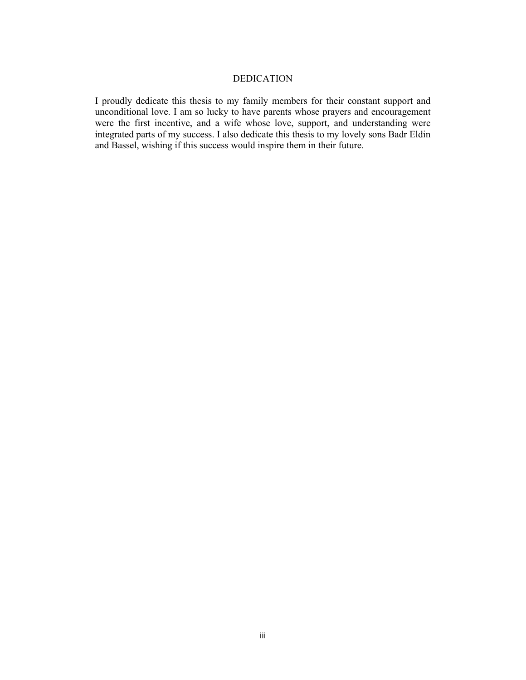## DEDICATION

I proudly dedicate this thesis to my family members for their constant support and unconditional love. I am so lucky to have parents whose prayers and encouragement were the first incentive, and a wife whose love, support, and understanding were integrated parts of my success. I also dedicate this thesis to my lovely sons Badr Eldin and Bassel, wishing if this success would inspire them in their future.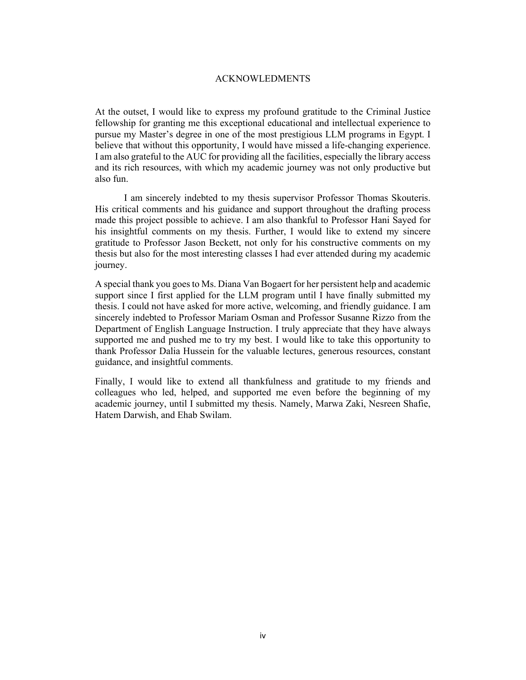### ACKNOWLEDMENTS

At the outset, I would like to express my profound gratitude to the Criminal Justice fellowship for granting me this exceptional educational and intellectual experience to pursue my Master's degree in one of the most prestigious LLM programs in Egypt. I believe that without this opportunity, I would have missed a life-changing experience. I am also grateful to the AUC for providing all the facilities, especially the library access and its rich resources, with which my academic journey was not only productive but also fun.

 I am sincerely indebted to my thesis supervisor Professor Thomas Skouteris. His critical comments and his guidance and support throughout the drafting process made this project possible to achieve. I am also thankful to Professor Hani Sayed for his insightful comments on my thesis. Further, I would like to extend my sincere gratitude to Professor Jason Beckett, not only for his constructive comments on my thesis but also for the most interesting classes I had ever attended during my academic journey.

A special thank you goes to Ms. Diana Van Bogaert for her persistent help and academic support since I first applied for the LLM program until I have finally submitted my thesis. I could not have asked for more active, welcoming, and friendly guidance. I am sincerely indebted to Professor Mariam Osman and Professor Susanne Rizzo from the Department of English Language Instruction. I truly appreciate that they have always supported me and pushed me to try my best. I would like to take this opportunity to thank Professor Dalia Hussein for the valuable lectures, generous resources, constant guidance, and insightful comments.

Finally, I would like to extend all thankfulness and gratitude to my friends and colleagues who led, helped, and supported me even before the beginning of my academic journey, until I submitted my thesis. Namely, Marwa Zaki, Nesreen Shafie, Hatem Darwish, and Ehab Swilam.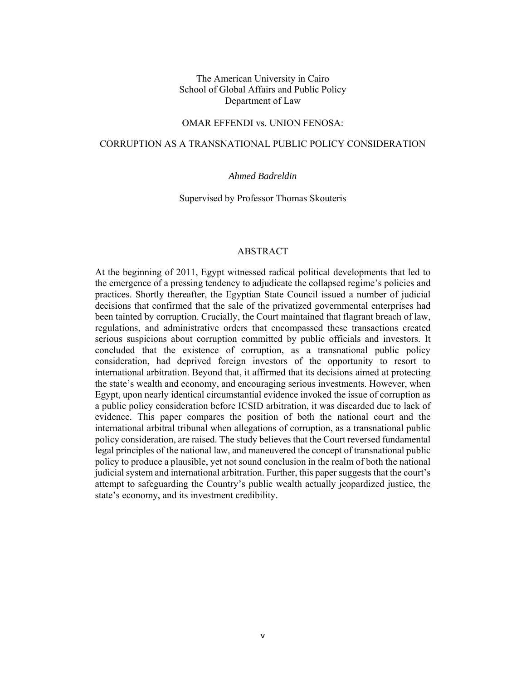### The American University in Cairo School of Global Affairs and Public Policy Department of Law

### OMAR EFFENDI vs. UNION FENOSA:

### CORRUPTION AS A TRANSNATIONAL PUBLIC POLICY CONSIDERATION

### *Ahmed Badreldin*

Supervised by Professor Thomas Skouteris

### ABSTRACT

At the beginning of 2011, Egypt witnessed radical political developments that led to the emergence of a pressing tendency to adjudicate the collapsed regime's policies and practices. Shortly thereafter, the Egyptian State Council issued a number of judicial decisions that confirmed that the sale of the privatized governmental enterprises had been tainted by corruption. Crucially, the Court maintained that flagrant breach of law, regulations, and administrative orders that encompassed these transactions created serious suspicions about corruption committed by public officials and investors. It concluded that the existence of corruption, as a transnational public policy consideration, had deprived foreign investors of the opportunity to resort to international arbitration. Beyond that, it affirmed that its decisions aimed at protecting the state's wealth and economy, and encouraging serious investments. However, when Egypt, upon nearly identical circumstantial evidence invoked the issue of corruption as a public policy consideration before ICSID arbitration, it was discarded due to lack of evidence. This paper compares the position of both the national court and the international arbitral tribunal when allegations of corruption, as a transnational public policy consideration, are raised. The study believes that the Court reversed fundamental legal principles of the national law, and maneuvered the concept of transnational public policy to produce a plausible, yet not sound conclusion in the realm of both the national judicial system and international arbitration. Further, this paper suggests that the court's attempt to safeguarding the Country's public wealth actually jeopardized justice, the state's economy, and its investment credibility.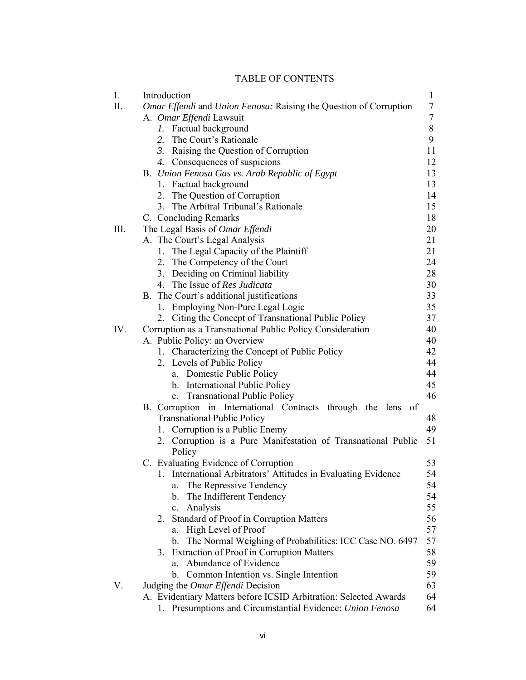# TABLE OF CONTENTS

| I.  | Introduction<br>$\mathbf{1}$                                      |        |  |
|-----|-------------------------------------------------------------------|--------|--|
| Π.  | Omar Effendi and Union Fenosa: Raising the Question of Corruption | $\tau$ |  |
|     | A. Omar Effendi Lawsuit                                           | $\tau$ |  |
|     | Factual background<br>Ι.                                          | $8\,$  |  |
|     | 2. The Court's Rationale                                          | 9      |  |
|     | 3. Raising the Question of Corruption                             | 11     |  |
|     | 4. Consequences of suspicions                                     | 12     |  |
|     | B. Union Fenosa Gas vs. Arab Republic of Egypt                    | 13     |  |
|     | 1. Factual background                                             | 13     |  |
|     | 2. The Question of Corruption                                     | 14     |  |
|     | 3. The Arbitral Tribunal's Rationale                              | 15     |  |
|     | C. Concluding Remarks                                             | 18     |  |
| Ш.  | The Legal Basis of Omar Effendi                                   | 20     |  |
|     | A. The Court's Legal Analysis                                     | 21     |  |
|     | 1. The Legal Capacity of the Plaintiff                            | 21     |  |
|     | 2. The Competency of the Court                                    | 24     |  |
|     | 3. Deciding on Criminal liability                                 | 28     |  |
|     | 4. The Issue of Res Judicata                                      | 30     |  |
|     | B. The Court's additional justifications                          | 33     |  |
|     | 1. Employing Non-Pure Legal Logic                                 | 35     |  |
|     | Citing the Concept of Transnational Public Policy<br>2.           | 37     |  |
| IV. | Corruption as a Transnational Public Policy Consideration         | 40     |  |
|     | A. Public Policy: an Overview                                     | 40     |  |
|     | 1. Characterizing the Concept of Public Policy                    | 42     |  |
|     | 2. Levels of Public Policy                                        | 44     |  |
|     | a. Domestic Public Policy                                         | 44     |  |
|     | b. International Public Policy                                    | 45     |  |
|     | c. Transnational Public Policy                                    | 46     |  |
|     | B. Corruption in International Contracts through the lens of      |        |  |
|     | <b>Transnational Public Policy</b>                                | 48     |  |
|     | 1. Corruption is a Public Enemy                                   | 49     |  |
|     | 2. Corruption is a Pure Manifestation of Transnational Public     | 51     |  |
|     | Policy                                                            |        |  |
|     | C. Evaluating Evidence of Corruption                              | 53     |  |
|     | 1. International Arbitrators' Attitudes in Evaluating Evidence    | 54     |  |
|     | The Repressive Tendency<br>a.                                     | 54     |  |
|     | The Indifferent Tendency<br>$\mathbf{b}$ .                        | 54     |  |
|     | Analysis<br>c.                                                    | 55     |  |
|     | 2. Standard of Proof in Corruption Matters                        | 56     |  |
|     | High Level of Proof<br>a.                                         | 57     |  |
|     | The Normal Weighing of Probabilities: ICC Case NO. 6497<br>b.     | 57     |  |
|     | Extraction of Proof in Corruption Matters<br>3.                   | 58     |  |
|     | a. Abundance of Evidence                                          | 59     |  |
|     | b. Common Intention vs. Single Intention                          | 59     |  |
| V.  | Judging the <i>Omar Effendi</i> Decision                          | 63     |  |
|     | A. Evidentiary Matters before ICSID Arbitration: Selected Awards  | 64     |  |
|     | Presumptions and Circumstantial Evidence: Union Fenosa<br>1.      | 64     |  |
|     |                                                                   |        |  |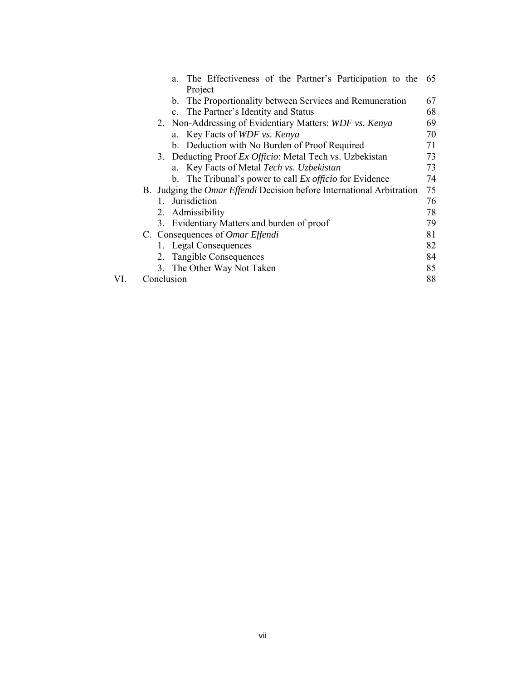|     |            | a. The Effectiveness of the Partner's Participation to the 65                |    |
|-----|------------|------------------------------------------------------------------------------|----|
|     |            | Project                                                                      |    |
|     |            | b. The Proportionality between Services and Remuneration                     | 67 |
|     |            | c. The Partner's Identity and Status                                         | 68 |
|     |            | 2. Non-Addressing of Evidentiary Matters: WDF vs. Kenya                      | 69 |
|     |            | a. Key Facts of WDF vs. Kenya                                                | 70 |
|     |            | b. Deduction with No Burden of Proof Required                                | 71 |
|     |            | 3. Deducting Proof Ex Officio: Metal Tech vs. Uzbekistan                     | 73 |
|     |            | a. Key Facts of Metal Tech vs. Uzbekistan                                    | 73 |
|     |            | b. The Tribunal's power to call $Ex$ officio for Evidence                    | 74 |
|     |            | B. Judging the <i>Omar Effendi</i> Decision before International Arbitration | 75 |
|     | 1.         | Jurisdiction                                                                 | 76 |
|     |            | 2. Admissibility                                                             | 78 |
|     |            | 3. Evidentiary Matters and burden of proof                                   | 79 |
|     |            | C. Consequences of <i>Omar Effendi</i>                                       | 81 |
|     |            | 1. Legal Consequences                                                        | 82 |
|     |            | 2. Tangible Consequences                                                     | 84 |
|     |            | 3. The Other Way Not Taken                                                   | 85 |
| VI. | Conclusion |                                                                              | 88 |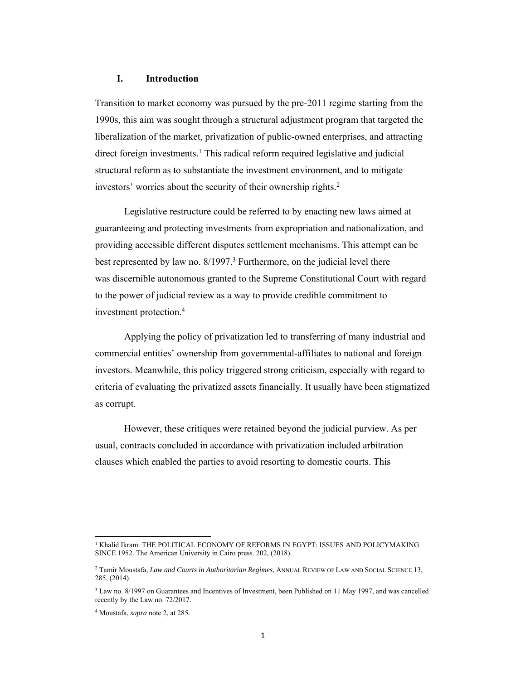### **I. Introduction**

Transition to market economy was pursued by the pre-2011 regime starting from the 1990s, this aim was sought through a structural adjustment program that targeted the liberalization of the market, privatization of public-owned enterprises, and attracting direct foreign investments.<sup>1</sup> This radical reform required legislative and judicial structural reform as to substantiate the investment environment, and to mitigate investors' worries about the security of their ownership rights. 2

Legislative restructure could be referred to by enacting new laws aimed at guaranteeing and protecting investments from expropriation and nationalization, and providing accessible different disputes settlement mechanisms. This attempt can be best represented by law no. 8/1997.<sup>3</sup> Furthermore, on the judicial level there was discernible autonomous granted to the Supreme Constitutional Court with regard to the power of judicial review as a way to provide credible commitment to investment protection.4

Applying the policy of privatization led to transferring of many industrial and commercial entities' ownership from governmental-affiliates to national and foreign investors. Meanwhile, this policy triggered strong criticism, especially with regard to criteria of evaluating the privatized assets financially. It usually have been stigmatized as corrupt.

However, these critiques were retained beyond the judicial purview. As per usual, contracts concluded in accordance with privatization included arbitration clauses which enabled the parties to avoid resorting to domestic courts. This

<sup>&</sup>lt;sup>1</sup> Khalid Ikram. THE POLITICAL ECONOMY OF REFORMS IN EGYPT: ISSUES AND POLICYMAKING SINCE 1952. The American University in Cairo press. 202, (2018).

<sup>2</sup> Tamir Moustafa, *Law and Courts in Authoritarian Regimes*, ANNUAL REVIEW OF LAW AND SOCIAL SCIENCE 13, 285, (2014).

<sup>&</sup>lt;sup>3</sup> Law no. 8/1997 on Guarantees and Incentives of Investment, been Published on 11 May 1997, and was cancelled recently by the Law no. 72/2017.

<sup>4</sup> Moustafa, *supra* note 2, at 285.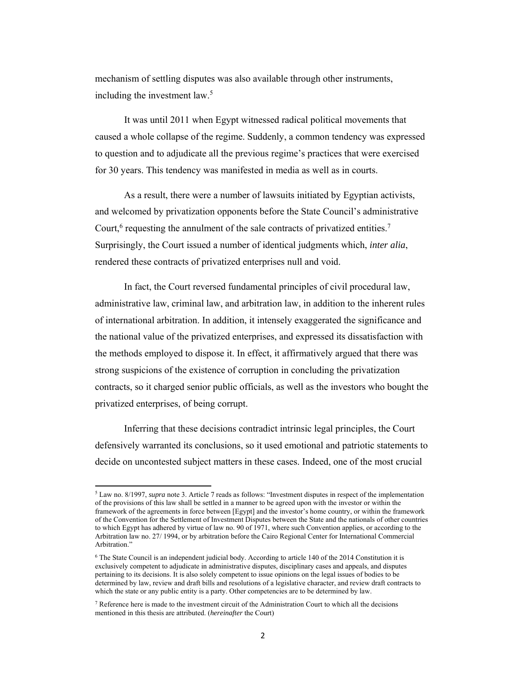mechanism of settling disputes was also available through other instruments, including the investment law.<sup>5</sup>

It was until 2011 when Egypt witnessed radical political movements that caused a whole collapse of the regime. Suddenly, a common tendency was expressed to question and to adjudicate all the previous regime's practices that were exercised for 30 years. This tendency was manifested in media as well as in courts.

As a result, there were a number of lawsuits initiated by Egyptian activists, and welcomed by privatization opponents before the State Council's administrative Court, $6$  requesting the annulment of the sale contracts of privatized entities.<sup>7</sup> Surprisingly, the Court issued a number of identical judgments which, *inter alia*, rendered these contracts of privatized enterprises null and void.

In fact, the Court reversed fundamental principles of civil procedural law, administrative law, criminal law, and arbitration law, in addition to the inherent rules of international arbitration. In addition, it intensely exaggerated the significance and the national value of the privatized enterprises, and expressed its dissatisfaction with the methods employed to dispose it. In effect, it affirmatively argued that there was strong suspicions of the existence of corruption in concluding the privatization contracts, so it charged senior public officials, as well as the investors who bought the privatized enterprises, of being corrupt.

Inferring that these decisions contradict intrinsic legal principles, the Court defensively warranted its conclusions, so it used emotional and patriotic statements to decide on uncontested subject matters in these cases. Indeed, one of the most crucial

<sup>5</sup> Law no. 8/1997, *supra* note 3. Article 7 reads as follows: "Investment disputes in respect of the implementation of the provisions of this law shall be settled in a manner to be agreed upon with the investor or within the framework of the agreements in force between [Egypt] and the investor's home country, or within the framework of the Convention for the Settlement of Investment Disputes between the State and the nationals of other countries to which Egypt has adhered by virtue of law no. 90 of 1971, where such Convention applies, or according to the Arbitration law no. 27/ 1994, or by arbitration before the Cairo Regional Center for International Commercial Arbitration."

<sup>&</sup>lt;sup>6</sup> The State Council is an independent judicial body. According to article 140 of the 2014 Constitution it is exclusively competent to adjudicate in administrative disputes, disciplinary cases and appeals, and disputes pertaining to its decisions. It is also solely competent to issue opinions on the legal issues of bodies to be determined by law, review and draft bills and resolutions of a legislative character, and review draft contracts to which the state or any public entity is a party. Other competencies are to be determined by law.

<sup>&</sup>lt;sup>7</sup> Reference here is made to the investment circuit of the Administration Court to which all the decisions mentioned in this thesis are attributed. (*hereinafter* the Court)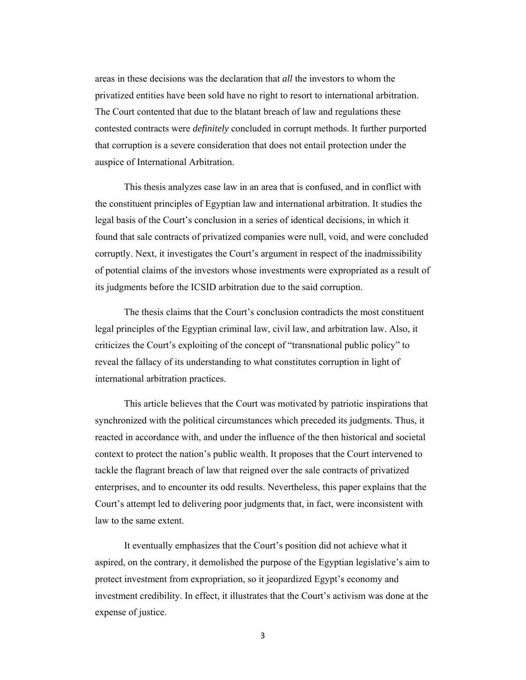areas in these decisions was the declaration that *all* the investors to whom the privatized entities have been sold have no right to resort to international arbitration. The Court contented that due to the blatant breach of law and regulations these contested contracts were *definitely* concluded in corrupt methods. It further purported that corruption is a severe consideration that does not entail protection under the auspice of International Arbitration.

This thesis analyzes case law in an area that is confused, and in conflict with the constituent principles of Egyptian law and international arbitration. It studies the legal basis of the Court's conclusion in a series of identical decisions, in which it found that sale contracts of privatized companies were null, void, and were concluded corruptly. Next, it investigates the Court's argument in respect of the inadmissibility of potential claims of the investors whose investments were expropriated as a result of its judgments before the ICSID arbitration due to the said corruption.

The thesis claims that the Court's conclusion contradicts the most constituent legal principles of the Egyptian criminal law, civil law, and arbitration law. Also, it criticizes the Court's exploiting of the concept of "transnational public policy" to reveal the fallacy of its understanding to what constitutes corruption in light of international arbitration practices.

This article believes that the Court was motivated by patriotic inspirations that synchronized with the political circumstances which preceded its judgments. Thus, it reacted in accordance with, and under the influence of the then historical and societal context to protect the nation's public wealth. It proposes that the Court intervened to tackle the flagrant breach of law that reigned over the sale contracts of privatized enterprises, and to encounter its odd results. Nevertheless, this paper explains that the Court's attempt led to delivering poor judgments that, in fact, were inconsistent with law to the same extent.

It eventually emphasizes that the Court's position did not achieve what it aspired, on the contrary, it demolished the purpose of the Egyptian legislative's aim to protect investment from expropriation, so it jeopardized Egypt's economy and investment credibility. In effect, it illustrates that the Court's activism was done at the expense of justice.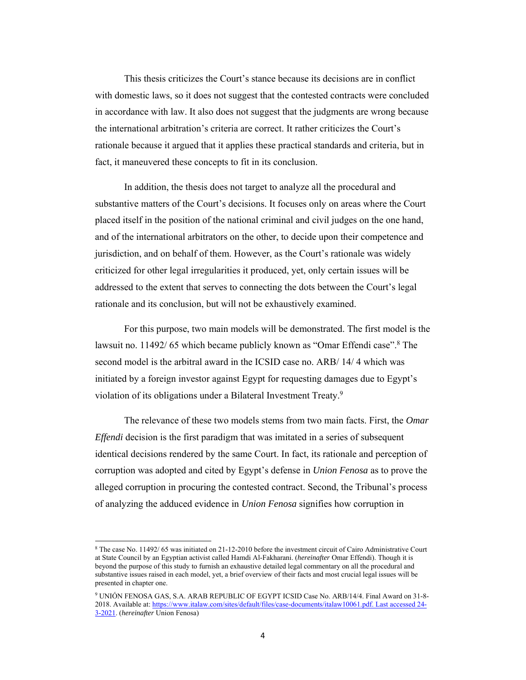This thesis criticizes the Court's stance because its decisions are in conflict with domestic laws, so it does not suggest that the contested contracts were concluded in accordance with law. It also does not suggest that the judgments are wrong because the international arbitration's criteria are correct. It rather criticizes the Court's rationale because it argued that it applies these practical standards and criteria, but in fact, it maneuvered these concepts to fit in its conclusion.

In addition, the thesis does not target to analyze all the procedural and substantive matters of the Court's decisions. It focuses only on areas where the Court placed itself in the position of the national criminal and civil judges on the one hand, and of the international arbitrators on the other, to decide upon their competence and jurisdiction, and on behalf of them. However, as the Court's rationale was widely criticized for other legal irregularities it produced, yet, only certain issues will be addressed to the extent that serves to connecting the dots between the Court's legal rationale and its conclusion, but will not be exhaustively examined.

For this purpose, two main models will be demonstrated. The first model is the lawsuit no. 11492/65 which became publicly known as "Omar Effendi case".<sup>8</sup> The second model is the arbitral award in the ICSID case no. ARB/ 14/ 4 which was initiated by a foreign investor against Egypt for requesting damages due to Egypt's violation of its obligations under a Bilateral Investment Treaty.<sup>9</sup>

The relevance of these two models stems from two main facts. First, the *Omar Effendi* decision is the first paradigm that was imitated in a series of subsequent identical decisions rendered by the same Court. In fact, its rationale and perception of corruption was adopted and cited by Egypt's defense in *Union Fenosa* as to prove the alleged corruption in procuring the contested contract. Second, the Tribunal's process of analyzing the adduced evidence in *Union Fenosa* signifies how corruption in

<sup>8</sup> The case No. 11492/ 65 was initiated on 21-12-2010 before the investment circuit of Cairo Administrative Court at State Council by an Egyptian activist called Hamdi Al-Fakharani. (*hereinafter* Omar Effendi). Though it is beyond the purpose of this study to furnish an exhaustive detailed legal commentary on all the procedural and substantive issues raised in each model, yet, a brief overview of their facts and most crucial legal issues will be presented in chapter one.

<sup>9</sup> UNIÓN FENOSA GAS, S.A. ARAB REPUBLIC OF EGYPT ICSID Case No. ARB/14/4. Final Award on 31-8- 2018. Available at: https://www.italaw.com/sites/default/files/case-documents/italaw10061.pdf. Last accessed 24- 3-2021. (*hereinafter* Union Fenosa)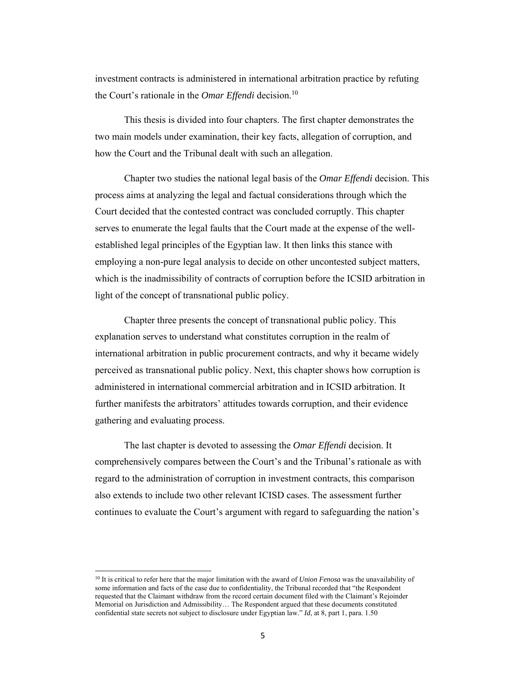investment contracts is administered in international arbitration practice by refuting the Court's rationale in the *Omar Effendi* decision.10

This thesis is divided into four chapters. The first chapter demonstrates the two main models under examination, their key facts, allegation of corruption, and how the Court and the Tribunal dealt with such an allegation.

Chapter two studies the national legal basis of the *Omar Effendi* decision. This process aims at analyzing the legal and factual considerations through which the Court decided that the contested contract was concluded corruptly. This chapter serves to enumerate the legal faults that the Court made at the expense of the wellestablished legal principles of the Egyptian law. It then links this stance with employing a non-pure legal analysis to decide on other uncontested subject matters, which is the inadmissibility of contracts of corruption before the ICSID arbitration in light of the concept of transnational public policy.

Chapter three presents the concept of transnational public policy. This explanation serves to understand what constitutes corruption in the realm of international arbitration in public procurement contracts, and why it became widely perceived as transnational public policy. Next, this chapter shows how corruption is administered in international commercial arbitration and in ICSID arbitration. It further manifests the arbitrators' attitudes towards corruption, and their evidence gathering and evaluating process.

The last chapter is devoted to assessing the *Omar Effendi* decision. It comprehensively compares between the Court's and the Tribunal's rationale as with regard to the administration of corruption in investment contracts, this comparison also extends to include two other relevant ICISD cases. The assessment further continues to evaluate the Court's argument with regard to safeguarding the nation's

<sup>10</sup> It is critical to refer here that the major limitation with the award of *Union Fenosa* was the unavailability of some information and facts of the case due to confidentiality, the Tribunal recorded that "the Respondent requested that the Claimant withdraw from the record certain document filed with the Claimant's Rejoinder Memorial on Jurisdiction and Admissibility… The Respondent argued that these documents constituted confidential state secrets not subject to disclosure under Egyptian law." *Id*, at 8, part 1, para. 1.50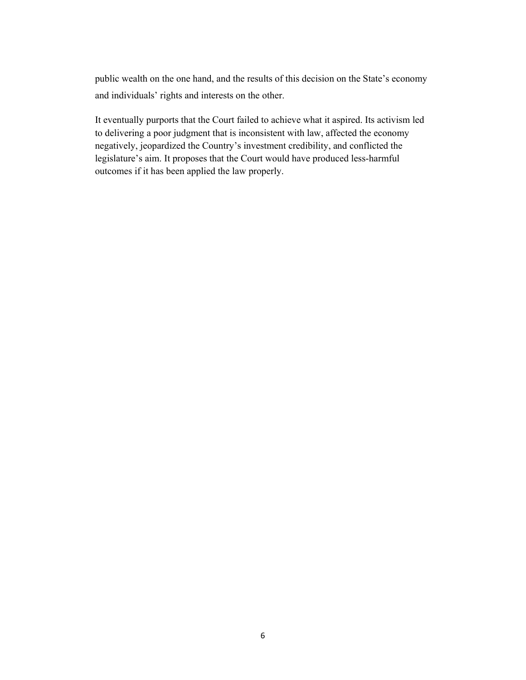public wealth on the one hand, and the results of this decision on the State's economy and individuals' rights and interests on the other.

It eventually purports that the Court failed to achieve what it aspired. Its activism led to delivering a poor judgment that is inconsistent with law, affected the economy negatively, jeopardized the Country's investment credibility, and conflicted the legislature's aim. It proposes that the Court would have produced less-harmful outcomes if it has been applied the law properly.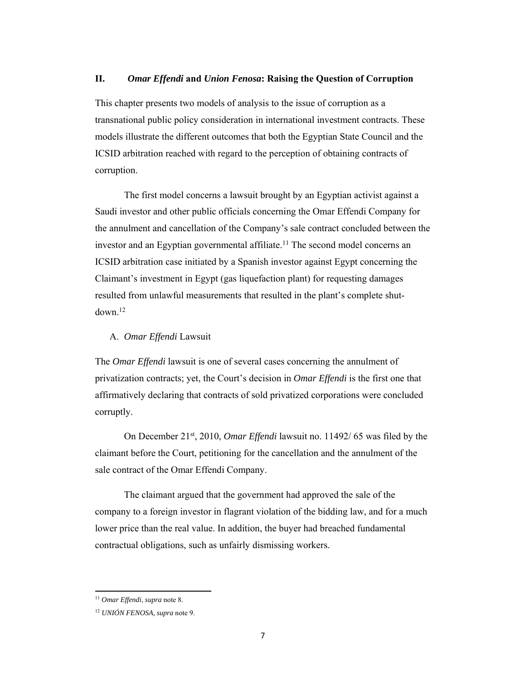### **II.** *Omar Effendi* **and** *Union Fenosa***: Raising the Question of Corruption**

This chapter presents two models of analysis to the issue of corruption as a transnational public policy consideration in international investment contracts. These models illustrate the different outcomes that both the Egyptian State Council and the ICSID arbitration reached with regard to the perception of obtaining contracts of corruption.

The first model concerns a lawsuit brought by an Egyptian activist against a Saudi investor and other public officials concerning the Omar Effendi Company for the annulment and cancellation of the Company's sale contract concluded between the investor and an Egyptian governmental affiliate.<sup>11</sup> The second model concerns an ICSID arbitration case initiated by a Spanish investor against Egypt concerning the Claimant's investment in Egypt (gas liquefaction plant) for requesting damages resulted from unlawful measurements that resulted in the plant's complete shutdown.12

### A. *Omar Effendi* Lawsuit

The *Omar Effendi* lawsuit is one of several cases concerning the annulment of privatization contracts; yet, the Court's decision in *Omar Effendi* is the first one that affirmatively declaring that contracts of sold privatized corporations were concluded corruptly.

On December 21st, 2010, *Omar Effendi* lawsuit no. 11492/ 65 was filed by the claimant before the Court, petitioning for the cancellation and the annulment of the sale contract of the Omar Effendi Company.

The claimant argued that the government had approved the sale of the company to a foreign investor in flagrant violation of the bidding law, and for a much lower price than the real value. In addition, the buyer had breached fundamental contractual obligations, such as unfairly dismissing workers.

<sup>11</sup> *Omar Effendi*, *supra* note 8.

<sup>12</sup> *UNIÓN FENOSA, supra* note 9.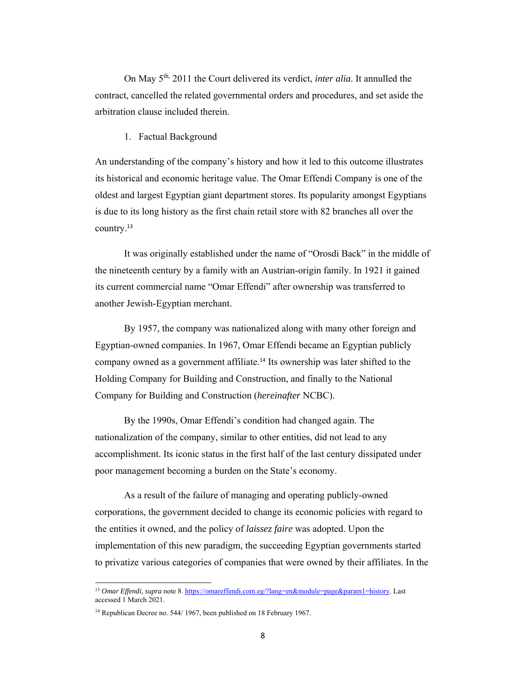On May 5th, 2011 the Court delivered its verdict, *inter alia*. It annulled the contract, cancelled the related governmental orders and procedures, and set aside the arbitration clause included therein.

### 1. Factual Background

An understanding of the company's history and how it led to this outcome illustrates its historical and economic heritage value. The Omar Effendi Company is one of the oldest and largest Egyptian giant department stores. Its popularity amongst Egyptians is due to its long history as the first chain retail store with 82 branches all over the country.<sup>13</sup>

It was originally established under the name of "Orosdi Back" in the middle of the nineteenth century by a family with an Austrian-origin family. In 1921 it gained its current commercial name "Omar Effendi" after ownership was transferred to another Jewish-Egyptian merchant.

By 1957, the company was nationalized along with many other foreign and Egyptian-owned companies. In 1967, Omar Effendi became an Egyptian publicly company owned as a government affiliate.<sup>14</sup> Its ownership was later shifted to the Holding Company for Building and Construction, and finally to the National Company for Building and Construction (*hereinafter* NCBC).

By the 1990s, Omar Effendi's condition had changed again. The nationalization of the company, similar to other entities, did not lead to any accomplishment. Its iconic status in the first half of the last century dissipated under poor management becoming a burden on the State's economy.

As a result of the failure of managing and operating publicly-owned corporations, the government decided to change its economic policies with regard to the entities it owned, and the policy of *laissez faire* was adopted. Upon the implementation of this new paradigm, the succeeding Egyptian governments started to privatize various categories of companies that were owned by their affiliates. In the

<sup>&</sup>lt;sup>13</sup> *Omar Effendi*, *supra* note 8. https://omareffendi.com.eg/?lang=en&module=page&param1=history. Last accessed 1 March 2021.

<sup>&</sup>lt;sup>14</sup> Republican Decree no. 544/ 1967, been published on 18 February 1967.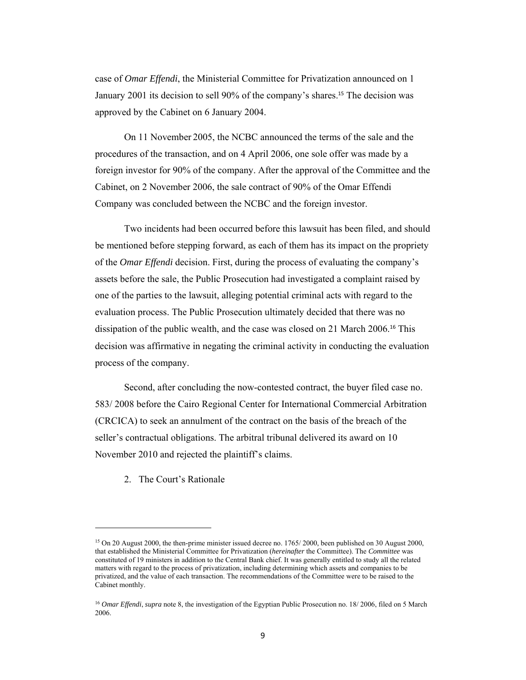case of *Omar Effendi*, the Ministerial Committee for Privatization announced on 1 January 2001 its decision to sell 90% of the company's shares.15 The decision was approved by the Cabinet on 6 January 2004.

On 11 November 2005, the NCBC announced the terms of the sale and the procedures of the transaction, and on 4 April 2006, one sole offer was made by a foreign investor for 90% of the company. After the approval of the Committee and the Cabinet, on 2 November 2006, the sale contract of 90% of the Omar Effendi Company was concluded between the NCBC and the foreign investor.

Two incidents had been occurred before this lawsuit has been filed, and should be mentioned before stepping forward, as each of them has its impact on the propriety of the *Omar Effendi* decision. First, during the process of evaluating the company's assets before the sale, the Public Prosecution had investigated a complaint raised by one of the parties to the lawsuit, alleging potential criminal acts with regard to the evaluation process. The Public Prosecution ultimately decided that there was no dissipation of the public wealth, and the case was closed on 21 March 2006.16 This decision was affirmative in negating the criminal activity in conducting the evaluation process of the company.

Second, after concluding the now-contested contract, the buyer filed case no. 583/ 2008 before the Cairo Regional Center for International Commercial Arbitration (CRCICA) to seek an annulment of the contract on the basis of the breach of the seller's contractual obligations. The arbitral tribunal delivered its award on 10 November 2010 and rejected the plaintiff's claims.

2. The Court's Rationale

<sup>&</sup>lt;sup>15</sup> On 20 August 2000, the then-prime minister issued decree no. 1765/ 2000, been published on 30 August 2000, that established the Ministerial Committee for Privatization (*hereinafter* the Committee). The *Committee* was constituted of 19 ministers in addition to the Central Bank chief. It was generally entitled to study all the related matters with regard to the process of privatization, including determining which assets and companies to be privatized, and the value of each transaction. The recommendations of the Committee were to be raised to the Cabinet monthly.

<sup>16</sup> *Omar Effendi*, *supra* note 8, the investigation of the Egyptian Public Prosecution no. 18/ 2006, filed on 5 March 2006.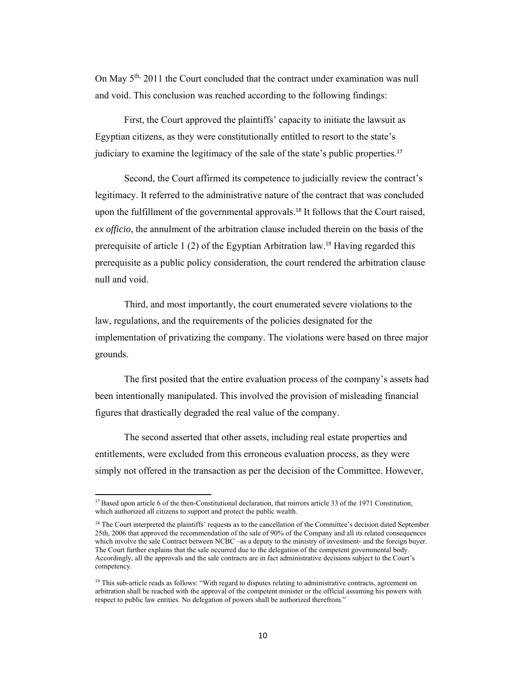On May  $5<sup>th</sup>$ , 2011 the Court concluded that the contract under examination was null and void. This conclusion was reached according to the following findings:

First, the Court approved the plaintiffs' capacity to initiate the lawsuit as Egyptian citizens, as they were constitutionally entitled to resort to the state's judiciary to examine the legitimacy of the sale of the state's public properties.<sup>17</sup>

Second, the Court affirmed its competence to judicially review the contract's legitimacy. It referred to the administrative nature of the contract that was concluded upon the fulfillment of the governmental approvals.<sup>18</sup> It follows that the Court raised, *ex officio*, the annulment of the arbitration clause included therein on the basis of the prerequisite of article 1 (2) of the Egyptian Arbitration law.19 Having regarded this prerequisite as a public policy consideration, the court rendered the arbitration clause null and void.

Third, and most importantly, the court enumerated severe violations to the law, regulations, and the requirements of the policies designated for the implementation of privatizing the company. The violations were based on three major grounds.

The first posited that the entire evaluation process of the company's assets had been intentionally manipulated. This involved the provision of misleading financial figures that drastically degraded the real value of the company.

The second asserted that other assets, including real estate properties and entitlements, were excluded from this erroneous evaluation process, as they were simply not offered in the transaction as per the decision of the Committee. However,

<sup>&</sup>lt;sup>17</sup> Based upon article 6 of the then-Constitutional declaration, that mirrors article 33 of the 1971 Constitution, which authorized all citizens to support and protect the public wealth.

<sup>&</sup>lt;sup>18</sup> The Court interpreted the plaintiffs' requests as to the cancellation of the Committee's decision dated September 25th, 2006 that approved the recommendation of the sale of 90% of the Company and all its related consequences which involve the sale Contract between NCBC –as a deputy to the ministry of investment- and the foreign buyer. The Court further explains that the sale occurred due to the delegation of the competent governmental body. Accordingly, all the approvals and the sale contracts are in fact administrative decisions subject to the Court's competency.

<sup>&</sup>lt;sup>19</sup> This sub-article reads as follows: "With regard to disputes relating to administrative contracts, agreement on arbitration shall be reached with the approval of the competent minister or the official assuming his powers with respect to public law entities. No delegation of powers shall be authorized therefrom."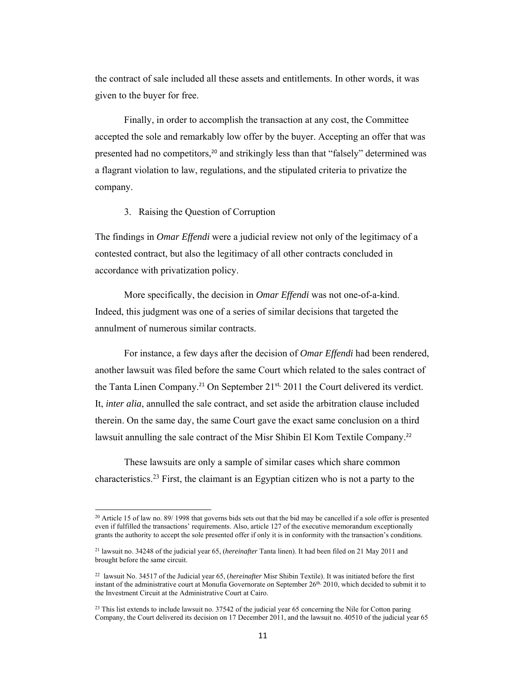the contract of sale included all these assets and entitlements. In other words, it was given to the buyer for free.

Finally, in order to accomplish the transaction at any cost, the Committee accepted the sole and remarkably low offer by the buyer. Accepting an offer that was presented had no competitors,<sup>20</sup> and strikingly less than that "falsely" determined was a flagrant violation to law, regulations, and the stipulated criteria to privatize the company.

### 3. Raising the Question of Corruption

The findings in *Omar Effendi* were a judicial review not only of the legitimacy of a contested contract, but also the legitimacy of all other contracts concluded in accordance with privatization policy.

More specifically, the decision in *Omar Effendi* was not one-of-a-kind. Indeed, this judgment was one of a series of similar decisions that targeted the annulment of numerous similar contracts.

For instance, a few days after the decision of *Omar Effendi* had been rendered, another lawsuit was filed before the same Court which related to the sales contract of the Tanta Linen Company.<sup>21</sup> On September 21<sup>st,</sup> 2011 the Court delivered its verdict. It, *inter alia*, annulled the sale contract, and set aside the arbitration clause included therein. On the same day, the same Court gave the exact same conclusion on a third lawsuit annulling the sale contract of the Misr Shibin El Kom Textile Company.<sup>22</sup>

These lawsuits are only a sample of similar cases which share common characteristics.23 First, the claimant is an Egyptian citizen who is not a party to the

 $20$  Article 15 of law no. 89/ 1998 that governs bids sets out that the bid may be cancelled if a sole offer is presented even if fulfilled the transactions' requirements. Also, article 127 of the executive memorandum exceptionally grants the authority to accept the sole presented offer if only it is in conformity with the transaction's conditions.

<sup>21</sup> lawsuit no. 34248 of the judicial year 65, (*hereinafter* Tanta linen). It had been filed on 21 May 2011 and brought before the same circuit.

<sup>22</sup> lawsuit No. 34517 of the Judicial year 65, (*hereinafter* Misr Shibin Textile). It was initiated before the first instant of the administrative court at Monufia Governorate on September 26th, 2010, which decided to submit it to the Investment Circuit at the Administrative Court at Cairo.

<sup>&</sup>lt;sup>23</sup> This list extends to include lawsuit no. 37542 of the judicial year 65 concerning the Nile for Cotton paring Company, the Court delivered its decision on 17 December 2011, and the lawsuit no. 40510 of the judicial year 65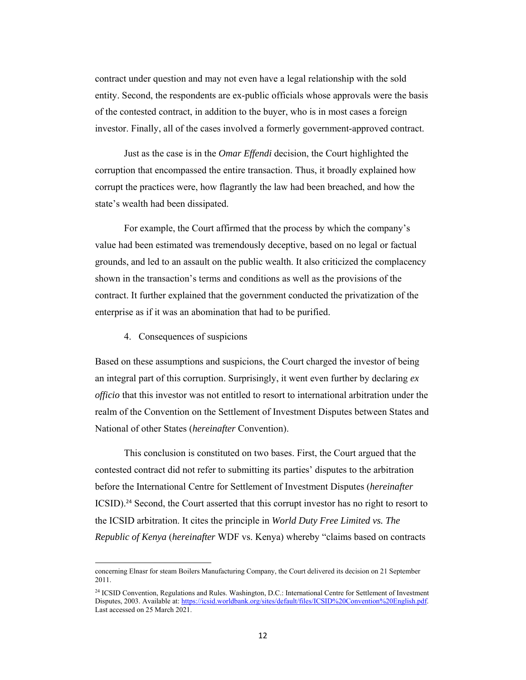contract under question and may not even have a legal relationship with the sold entity. Second, the respondents are ex-public officials whose approvals were the basis of the contested contract, in addition to the buyer, who is in most cases a foreign investor. Finally, all of the cases involved a formerly government-approved contract.

Just as the case is in the *Omar Effendi* decision, the Court highlighted the corruption that encompassed the entire transaction. Thus, it broadly explained how corrupt the practices were, how flagrantly the law had been breached, and how the state's wealth had been dissipated.

For example, the Court affirmed that the process by which the company's value had been estimated was tremendously deceptive, based on no legal or factual grounds, and led to an assault on the public wealth. It also criticized the complacency shown in the transaction's terms and conditions as well as the provisions of the contract. It further explained that the government conducted the privatization of the enterprise as if it was an abomination that had to be purified.

4. Consequences of suspicions

Based on these assumptions and suspicions, the Court charged the investor of being an integral part of this corruption. Surprisingly, it went even further by declaring *ex officio* that this investor was not entitled to resort to international arbitration under the realm of the Convention on the Settlement of Investment Disputes between States and National of other States (*hereinafter* Convention).

This conclusion is constituted on two bases. First, the Court argued that the contested contract did not refer to submitting its parties' disputes to the arbitration before the International Centre for Settlement of Investment Disputes (*hereinafter* ICSID).24 Second, the Court asserted that this corrupt investor has no right to resort to the ICSID arbitration. It cites the principle in *World Duty Free Limited vs. The Republic of Kenya* (*hereinafter* WDF vs. Kenya) whereby "claims based on contracts

concerning Elnasr for steam Boilers Manufacturing Company, the Court delivered its decision on 21 September 2011.

<sup>24</sup> ICSID Convention, Regulations and Rules. Washington, D.C.: International Centre for Settlement of Investment Disputes, 2003. Available at: https://icsid.worldbank.org/sites/default/files/ICSID%20Convention%20English.pdf. Last accessed on 25 March 2021.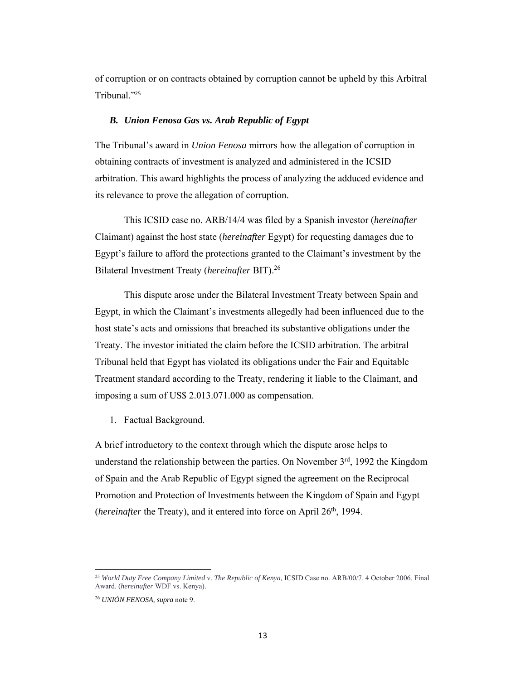of corruption or on contracts obtained by corruption cannot be upheld by this Arbitral Tribunal."<sup>25</sup>

### *B. Union Fenosa Gas vs. Arab Republic of Egypt*

The Tribunal's award in *Union Fenosa* mirrors how the allegation of corruption in obtaining contracts of investment is analyzed and administered in the ICSID arbitration. This award highlights the process of analyzing the adduced evidence and its relevance to prove the allegation of corruption.

This ICSID case no. ARB/14/4 was filed by a Spanish investor (*hereinafter*  Claimant) against the host state (*hereinafter* Egypt) for requesting damages due to Egypt's failure to afford the protections granted to the Claimant's investment by the Bilateral Investment Treaty (*hereinafter* BIT).26

This dispute arose under the Bilateral Investment Treaty between Spain and Egypt, in which the Claimant's investments allegedly had been influenced due to the host state's acts and omissions that breached its substantive obligations under the Treaty. The investor initiated the claim before the ICSID arbitration. The arbitral Tribunal held that Egypt has violated its obligations under the Fair and Equitable Treatment standard according to the Treaty, rendering it liable to the Claimant, and imposing a sum of US\$ 2.013.071.000 as compensation.

1. Factual Background.

A brief introductory to the context through which the dispute arose helps to understand the relationship between the parties. On November  $3<sup>rd</sup>$ , 1992 the Kingdom of Spain and the Arab Republic of Egypt signed the agreement on the Reciprocal Promotion and Protection of Investments between the Kingdom of Spain and Egypt (*hereinafter* the Treaty), and it entered into force on April 26<sup>th</sup>, 1994.

<sup>25</sup> *World Duty Free Company Limited* v. *The Republic of Kenya,* ICSID Case no. ARB/00/7. 4 October 2006. Final Award. (*hereinafter* WDF vs. Kenya).

<sup>26</sup> *UNIÓN FENOSA, supra* note 9.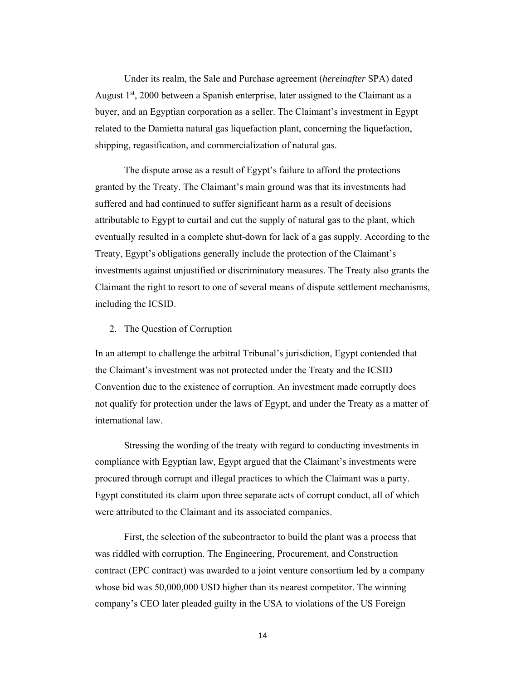Under its realm, the Sale and Purchase agreement (*hereinafter* SPA) dated August  $1<sup>st</sup>$ , 2000 between a Spanish enterprise, later assigned to the Claimant as a buyer, and an Egyptian corporation as a seller. The Claimant's investment in Egypt related to the Damietta natural gas liquefaction plant, concerning the liquefaction, shipping, regasification, and commercialization of natural gas.

The dispute arose as a result of Egypt's failure to afford the protections granted by the Treaty. The Claimant's main ground was that its investments had suffered and had continued to suffer significant harm as a result of decisions attributable to Egypt to curtail and cut the supply of natural gas to the plant, which eventually resulted in a complete shut-down for lack of a gas supply. According to the Treaty, Egypt's obligations generally include the protection of the Claimant's investments against unjustified or discriminatory measures. The Treaty also grants the Claimant the right to resort to one of several means of dispute settlement mechanisms, including the ICSID.

#### 2. The Question of Corruption

In an attempt to challenge the arbitral Tribunal's jurisdiction, Egypt contended that the Claimant's investment was not protected under the Treaty and the ICSID Convention due to the existence of corruption. An investment made corruptly does not qualify for protection under the laws of Egypt, and under the Treaty as a matter of international law.

Stressing the wording of the treaty with regard to conducting investments in compliance with Egyptian law, Egypt argued that the Claimant's investments were procured through corrupt and illegal practices to which the Claimant was a party. Egypt constituted its claim upon three separate acts of corrupt conduct, all of which were attributed to the Claimant and its associated companies.

First, the selection of the subcontractor to build the plant was a process that was riddled with corruption. The Engineering, Procurement, and Construction contract (EPC contract) was awarded to a joint venture consortium led by a company whose bid was 50,000,000 USD higher than its nearest competitor. The winning company's CEO later pleaded guilty in the USA to violations of the US Foreign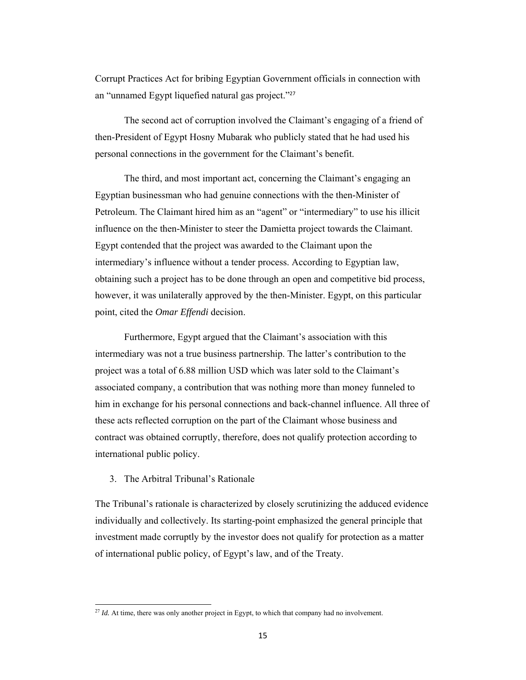Corrupt Practices Act for bribing Egyptian Government officials in connection with an "unnamed Egypt liquefied natural gas project."<sup>27</sup>

The second act of corruption involved the Claimant's engaging of a friend of then-President of Egypt Hosny Mubarak who publicly stated that he had used his personal connections in the government for the Claimant's benefit.

The third, and most important act, concerning the Claimant's engaging an Egyptian businessman who had genuine connections with the then-Minister of Petroleum. The Claimant hired him as an "agent" or "intermediary" to use his illicit influence on the then-Minister to steer the Damietta project towards the Claimant. Egypt contended that the project was awarded to the Claimant upon the intermediary's influence without a tender process. According to Egyptian law, obtaining such a project has to be done through an open and competitive bid process, however, it was unilaterally approved by the then-Minister. Egypt, on this particular point, cited the *Omar Effendi* decision.

Furthermore, Egypt argued that the Claimant's association with this intermediary was not a true business partnership. The latter's contribution to the project was a total of 6.88 million USD which was later sold to the Claimant's associated company, a contribution that was nothing more than money funneled to him in exchange for his personal connections and back-channel influence. All three of these acts reflected corruption on the part of the Claimant whose business and contract was obtained corruptly, therefore, does not qualify protection according to international public policy.

## 3. The Arbitral Tribunal's Rationale

The Tribunal's rationale is characterized by closely scrutinizing the adduced evidence individually and collectively. Its starting-point emphasized the general principle that investment made corruptly by the investor does not qualify for protection as a matter of international public policy, of Egypt's law, and of the Treaty.

<sup>&</sup>lt;sup>27</sup> *Id.* At time, there was only another project in Egypt, to which that company had no involvement.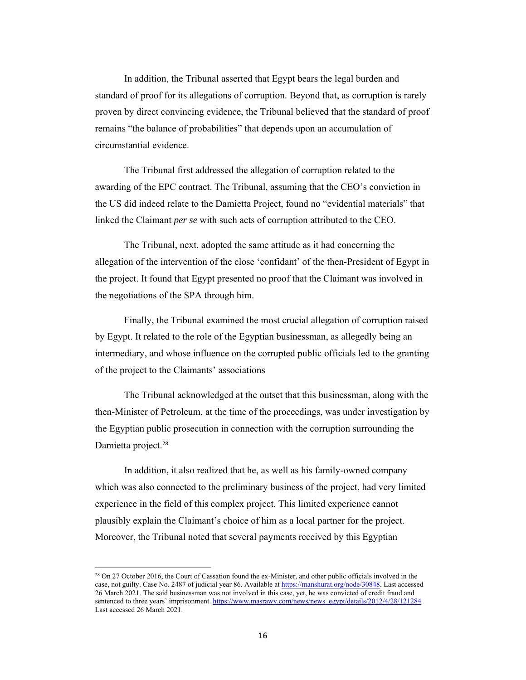In addition, the Tribunal asserted that Egypt bears the legal burden and standard of proof for its allegations of corruption. Beyond that, as corruption is rarely proven by direct convincing evidence, the Tribunal believed that the standard of proof remains "the balance of probabilities" that depends upon an accumulation of circumstantial evidence.

The Tribunal first addressed the allegation of corruption related to the awarding of the EPC contract. The Tribunal, assuming that the CEO's conviction in the US did indeed relate to the Damietta Project, found no "evidential materials" that linked the Claimant *per se* with such acts of corruption attributed to the CEO.

The Tribunal, next, adopted the same attitude as it had concerning the allegation of the intervention of the close 'confidant' of the then-President of Egypt in the project. It found that Egypt presented no proof that the Claimant was involved in the negotiations of the SPA through him.

Finally, the Tribunal examined the most crucial allegation of corruption raised by Egypt. It related to the role of the Egyptian businessman, as allegedly being an intermediary, and whose influence on the corrupted public officials led to the granting of the project to the Claimants' associations

The Tribunal acknowledged at the outset that this businessman, along with the then-Minister of Petroleum, at the time of the proceedings, was under investigation by the Egyptian public prosecution in connection with the corruption surrounding the Damietta project.<sup>28</sup>

In addition, it also realized that he, as well as his family-owned company which was also connected to the preliminary business of the project, had very limited experience in the field of this complex project. This limited experience cannot plausibly explain the Claimant's choice of him as a local partner for the project. Moreover, the Tribunal noted that several payments received by this Egyptian

<sup>&</sup>lt;sup>28</sup> On 27 October 2016, the Court of Cassation found the ex-Minister, and other public officials involved in the case, not guilty. Case No. 2487 of judicial year 86. Available at https://manshurat.org/node/30848. Last accessed 26 March 2021. The said businessman was not involved in this case, yet, he was convicted of credit fraud and sentenced to three years' imprisonment. https://www.masrawy.com/news/news\_egypt/details/2012/4/28/121284 Last accessed 26 March 2021.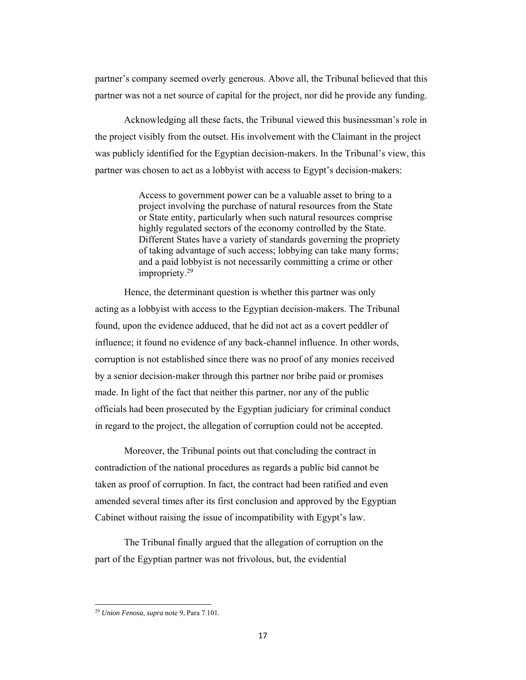partner's company seemed overly generous. Above all, the Tribunal believed that this partner was not a net source of capital for the project, nor did he provide any funding.

Acknowledging all these facts, the Tribunal viewed this businessman's role in the project visibly from the outset. His involvement with the Claimant in the project was publicly identified for the Egyptian decision-makers. In the Tribunal's view, this partner was chosen to act as a lobbyist with access to Egypt's decision-makers:

> Access to government power can be a valuable asset to bring to a project involving the purchase of natural resources from the State or State entity, particularly when such natural resources comprise highly regulated sectors of the economy controlled by the State. Different States have a variety of standards governing the propriety of taking advantage of such access; lobbying can take many forms; and a paid lobbyist is not necessarily committing a crime or other impropriety.<sup>29</sup>

Hence, the determinant question is whether this partner was only acting as a lobbyist with access to the Egyptian decision-makers. The Tribunal found, upon the evidence adduced, that he did not act as a covert peddler of influence; it found no evidence of any back-channel influence. In other words, corruption is not established since there was no proof of any monies received by a senior decision-maker through this partner nor bribe paid or promises made. In light of the fact that neither this partner, nor any of the public officials had been prosecuted by the Egyptian judiciary for criminal conduct in regard to the project, the allegation of corruption could not be accepted.

Moreover, the Tribunal points out that concluding the contract in contradiction of the national procedures as regards a public bid cannot be taken as proof of corruption. In fact, the contract had been ratified and even amended several times after its first conclusion and approved by the Egyptian Cabinet without raising the issue of incompatibility with Egypt's law.

The Tribunal finally argued that the allegation of corruption on the part of the Egyptian partner was not frivolous, but, the evidential

 <sup>29</sup> *Union Fenosa*, *supra* note 9, Para 7.101.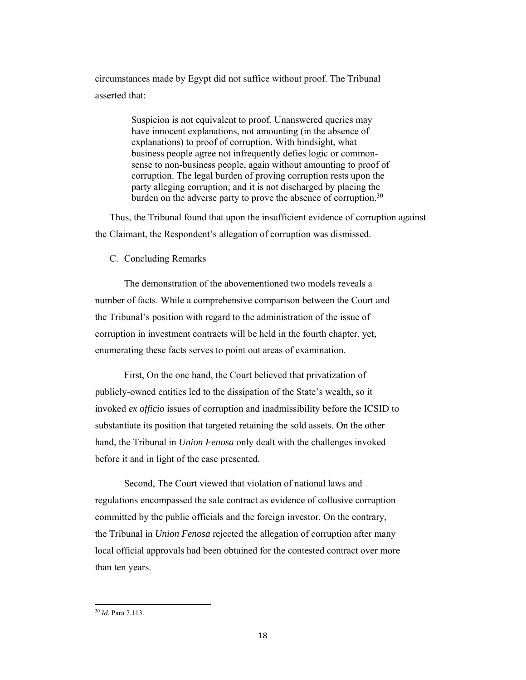circumstances made by Egypt did not suffice without proof. The Tribunal asserted that:

> Suspicion is not equivalent to proof. Unanswered queries may have innocent explanations, not amounting (in the absence of explanations) to proof of corruption. With hindsight, what business people agree not infrequently defies logic or commonsense to non-business people, again without amounting to proof of corruption. The legal burden of proving corruption rests upon the party alleging corruption; and it is not discharged by placing the burden on the adverse party to prove the absence of corruption.<sup>30</sup>

Thus, the Tribunal found that upon the insufficient evidence of corruption against the Claimant, the Respondent's allegation of corruption was dismissed.

### C. Concluding Remarks

The demonstration of the abovementioned two models reveals a number of facts. While a comprehensive comparison between the Court and the Tribunal's position with regard to the administration of the issue of corruption in investment contracts will be held in the fourth chapter, yet, enumerating these facts serves to point out areas of examination.

First, On the one hand, the Court believed that privatization of publicly-owned entities led to the dissipation of the State's wealth, so it invoked *ex officio* issues of corruption and inadmissibility before the ICSID to substantiate its position that targeted retaining the sold assets. On the other hand, the Tribunal in *Union Fenosa* only dealt with the challenges invoked before it and in light of the case presented.

Second, The Court viewed that violation of national laws and regulations encompassed the sale contract as evidence of collusive corruption committed by the public officials and the foreign investor. On the contrary, the Tribunal in *Union Fenosa* rejected the allegation of corruption after many local official approvals had been obtained for the contested contract over more than ten years.

<sup>30</sup> *Id*. Para 7.113.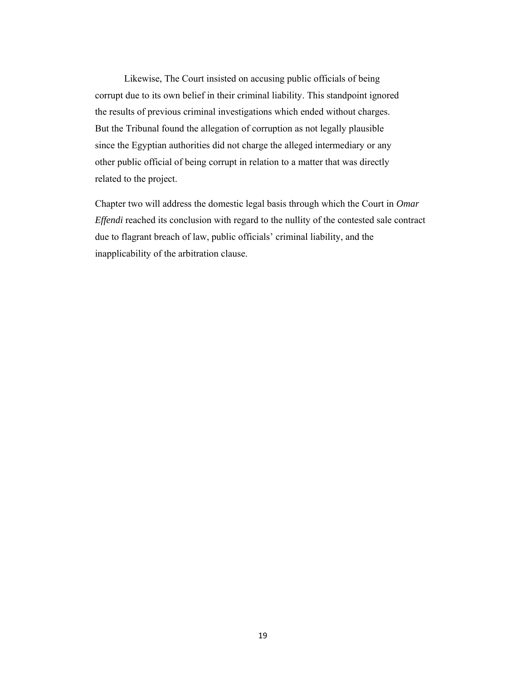Likewise, The Court insisted on accusing public officials of being corrupt due to its own belief in their criminal liability. This standpoint ignored the results of previous criminal investigations which ended without charges. But the Tribunal found the allegation of corruption as not legally plausible since the Egyptian authorities did not charge the alleged intermediary or any other public official of being corrupt in relation to a matter that was directly related to the project.

Chapter two will address the domestic legal basis through which the Court in *Omar Effendi* reached its conclusion with regard to the nullity of the contested sale contract due to flagrant breach of law, public officials' criminal liability, and the inapplicability of the arbitration clause.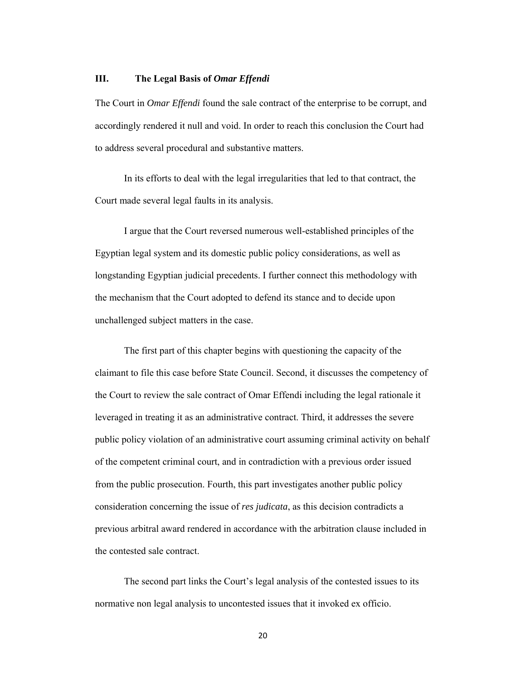### **III. The Legal Basis of** *Omar Effendi*

The Court in *Omar Effendi* found the sale contract of the enterprise to be corrupt, and accordingly rendered it null and void. In order to reach this conclusion the Court had to address several procedural and substantive matters.

In its efforts to deal with the legal irregularities that led to that contract, the Court made several legal faults in its analysis.

I argue that the Court reversed numerous well-established principles of the Egyptian legal system and its domestic public policy considerations, as well as longstanding Egyptian judicial precedents. I further connect this methodology with the mechanism that the Court adopted to defend its stance and to decide upon unchallenged subject matters in the case.

The first part of this chapter begins with questioning the capacity of the claimant to file this case before State Council. Second, it discusses the competency of the Court to review the sale contract of Omar Effendi including the legal rationale it leveraged in treating it as an administrative contract. Third, it addresses the severe public policy violation of an administrative court assuming criminal activity on behalf of the competent criminal court, and in contradiction with a previous order issued from the public prosecution. Fourth, this part investigates another public policy consideration concerning the issue of *res judicata*, as this decision contradicts a previous arbitral award rendered in accordance with the arbitration clause included in the contested sale contract.

The second part links the Court's legal analysis of the contested issues to its normative non legal analysis to uncontested issues that it invoked ex officio.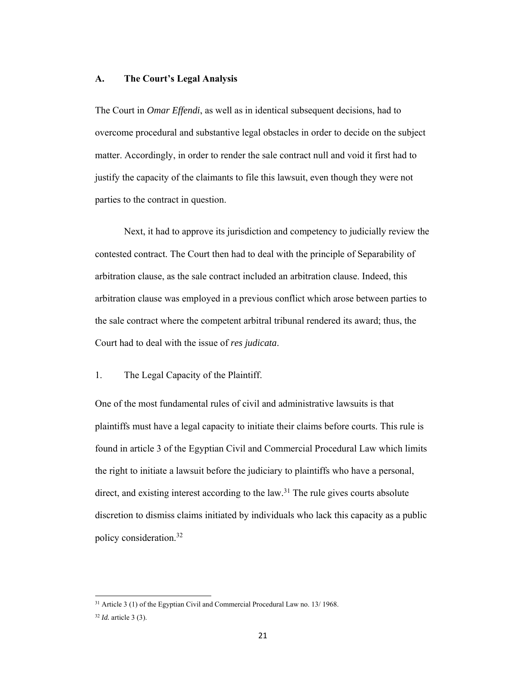### **A. The Court's Legal Analysis**

The Court in *Omar Effendi*, as well as in identical subsequent decisions, had to overcome procedural and substantive legal obstacles in order to decide on the subject matter. Accordingly, in order to render the sale contract null and void it first had to justify the capacity of the claimants to file this lawsuit, even though they were not parties to the contract in question.

Next, it had to approve its jurisdiction and competency to judicially review the contested contract. The Court then had to deal with the principle of Separability of arbitration clause, as the sale contract included an arbitration clause. Indeed, this arbitration clause was employed in a previous conflict which arose between parties to the sale contract where the competent arbitral tribunal rendered its award; thus, the Court had to deal with the issue of *res judicata*.

## 1. The Legal Capacity of the Plaintiff.

One of the most fundamental rules of civil and administrative lawsuits is that plaintiffs must have a legal capacity to initiate their claims before courts. This rule is found in article 3 of the Egyptian Civil and Commercial Procedural Law which limits the right to initiate a lawsuit before the judiciary to plaintiffs who have a personal, direct, and existing interest according to the law.<sup>31</sup> The rule gives courts absolute discretion to dismiss claims initiated by individuals who lack this capacity as a public policy consideration.32

<sup>31</sup> Article 3 (1) of the Egyptian Civil and Commercial Procedural Law no. 13/ 1968.

<sup>32</sup> *Id.* article 3 (3).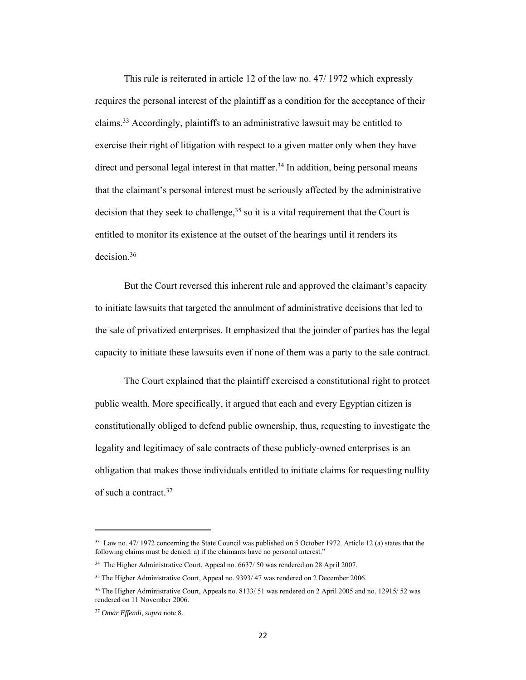This rule is reiterated in article 12 of the law no. 47/ 1972 which expressly requires the personal interest of the plaintiff as a condition for the acceptance of their claims.33 Accordingly, plaintiffs to an administrative lawsuit may be entitled to exercise their right of litigation with respect to a given matter only when they have direct and personal legal interest in that matter.<sup>34</sup> In addition, being personal means that the claimant's personal interest must be seriously affected by the administrative decision that they seek to challenge,  $35$  so it is a vital requirement that the Court is entitled to monitor its existence at the outset of the hearings until it renders its decision.36

 But the Court reversed this inherent rule and approved the claimant's capacity to initiate lawsuits that targeted the annulment of administrative decisions that led to the sale of privatized enterprises. It emphasized that the joinder of parties has the legal capacity to initiate these lawsuits even if none of them was a party to the sale contract.

The Court explained that the plaintiff exercised a constitutional right to protect public wealth. More specifically, it argued that each and every Egyptian citizen is constitutionally obliged to defend public ownership, thus, requesting to investigate the legality and legitimacy of sale contracts of these publicly-owned enterprises is an obligation that makes those individuals entitled to initiate claims for requesting nullity of such a contract.37

<sup>33</sup> Law no. 47/ 1972 concerning the State Council was published on 5 October 1972. Article 12 (a) states that the following claims must be denied: a) if the claimants have no personal interest."

<sup>&</sup>lt;sup>34</sup> The Higher Administrative Court, Appeal no. 6637/ 50 was rendered on 28 April 2007.

<sup>&</sup>lt;sup>35</sup> The Higher Administrative Court, Appeal no. 9393/47 was rendered on 2 December 2006.

<sup>36</sup> The Higher Administrative Court, Appeals no. 8133/ 51 was rendered on 2 April 2005 and no. 12915/ 52 was rendered on 11 November 2006.

<sup>37</sup> *Omar Effendi*, *supra* note 8.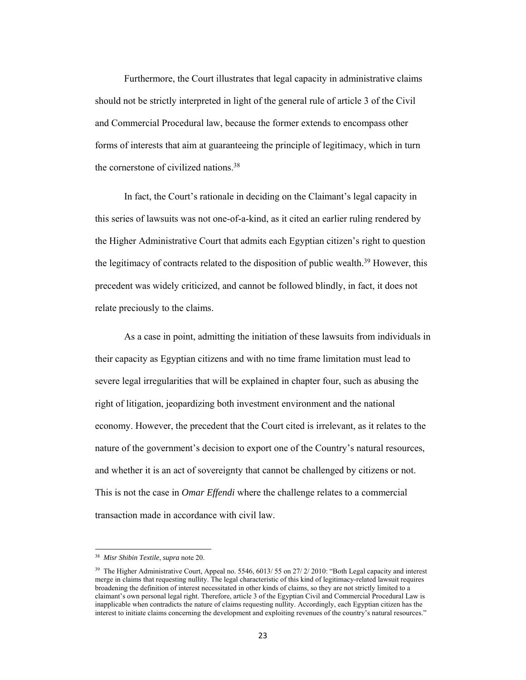Furthermore, the Court illustrates that legal capacity in administrative claims should not be strictly interpreted in light of the general rule of article 3 of the Civil and Commercial Procedural law, because the former extends to encompass other forms of interests that aim at guaranteeing the principle of legitimacy, which in turn the cornerstone of civilized nations.38

In fact, the Court's rationale in deciding on the Claimant's legal capacity in this series of lawsuits was not one-of-a-kind, as it cited an earlier ruling rendered by the Higher Administrative Court that admits each Egyptian citizen's right to question the legitimacy of contracts related to the disposition of public wealth.39 However, this precedent was widely criticized, and cannot be followed blindly, in fact, it does not relate preciously to the claims.

As a case in point, admitting the initiation of these lawsuits from individuals in their capacity as Egyptian citizens and with no time frame limitation must lead to severe legal irregularities that will be explained in chapter four, such as abusing the right of litigation, jeopardizing both investment environment and the national economy. However, the precedent that the Court cited is irrelevant, as it relates to the nature of the government's decision to export one of the Country's natural resources, and whether it is an act of sovereignty that cannot be challenged by citizens or not. This is not the case in *Omar Effendi* where the challenge relates to a commercial transaction made in accordance with civil law.

 38 *Misr Shibin Textile*, *supra* note 20.

<sup>&</sup>lt;sup>39</sup> The Higher Administrative Court, Appeal no. 5546, 6013/ 55 on 27/ 2/ 2010: "Both Legal capacity and interest merge in claims that requesting nullity. The legal characteristic of this kind of legitimacy-related lawsuit requires broadening the definition of interest necessitated in other kinds of claims, so they are not strictly limited to a claimant's own personal legal right. Therefore, article 3 of the Egyptian Civil and Commercial Procedural Law is inapplicable when contradicts the nature of claims requesting nullity. Accordingly, each Egyptian citizen has the interest to initiate claims concerning the development and exploiting revenues of the country's natural resources."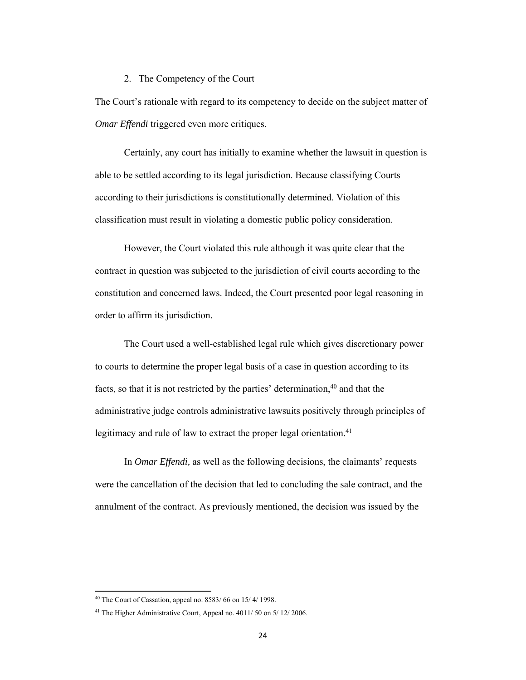#### 2. The Competency of the Court

The Court's rationale with regard to its competency to decide on the subject matter of *Omar Effendi* triggered even more critiques.

Certainly, any court has initially to examine whether the lawsuit in question is able to be settled according to its legal jurisdiction. Because classifying Courts according to their jurisdictions is constitutionally determined. Violation of this classification must result in violating a domestic public policy consideration.

 However, the Court violated this rule although it was quite clear that the contract in question was subjected to the jurisdiction of civil courts according to the constitution and concerned laws. Indeed, the Court presented poor legal reasoning in order to affirm its jurisdiction.

 The Court used a well-established legal rule which gives discretionary power to courts to determine the proper legal basis of a case in question according to its facts, so that it is not restricted by the parties' determination, $40$  and that the administrative judge controls administrative lawsuits positively through principles of legitimacy and rule of law to extract the proper legal orientation.<sup>41</sup>

In *Omar Effendi,* as well as the following decisions, the claimants' requests were the cancellation of the decision that led to concluding the sale contract, and the annulment of the contract. As previously mentioned, the decision was issued by the

 $40$  The Court of Cassation, appeal no. 8583/66 on 15/4/1998.

<sup>41</sup> The Higher Administrative Court, Appeal no. 4011/ 50 on 5/ 12/ 2006.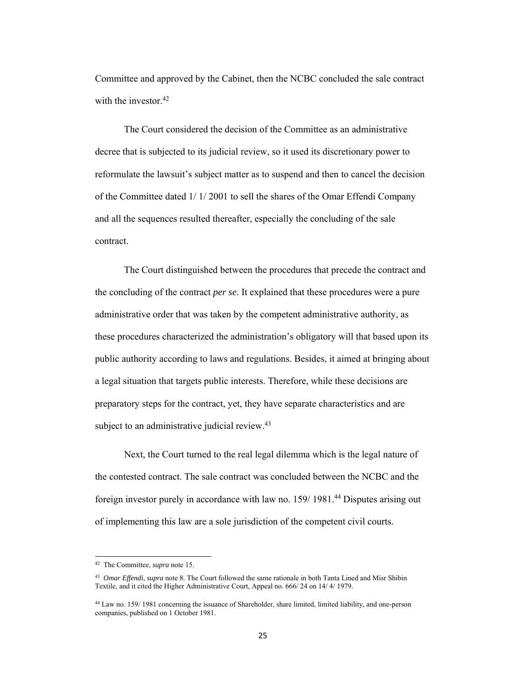Committee and approved by the Cabinet, then the NCBC concluded the sale contract with the investor.<sup>42</sup>

The Court considered the decision of the Committee as an administrative decree that is subjected to its judicial review, so it used its discretionary power to reformulate the lawsuit's subject matter as to suspend and then to cancel the decision of the Committee dated 1/ 1/ 2001 to sell the shares of the Omar Effendi Company and all the sequences resulted thereafter, especially the concluding of the sale contract.

The Court distinguished between the procedures that precede the contract and the concluding of the contract *per se*. It explained that these procedures were a pure administrative order that was taken by the competent administrative authority, as these procedures characterized the administration's obligatory will that based upon its public authority according to laws and regulations. Besides, it aimed at bringing about a legal situation that targets public interests. Therefore, while these decisions are preparatory steps for the contract, yet, they have separate characteristics and are subject to an administrative judicial review.<sup>43</sup>

Next, the Court turned to the real legal dilemma which is the legal nature of the contested contract. The sale contract was concluded between the NCBC and the foreign investor purely in accordance with law no. 159/ 1981.44 Disputes arising out of implementing this law are a sole jurisdiction of the competent civil courts.

<sup>42</sup> The Committee, *supra* note 15.

<sup>43</sup> *Omar Effendi*, *supra* note 8. The Court followed the same rationale in both Tanta Lined and Misr Shibin Textile, and it cited the Higher Administrative Court, Appeal no. 666/ 24 on 14/ 4/ 1979.

<sup>44</sup> Law no. 159/ 1981 concerning the issuance of Shareholder, share limited, limited liability, and one-person companies, published on 1 October 1981.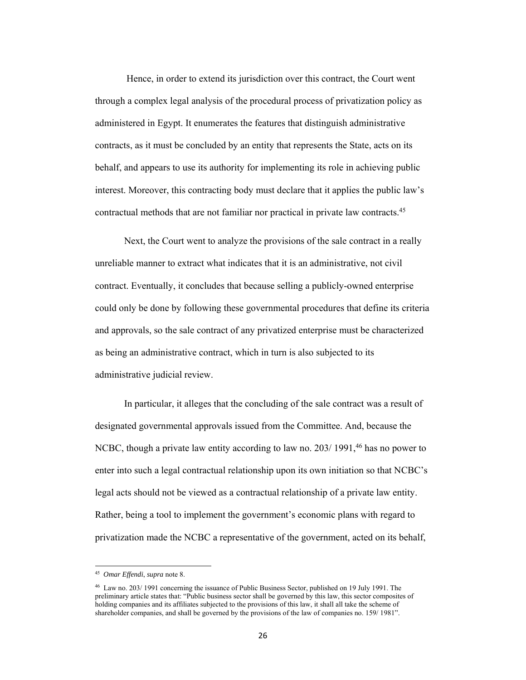Hence, in order to extend its jurisdiction over this contract, the Court went through a complex legal analysis of the procedural process of privatization policy as administered in Egypt. It enumerates the features that distinguish administrative contracts, as it must be concluded by an entity that represents the State, acts on its behalf, and appears to use its authority for implementing its role in achieving public interest. Moreover, this contracting body must declare that it applies the public law's contractual methods that are not familiar nor practical in private law contracts.45

Next, the Court went to analyze the provisions of the sale contract in a really unreliable manner to extract what indicates that it is an administrative, not civil contract. Eventually, it concludes that because selling a publicly-owned enterprise could only be done by following these governmental procedures that define its criteria and approvals, so the sale contract of any privatized enterprise must be characterized as being an administrative contract, which in turn is also subjected to its administrative judicial review.

In particular, it alleges that the concluding of the sale contract was a result of designated governmental approvals issued from the Committee. And, because the NCBC, though a private law entity according to law no. 203/1991,<sup>46</sup> has no power to enter into such a legal contractual relationship upon its own initiation so that NCBC's legal acts should not be viewed as a contractual relationship of a private law entity. Rather, being a tool to implement the government's economic plans with regard to privatization made the NCBC a representative of the government, acted on its behalf,

<sup>45</sup> *Omar Effendi*, *supra* note 8.

<sup>46</sup> Law no. 203/ 1991 concerning the issuance of Public Business Sector, published on 19 July 1991. The preliminary article states that: "Public business sector shall be governed by this law, this sector composites of holding companies and its affiliates subjected to the provisions of this law, it shall all take the scheme of shareholder companies, and shall be governed by the provisions of the law of companies no. 159/ 1981".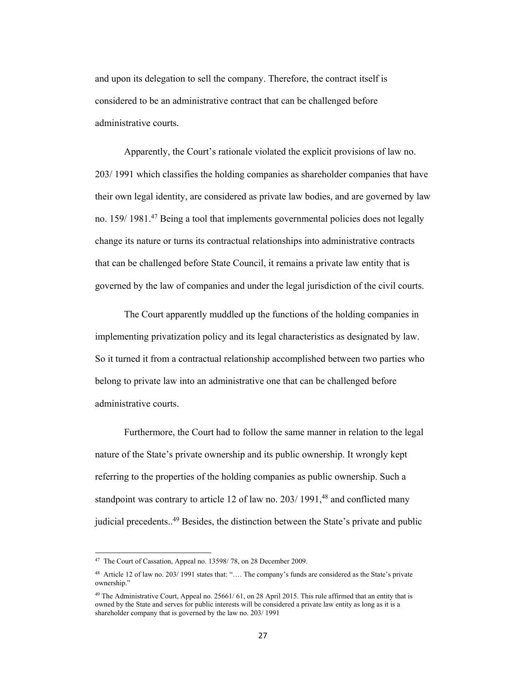and upon its delegation to sell the company. Therefore, the contract itself is considered to be an administrative contract that can be challenged before administrative courts.

Apparently, the Court's rationale violated the explicit provisions of law no. 203/ 1991 which classifies the holding companies as shareholder companies that have their own legal identity, are considered as private law bodies, and are governed by law no. 159/ 1981.47 Being a tool that implements governmental policies does not legally change its nature or turns its contractual relationships into administrative contracts that can be challenged before State Council, it remains a private law entity that is governed by the law of companies and under the legal jurisdiction of the civil courts.

The Court apparently muddled up the functions of the holding companies in implementing privatization policy and its legal characteristics as designated by law. So it turned it from a contractual relationship accomplished between two parties who belong to private law into an administrative one that can be challenged before administrative courts.

Furthermore, the Court had to follow the same manner in relation to the legal nature of the State's private ownership and its public ownership. It wrongly kept referring to the properties of the holding companies as public ownership. Such a standpoint was contrary to article 12 of law no.  $203/1991$ ,<sup>48</sup> and conflicted many judicial precedents..<sup>49</sup> Besides, the distinction between the State's private and public

<sup>&</sup>lt;sup>47</sup> The Court of Cassation, Appeal no. 13598/78, on 28 December 2009.

<sup>48</sup> Article 12 of law no. 203/ 1991 states that: "…. The company's funds are considered as the State's private ownership."

<sup>&</sup>lt;sup>49</sup> The Administrative Court, Appeal no. 25661/61, on 28 April 2015. This rule affirmed that an entity that is owned by the State and serves for public interests will be considered a private law entity as long as it is a shareholder company that is governed by the law no. 203/ 1991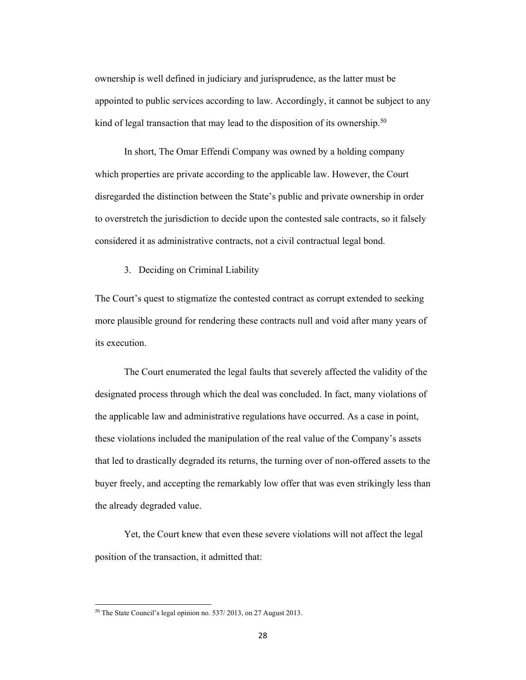ownership is well defined in judiciary and jurisprudence, as the latter must be appointed to public services according to law. Accordingly, it cannot be subject to any kind of legal transaction that may lead to the disposition of its ownership.<sup>50</sup>

In short, The Omar Effendi Company was owned by a holding company which properties are private according to the applicable law. However, the Court disregarded the distinction between the State's public and private ownership in order to overstretch the jurisdiction to decide upon the contested sale contracts, so it falsely considered it as administrative contracts, not a civil contractual legal bond.

3. Deciding on Criminal Liability

The Court's quest to stigmatize the contested contract as corrupt extended to seeking more plausible ground for rendering these contracts null and void after many years of its execution.

 The Court enumerated the legal faults that severely affected the validity of the designated process through which the deal was concluded. In fact, many violations of the applicable law and administrative regulations have occurred. As a case in point, these violations included the manipulation of the real value of the Company's assets that led to drastically degraded its returns, the turning over of non-offered assets to the buyer freely, and accepting the remarkably low offer that was even strikingly less than the already degraded value.

 Yet, the Court knew that even these severe violations will not affect the legal position of the transaction, it admitted that:

<sup>50</sup> The State Council's legal opinion no. 537/ 2013, on 27 August 2013.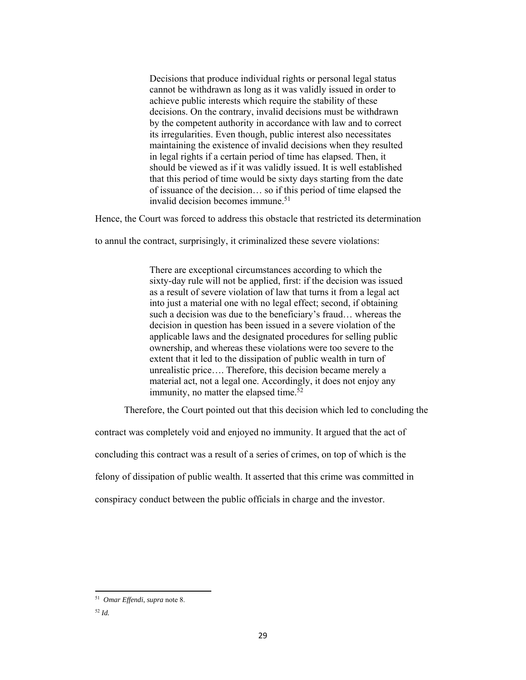Decisions that produce individual rights or personal legal status cannot be withdrawn as long as it was validly issued in order to achieve public interests which require the stability of these decisions. On the contrary, invalid decisions must be withdrawn by the competent authority in accordance with law and to correct its irregularities. Even though, public interest also necessitates maintaining the existence of invalid decisions when they resulted in legal rights if a certain period of time has elapsed. Then, it should be viewed as if it was validly issued. It is well established that this period of time would be sixty days starting from the date of issuance of the decision… so if this period of time elapsed the invalid decision becomes immune.<sup>51</sup>

Hence, the Court was forced to address this obstacle that restricted its determination

to annul the contract, surprisingly, it criminalized these severe violations:

There are exceptional circumstances according to which the sixty-day rule will not be applied, first: if the decision was issued as a result of severe violation of law that turns it from a legal act into just a material one with no legal effect; second, if obtaining such a decision was due to the beneficiary's fraud… whereas the decision in question has been issued in a severe violation of the applicable laws and the designated procedures for selling public ownership, and whereas these violations were too severe to the extent that it led to the dissipation of public wealth in turn of unrealistic price…. Therefore, this decision became merely a material act, not a legal one. Accordingly, it does not enjoy any immunity, no matter the elapsed time. $52$ 

Therefore, the Court pointed out that this decision which led to concluding the

contract was completely void and enjoyed no immunity. It argued that the act of

concluding this contract was a result of a series of crimes, on top of which is the

felony of dissipation of public wealth. It asserted that this crime was committed in

conspiracy conduct between the public officials in charge and the investor.

<sup>51</sup> *Omar Effendi*, *supra* note 8.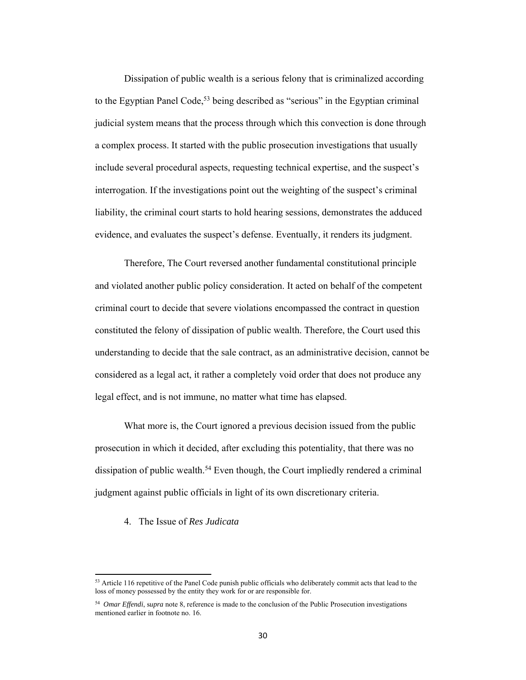Dissipation of public wealth is a serious felony that is criminalized according to the Egyptian Panel Code,<sup>53</sup> being described as "serious" in the Egyptian criminal judicial system means that the process through which this convection is done through a complex process. It started with the public prosecution investigations that usually include several procedural aspects, requesting technical expertise, and the suspect's interrogation. If the investigations point out the weighting of the suspect's criminal liability, the criminal court starts to hold hearing sessions, demonstrates the adduced evidence, and evaluates the suspect's defense. Eventually, it renders its judgment.

Therefore, The Court reversed another fundamental constitutional principle and violated another public policy consideration. It acted on behalf of the competent criminal court to decide that severe violations encompassed the contract in question constituted the felony of dissipation of public wealth. Therefore, the Court used this understanding to decide that the sale contract, as an administrative decision, cannot be considered as a legal act, it rather a completely void order that does not produce any legal effect, and is not immune, no matter what time has elapsed.

What more is, the Court ignored a previous decision issued from the public prosecution in which it decided, after excluding this potentiality, that there was no dissipation of public wealth.<sup>54</sup> Even though, the Court impliedly rendered a criminal judgment against public officials in light of its own discretionary criteria.

### 4. The Issue of *Res Judicata*

<sup>&</sup>lt;sup>53</sup> Article 116 repetitive of the Panel Code punish public officials who deliberately commit acts that lead to the loss of money possessed by the entity they work for or are responsible for.

<sup>54</sup> *Omar Effendi*, s*upra* note 8, reference is made to the conclusion of the Public Prosecution investigations mentioned earlier in footnote no. 16.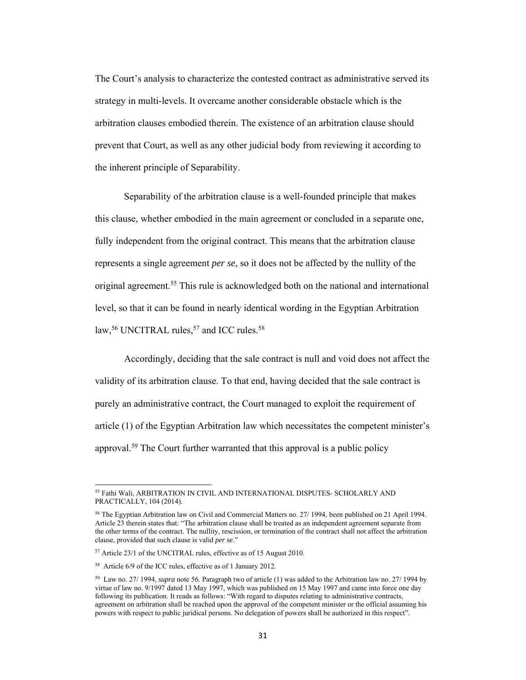The Court's analysis to characterize the contested contract as administrative served its strategy in multi-levels. It overcame another considerable obstacle which is the arbitration clauses embodied therein. The existence of an arbitration clause should prevent that Court, as well as any other judicial body from reviewing it according to the inherent principle of Separability.

 Separability of the arbitration clause is a well-founded principle that makes this clause, whether embodied in the main agreement or concluded in a separate one, fully independent from the original contract. This means that the arbitration clause represents a single agreement *per se*, so it does not be affected by the nullity of the original agreement.55 This rule is acknowledged both on the national and international level, so that it can be found in nearly identical wording in the Egyptian Arbitration law,<sup>56</sup> UNCITRAL rules,<sup>57</sup> and ICC rules.<sup>58</sup>

 Accordingly, deciding that the sale contract is null and void does not affect the validity of its arbitration clause. To that end, having decided that the sale contract is purely an administrative contract, the Court managed to exploit the requirement of article (1) of the Egyptian Arbitration law which necessitates the competent minister's approval.59 The Court further warranted that this approval is a public policy

<sup>55</sup> Fathi Wali, ARBITRATION IN CIVIL AND INTERNATIONAL DISPUTES- SCHOLARLY AND PRACTICALLY, 104 (2014).

<sup>56</sup> The Egyptian Arbitration law on Civil and Commercial Matters no. 27/ 1994, been published on 21 April 1994. Article 23 therein states that: "The arbitration clause shall be treated as an independent agreement separate from the other terms of the contract. The nullity, rescission, or termination of the contract shall not affect the arbitration clause, provided that such clause is valid *per se*."

<sup>57</sup> Article 23/1 of the UNCITRAL rules, effective as of 15 August 2010.

<sup>58</sup> Article 6/9 of the ICC rules, effective as of 1 January 2012.

<sup>59</sup> Law no. 27/ 1994, *supra* note 56. Paragraph two of article (1) was added to the Arbitration law no. 27/ 1994 by virtue of law no. 9/1997 dated 13 May 1997, which was published on 15 May 1997 and came into force one day following its publication. It reads as follows: "With regard to disputes relating to administrative contracts, agreement on arbitration shall be reached upon the approval of the competent minister or the official assuming his powers with respect to public juridical persons. No delegation of powers shall be authorized in this respect".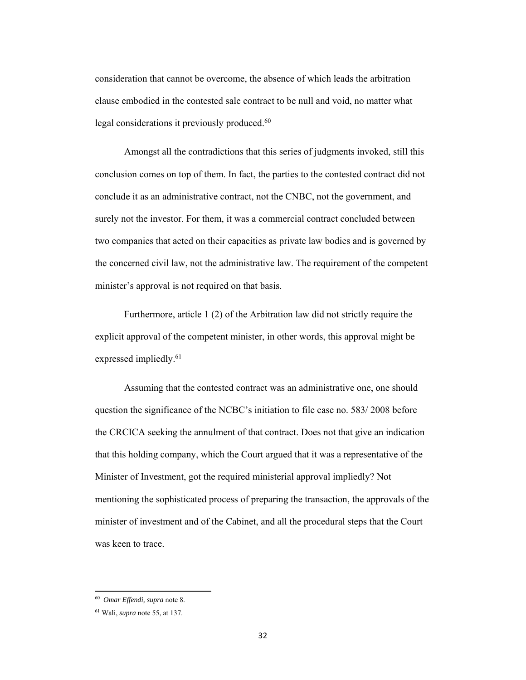consideration that cannot be overcome, the absence of which leads the arbitration clause embodied in the contested sale contract to be null and void, no matter what legal considerations it previously produced.<sup>60</sup>

 Amongst all the contradictions that this series of judgments invoked, still this conclusion comes on top of them. In fact, the parties to the contested contract did not conclude it as an administrative contract, not the CNBC, not the government, and surely not the investor. For them, it was a commercial contract concluded between two companies that acted on their capacities as private law bodies and is governed by the concerned civil law, not the administrative law. The requirement of the competent minister's approval is not required on that basis.

 Furthermore, article 1 (2) of the Arbitration law did not strictly require the explicit approval of the competent minister, in other words, this approval might be expressed impliedly.<sup>61</sup>

Assuming that the contested contract was an administrative one, one should question the significance of the NCBC's initiation to file case no. 583/ 2008 before the CRCICA seeking the annulment of that contract. Does not that give an indication that this holding company, which the Court argued that it was a representative of the Minister of Investment, got the required ministerial approval impliedly? Not mentioning the sophisticated process of preparing the transaction, the approvals of the minister of investment and of the Cabinet, and all the procedural steps that the Court was keen to trace.

<sup>60</sup> *Omar Effendi, supra* note 8.

<sup>61</sup> Wali, *supra* note 55, at 137.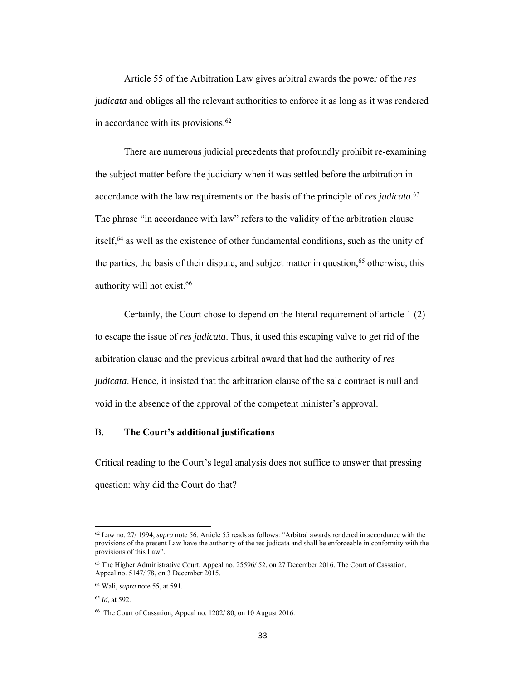Article 55 of the Arbitration Law gives arbitral awards the power of the *res judicata* and obliges all the relevant authorities to enforce it as long as it was rendered in accordance with its provisions.<sup>62</sup>

There are numerous judicial precedents that profoundly prohibit re-examining the subject matter before the judiciary when it was settled before the arbitration in accordance with the law requirements on the basis of the principle of *res judicata*. 63 The phrase "in accordance with law" refers to the validity of the arbitration clause itself,64 as well as the existence of other fundamental conditions, such as the unity of the parties, the basis of their dispute, and subject matter in question,  $65$  otherwise, this authority will not exist.66

Certainly, the Court chose to depend on the literal requirement of article 1 (2) to escape the issue of *res judicata*. Thus, it used this escaping valve to get rid of the arbitration clause and the previous arbitral award that had the authority of *res judicata*. Hence, it insisted that the arbitration clause of the sale contract is null and void in the absence of the approval of the competent minister's approval.

# B. **The Court's additional justifications**

Critical reading to the Court's legal analysis does not suffice to answer that pressing question: why did the Court do that?

<sup>62</sup> Law no. 27/ 1994, *supra* note 56. Article 55 reads as follows: "Arbitral awards rendered in accordance with the provisions of the present Law have the authority of the res judicata and shall be enforceable in conformity with the provisions of this Law".

<sup>&</sup>lt;sup>63</sup> The Higher Administrative Court, Appeal no. 25596/52, on 27 December 2016. The Court of Cassation, Appeal no. 5147/ 78, on 3 December 2015.

<sup>64</sup> Wali, *supra* note 55, at 591.

<sup>65</sup> *Id*, at 592.

<sup>66</sup> The Court of Cassation, Appeal no. 1202/ 80, on 10 August 2016.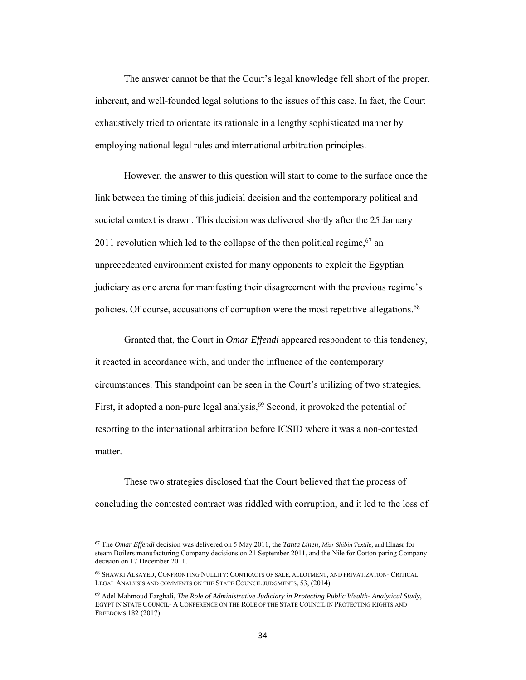The answer cannot be that the Court's legal knowledge fell short of the proper, inherent, and well-founded legal solutions to the issues of this case. In fact, the Court exhaustively tried to orientate its rationale in a lengthy sophisticated manner by employing national legal rules and international arbitration principles.

However, the answer to this question will start to come to the surface once the link between the timing of this judicial decision and the contemporary political and societal context is drawn. This decision was delivered shortly after the 25 January 2011 revolution which led to the collapse of the then political regime,  $67$  an unprecedented environment existed for many opponents to exploit the Egyptian judiciary as one arena for manifesting their disagreement with the previous regime's policies. Of course, accusations of corruption were the most repetitive allegations.<sup>68</sup>

Granted that, the Court in *Omar Effendi* appeared respondent to this tendency, it reacted in accordance with, and under the influence of the contemporary circumstances. This standpoint can be seen in the Court's utilizing of two strategies. First, it adopted a non-pure legal analysis,  $69$  Second, it provoked the potential of resorting to the international arbitration before ICSID where it was a non-contested matter.

These two strategies disclosed that the Court believed that the process of concluding the contested contract was riddled with corruption, and it led to the loss of

<sup>67</sup> The *Omar Effendi* decision was delivered on 5 May 2011, the *Tanta Linen, Misr Shibin Textile,* and Elnasr for steam Boilers manufacturing Company decisions on 21 September 2011, and the Nile for Cotton paring Company decision on 17 December 2011.

<sup>68</sup> SHAWKI ALSAYED, CONFRONTING NULLITY: CONTRACTS OF SALE, ALLOTMENT, AND PRIVATIZATION- CRITICAL LEGAL ANALYSIS AND COMMENTS ON THE STATE COUNCIL JUDGMENTS, 53, (2014).

<sup>69</sup> Adel Mahmoud Farghali, *The Role of Administrative Judiciary in Protecting Public Wealth- Analytical Study*, EGYPT IN STATE COUNCIL- A CONFERENCE ON THE ROLE OF THE STATE COUNCIL IN PROTECTING RIGHTS AND FREEDOMS 182 (2017).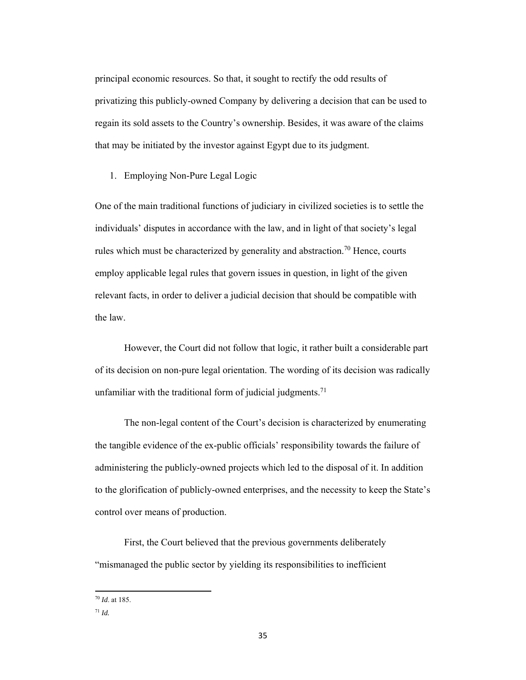principal economic resources. So that, it sought to rectify the odd results of privatizing this publicly-owned Company by delivering a decision that can be used to regain its sold assets to the Country's ownership. Besides, it was aware of the claims that may be initiated by the investor against Egypt due to its judgment.

1. Employing Non-Pure Legal Logic

One of the main traditional functions of judiciary in civilized societies is to settle the individuals' disputes in accordance with the law, and in light of that society's legal rules which must be characterized by generality and abstraction.<sup>70</sup> Hence, courts employ applicable legal rules that govern issues in question, in light of the given relevant facts, in order to deliver a judicial decision that should be compatible with the law.

However, the Court did not follow that logic, it rather built a considerable part of its decision on non-pure legal orientation. The wording of its decision was radically unfamiliar with the traditional form of judicial judgments.<sup>71</sup>

The non-legal content of the Court's decision is characterized by enumerating the tangible evidence of the ex-public officials' responsibility towards the failure of administering the publicly-owned projects which led to the disposal of it. In addition to the glorification of publicly-owned enterprises, and the necessity to keep the State's control over means of production.

First, the Court believed that the previous governments deliberately "mismanaged the public sector by yielding its responsibilities to inefficient

<sup>70</sup> *Id*. at 185.

<sup>71</sup> *Id.*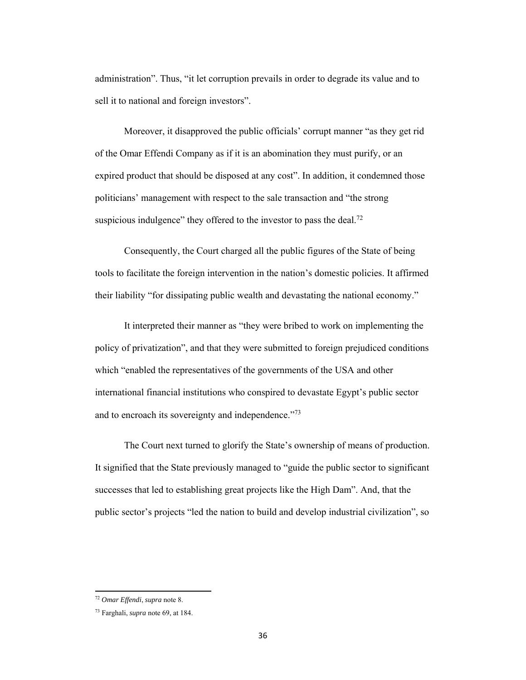administration". Thus, "it let corruption prevails in order to degrade its value and to sell it to national and foreign investors".

Moreover, it disapproved the public officials' corrupt manner "as they get rid of the Omar Effendi Company as if it is an abomination they must purify, or an expired product that should be disposed at any cost". In addition, it condemned those politicians' management with respect to the sale transaction and "the strong suspicious indulgence" they offered to the investor to pass the deal.<sup>72</sup>

Consequently, the Court charged all the public figures of the State of being tools to facilitate the foreign intervention in the nation's domestic policies. It affirmed their liability "for dissipating public wealth and devastating the national economy."

It interpreted their manner as "they were bribed to work on implementing the policy of privatization", and that they were submitted to foreign prejudiced conditions which "enabled the representatives of the governments of the USA and other international financial institutions who conspired to devastate Egypt's public sector and to encroach its sovereignty and independence."<sup>73</sup>

The Court next turned to glorify the State's ownership of means of production. It signified that the State previously managed to "guide the public sector to significant successes that led to establishing great projects like the High Dam". And, that the public sector's projects "led the nation to build and develop industrial civilization", so

<sup>72</sup> *Omar Effendi*, *supra* note 8.

<sup>73</sup> Farghali, *supra* note 69, at 184.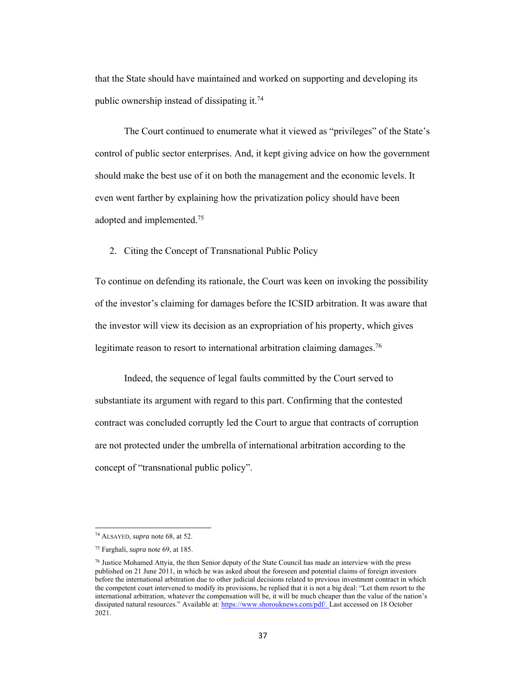that the State should have maintained and worked on supporting and developing its public ownership instead of dissipating it.74

The Court continued to enumerate what it viewed as "privileges" of the State's control of public sector enterprises. And, it kept giving advice on how the government should make the best use of it on both the management and the economic levels. It even went farther by explaining how the privatization policy should have been adopted and implemented.75

2. Citing the Concept of Transnational Public Policy

To continue on defending its rationale, the Court was keen on invoking the possibility of the investor's claiming for damages before the ICSID arbitration. It was aware that the investor will view its decision as an expropriation of his property, which gives legitimate reason to resort to international arbitration claiming damages.<sup>76</sup>

Indeed, the sequence of legal faults committed by the Court served to substantiate its argument with regard to this part. Confirming that the contested contract was concluded corruptly led the Court to argue that contracts of corruption are not protected under the umbrella of international arbitration according to the concept of "transnational public policy".

<sup>74</sup> ALSAYED, *supra* note 68, at 52.

<sup>75</sup> Farghali, *supra* note 69, at 185.

<sup>76</sup> Justice Mohamed Attyia, the then Senior deputy of the State Council has made an interview with the press published on 21 June 2011, in which he was asked about the foreseen and potential claims of foreign investors before the international arbitration due to other judicial decisions related to previous investment contract in which the competent court intervened to modify its provisions, he replied that it is not a big deal: "Let them resort to the international arbitration, whatever the compensation will be, it will be much cheaper than the value of the nation's dissipated natural resources." Available at: https://www.shorouknews.com/pdf/. Last accessed on 18 October 2021.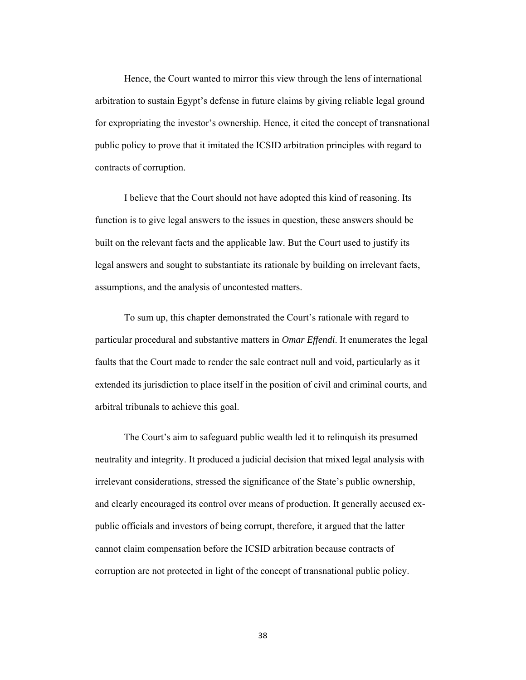Hence, the Court wanted to mirror this view through the lens of international arbitration to sustain Egypt's defense in future claims by giving reliable legal ground for expropriating the investor's ownership. Hence, it cited the concept of transnational public policy to prove that it imitated the ICSID arbitration principles with regard to contracts of corruption.

I believe that the Court should not have adopted this kind of reasoning. Its function is to give legal answers to the issues in question, these answers should be built on the relevant facts and the applicable law. But the Court used to justify its legal answers and sought to substantiate its rationale by building on irrelevant facts, assumptions, and the analysis of uncontested matters.

To sum up, this chapter demonstrated the Court's rationale with regard to particular procedural and substantive matters in *Omar Effendi*. It enumerates the legal faults that the Court made to render the sale contract null and void, particularly as it extended its jurisdiction to place itself in the position of civil and criminal courts, and arbitral tribunals to achieve this goal.

The Court's aim to safeguard public wealth led it to relinquish its presumed neutrality and integrity. It produced a judicial decision that mixed legal analysis with irrelevant considerations, stressed the significance of the State's public ownership, and clearly encouraged its control over means of production. It generally accused expublic officials and investors of being corrupt, therefore, it argued that the latter cannot claim compensation before the ICSID arbitration because contracts of corruption are not protected in light of the concept of transnational public policy.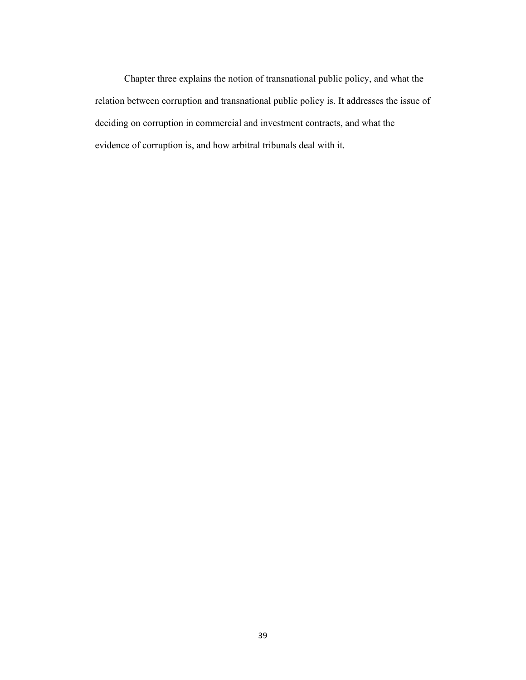Chapter three explains the notion of transnational public policy, and what the relation between corruption and transnational public policy is. It addresses the issue of deciding on corruption in commercial and investment contracts, and what the evidence of corruption is, and how arbitral tribunals deal with it.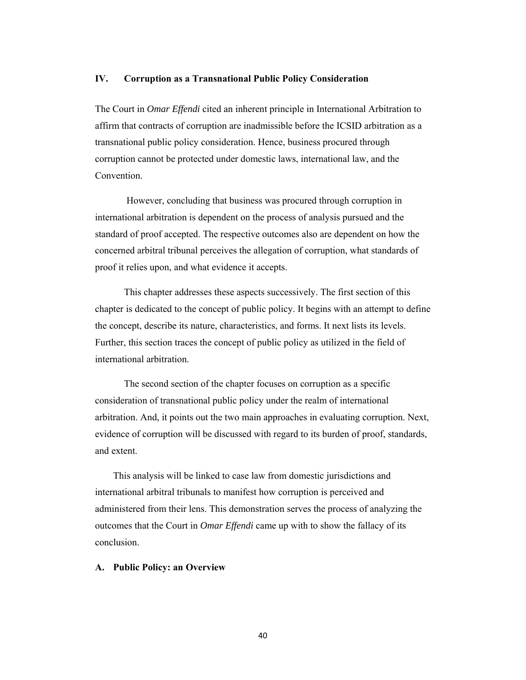## **IV. Corruption as a Transnational Public Policy Consideration**

The Court in *Omar Effendi* cited an inherent principle in International Arbitration to affirm that contracts of corruption are inadmissible before the ICSID arbitration as a transnational public policy consideration. Hence, business procured through corruption cannot be protected under domestic laws, international law, and the Convention.

 However, concluding that business was procured through corruption in international arbitration is dependent on the process of analysis pursued and the standard of proof accepted. The respective outcomes also are dependent on how the concerned arbitral tribunal perceives the allegation of corruption, what standards of proof it relies upon, and what evidence it accepts.

This chapter addresses these aspects successively. The first section of this chapter is dedicated to the concept of public policy. It begins with an attempt to define the concept, describe its nature, characteristics, and forms. It next lists its levels. Further, this section traces the concept of public policy as utilized in the field of international arbitration.

The second section of the chapter focuses on corruption as a specific consideration of transnational public policy under the realm of international arbitration. And, it points out the two main approaches in evaluating corruption. Next, evidence of corruption will be discussed with regard to its burden of proof, standards, and extent.

This analysis will be linked to case law from domestic jurisdictions and international arbitral tribunals to manifest how corruption is perceived and administered from their lens. This demonstration serves the process of analyzing the outcomes that the Court in *Omar Effendi* came up with to show the fallacy of its conclusion.

#### **A. Public Policy: an Overview**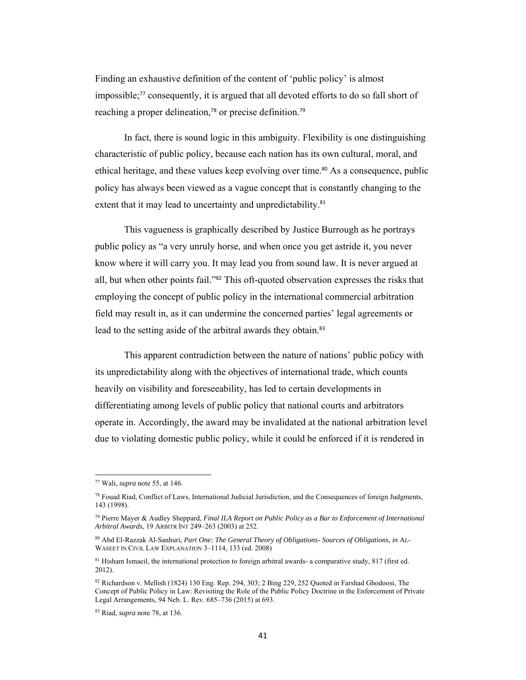Finding an exhaustive definition of the content of 'public policy' is almost impossible;77 consequently, it is argued that all devoted efforts to do so fall short of reaching a proper delineation,<sup>78</sup> or precise definition.<sup>79</sup>

In fact, there is sound logic in this ambiguity. Flexibility is one distinguishing characteristic of public policy, because each nation has its own cultural, moral, and ethical heritage, and these values keep evolving over time.80 As a consequence, public policy has always been viewed as a vague concept that is constantly changing to the extent that it may lead to uncertainty and unpredictability.<sup>81</sup>

This vagueness is graphically described by Justice Burrough as he portrays public policy as "a very unruly horse, and when once you get astride it, you never know where it will carry you. It may lead you from sound law. It is never argued at all, but when other points fail."82 This oft-quoted observation expresses the risks that employing the concept of public policy in the international commercial arbitration field may result in, as it can undermine the concerned parties' legal agreements or lead to the setting aside of the arbitral awards they obtain.<sup>83</sup>

This apparent contradiction between the nature of nations' public policy with its unpredictability along with the objectives of international trade, which counts heavily on visibility and foreseeability, has led to certain developments in differentiating among levels of public policy that national courts and arbitrators operate in. Accordingly, the award may be invalidated at the national arbitration level due to violating domestic public policy, while it could be enforced if it is rendered in

<sup>77</sup> Wali, *supra* note 55, at 146.

<sup>78</sup> Fouad Riad, Conflict of Laws, International Judicial Jurisdiction, and the Consequences of foreign Judgments, 143 (1998).

<sup>79</sup> Pierre Mayer & Audley Sheppard, *Final ILA Report on Public Policy as a Bar to Enforcement of International Arbitral Awards*, 19 ARBITR INT 249–263 (2003) at 252.

<sup>80</sup> Abd El-Razzak Al-Sanhuri, *Part One: The General Theory of Obligations- Sources of Obligations*, *in* AL-WASEET IN CIVIL LAW EXPLANATION 3–1114, 133 (ed. 2008)

<sup>81</sup> Hisham Ismaeil, the international protection to foreign arbitral awards- a comparative study, 817 (first ed. 2012).

<sup>82</sup> Richardson v. Mellish (1824) 130 Eng. Rep. 294, 303; 2 Bing 229, 252 Quoted in Farshad Ghodoosi, The Concept of Public Policy in Law: Revisiting the Role of the Public Policy Doctrine in the Enforcement of Private Legal Arrangements, 94 Neb. L. Rev. 685–736 (2015) at 693.

<sup>83</sup> Riad, *supra* note 78, at 136.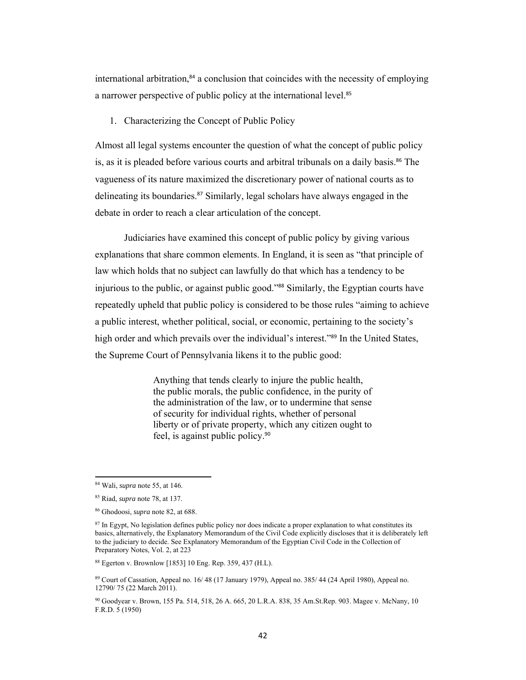international arbitration, $84$  a conclusion that coincides with the necessity of employing a narrower perspective of public policy at the international level.<sup>85</sup>

1. Characterizing the Concept of Public Policy

Almost all legal systems encounter the question of what the concept of public policy is, as it is pleaded before various courts and arbitral tribunals on a daily basis.<sup>86</sup> The vagueness of its nature maximized the discretionary power of national courts as to delineating its boundaries.87 Similarly, legal scholars have always engaged in the debate in order to reach a clear articulation of the concept.

Judiciaries have examined this concept of public policy by giving various explanations that share common elements. In England, it is seen as "that principle of law which holds that no subject can lawfully do that which has a tendency to be injurious to the public, or against public good."88 Similarly, the Egyptian courts have repeatedly upheld that public policy is considered to be those rules "aiming to achieve a public interest, whether political, social, or economic, pertaining to the society's high order and which prevails over the individual's interest."<sup>89</sup> In the United States, the Supreme Court of Pennsylvania likens it to the public good:

> Anything that tends clearly to injure the public health, the public morals, the public confidence, in the purity of the administration of the law, or to undermine that sense of security for individual rights, whether of personal liberty or of private property, which any citizen ought to feel, is against public policy.<sup>90</sup>

<sup>84</sup> Wali, *supra* note 55, at 146.

<sup>85</sup> Riad, *supra* note 78, at 137.

<sup>86</sup> Ghodoosi, *supra* note 82, at 688.

<sup>&</sup>lt;sup>87</sup> In Egypt, No legislation defines public policy nor does indicate a proper explanation to what constitutes its basics, alternatively, the Explanatory Memorandum of the Civil Code explicitly discloses that it is deliberately left to the judiciary to decide. See Explanatory Memorandum of the Egyptian Civil Code in the Collection of Preparatory Notes, Vol. 2, at 223

<sup>88</sup> Egerton v. Brownlow [1853] 10 Eng. Rep. 359, 437 (H.L).

<sup>89</sup> Court of Cassation, Appeal no. 16/ 48 (17 January 1979), Appeal no. 385/ 44 (24 April 1980), Appeal no. 12790/ 75 (22 March 2011).

<sup>90</sup> Goodyear v. Brown, 155 Pa. 514, 518, 26 A. 665, 20 L.R.A. 838, 35 Am.St.Rep. 903. Magee v. McNany, 10 F.R.D. 5 (1950)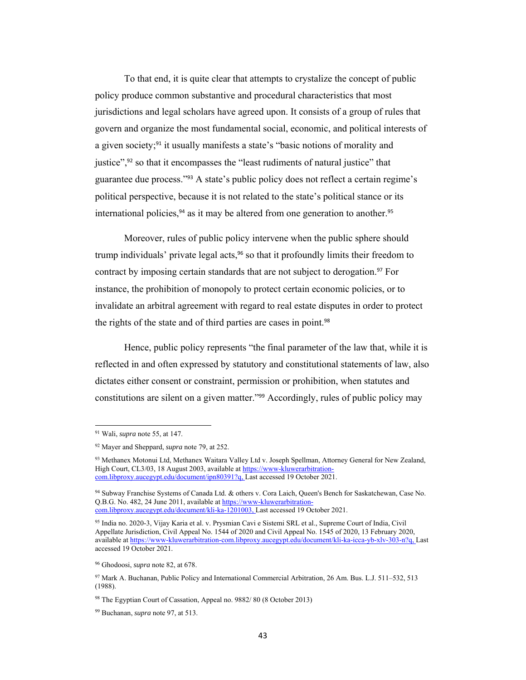To that end, it is quite clear that attempts to crystalize the concept of public policy produce common substantive and procedural characteristics that most jurisdictions and legal scholars have agreed upon. It consists of a group of rules that govern and organize the most fundamental social, economic, and political interests of a given society;<sup>91</sup> it usually manifests a state's "basic notions of morality and justice",92 so that it encompasses the "least rudiments of natural justice" that guarantee due process."93 A state's public policy does not reflect a certain regime's political perspective, because it is not related to the state's political stance or its international policies,  $94$  as it may be altered from one generation to another.  $95$ 

Moreover, rules of public policy intervene when the public sphere should trump individuals' private legal acts,<sup>96</sup> so that it profoundly limits their freedom to contract by imposing certain standards that are not subject to derogation.<sup>97</sup> For instance, the prohibition of monopoly to protect certain economic policies, or to invalidate an arbitral agreement with regard to real estate disputes in order to protect the rights of the state and of third parties are cases in point. 98

Hence, public policy represents "the final parameter of the law that, while it is reflected in and often expressed by statutory and constitutional statements of law, also dictates either consent or constraint, permission or prohibition, when statutes and constitutions are silent on a given matter."99 Accordingly, rules of public policy may

<sup>91</sup> Wali, *supra* note 55, at 147.

<sup>92</sup> Mayer and Sheppard, *supra* note 79, at 252.

<sup>93</sup> Methanex Motonui Ltd, Methanex Waitara Valley Ltd v. Joseph Spellman, Attorney General for New Zealand, High Court, CL3/03, 18 August 2003, available at https://www-kluwerarbitrationcom.libproxy.aucegypt.edu/document/ipn80391?q, Last accessed 19 October 2021.

<sup>94</sup> Subway Franchise Systems of Canada Ltd. & others v. Cora Laich, Queen's Bench for Saskatchewan, Case No. Q.B.G. No. 482, 24 June 2011, available at https://www-kluwerarbitrationcom.libproxy.aucegypt.edu/document/kli-ka-1201003, Last accessed 19 October 2021.

<sup>95</sup> India no. 2020-3, Vijay Karia et al. v. Prysmian Cavi e Sistemi SRL et al., Supreme Court of India, Civil Appellate Jurisdiction, Civil Appeal No. 1544 of 2020 and Civil Appeal No. 1545 of 2020, 13 February 2020, available at https://www-kluwerarbitration-com.libproxy.aucegypt.edu/document/kli-ka-icca-yb-xlv-303-n?q, Last accessed 19 October 2021.

<sup>96</sup> Ghodoosi, *supra* note 82, at 678.

<sup>97</sup> Mark A. Buchanan, Public Policy and International Commercial Arbitration, 26 Am. Bus. L.J. 511–532, 513 (1988).

<sup>98</sup> The Egyptian Court of Cassation, Appeal no. 9882/ 80 (8 October 2013)

<sup>99</sup> Buchanan, *supra* note 97, at 513.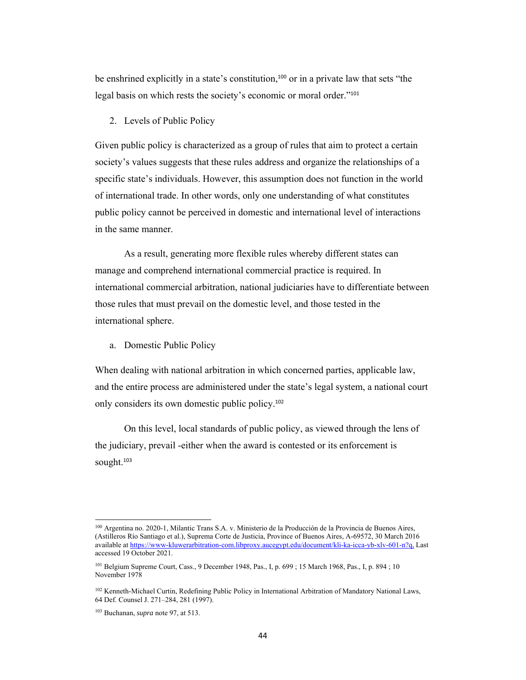be enshrined explicitly in a state's constitution,<sup>100</sup> or in a private law that sets "the legal basis on which rests the society's economic or moral order."<sup>101</sup>

### 2. Levels of Public Policy

Given public policy is characterized as a group of rules that aim to protect a certain society's values suggests that these rules address and organize the relationships of a specific state's individuals. However, this assumption does not function in the world of international trade. In other words, only one understanding of what constitutes public policy cannot be perceived in domestic and international level of interactions in the same manner.

As a result, generating more flexible rules whereby different states can manage and comprehend international commercial practice is required. In international commercial arbitration, national judiciaries have to differentiate between those rules that must prevail on the domestic level, and those tested in the international sphere.

a. Domestic Public Policy

When dealing with national arbitration in which concerned parties, applicable law, and the entire process are administered under the state's legal system, a national court only considers its own domestic public policy.<sup>102</sup>

On this level, local standards of public policy, as viewed through the lens of the judiciary, prevail -either when the award is contested or its enforcement is sought.<sup>103</sup>

<sup>100</sup> Argentina no. 2020-1, Milantic Trans S.A. v. Ministerio de la Producción de la Provincia de Buenos Aires, (Astilleros Río Santiago et al.), Suprema Corte de Justicia, Province of Buenos Aires, A-69572, 30 March 2016 available at https://www-kluwerarbitration-com.libproxy.aucegypt.edu/document/kli-ka-icca-yb-xlv-601-n?q, Last accessed 19 October 2021.

<sup>101</sup> Belgium Supreme Court, Cass., 9 December 1948, Pas., I, p. 699 ; 15 March 1968, Pas., I, p. 894 ; 10 November 1978

<sup>102</sup> Kenneth-Michael Curtin, Redefining Public Policy in International Arbitration of Mandatory National Laws, 64 Def. Counsel J. 271–284, 281 (1997).

<sup>103</sup> Buchanan, *supra* note 97, at 513.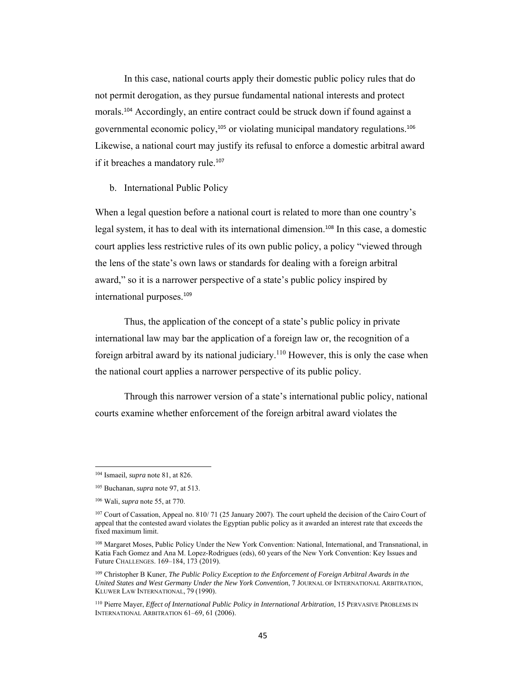In this case, national courts apply their domestic public policy rules that do not permit derogation, as they pursue fundamental national interests and protect morals.104 Accordingly, an entire contract could be struck down if found against a governmental economic policy,105 or violating municipal mandatory regulations.<sup>106</sup> Likewise, a national court may justify its refusal to enforce a domestic arbitral award if it breaches a mandatory rule.<sup>107</sup>

#### b. International Public Policy

When a legal question before a national court is related to more than one country's legal system, it has to deal with its international dimension.108 In this case, a domestic court applies less restrictive rules of its own public policy, a policy "viewed through the lens of the state's own laws or standards for dealing with a foreign arbitral award," so it is a narrower perspective of a state's public policy inspired by international purposes.<sup>109</sup>

Thus, the application of the concept of a state's public policy in private international law may bar the application of a foreign law or, the recognition of a foreign arbitral award by its national judiciary.110 However, this is only the case when the national court applies a narrower perspective of its public policy.

Through this narrower version of a state's international public policy, national courts examine whether enforcement of the foreign arbitral award violates the

<sup>104</sup> Ismaeil, *supra* note 81, at 826.

<sup>105</sup> Buchanan, *supra* note 97, at 513.

<sup>106</sup> Wali, *supra* note 55, at 770.

<sup>107</sup> Court of Cassation, Appeal no. 810/ 71 (25 January 2007). The court upheld the decision of the Cairo Court of appeal that the contested award violates the Egyptian public policy as it awarded an interest rate that exceeds the fixed maximum limit.

<sup>108</sup> Margaret Moses, Public Policy Under the New York Convention: National, International, and Transnational, in Katia Fach Gomez and Ana M. Lopez-Rodrigues (eds), 60 years of the New York Convention: Key Issues and Future CHALLENGES. 169–184, 173 (2019).

<sup>109</sup> Christopher B Kuner, *The Public Policy Exception to the Enforcement of Foreign Arbitral Awards in the United States and West Germany Under the New York Convention*, 7 JOURNAL OF INTERNATIONAL ARBITRATION, KLUWER LAW INTERNATIONAL, 79 (1990).

<sup>110</sup> Pierre Mayer, *Effect of International Public Policy in International Arbitration*, 15 PERVASIVE PROBLEMS IN INTERNATIONAL ARBITRATION 61–69, 61 (2006).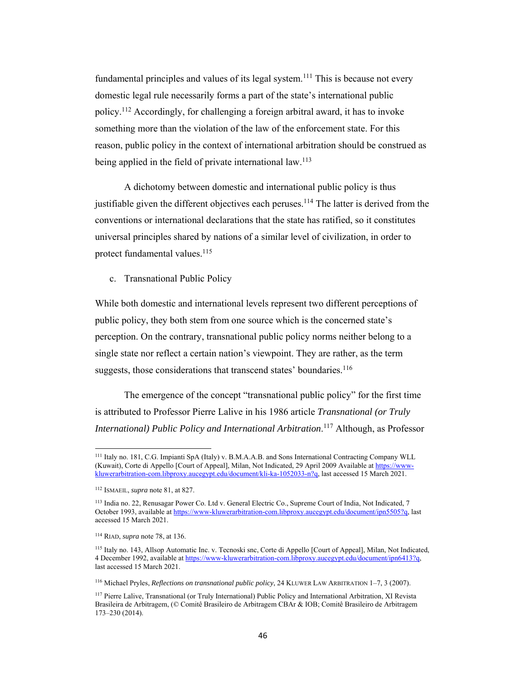fundamental principles and values of its legal system.<sup>111</sup> This is because not every domestic legal rule necessarily forms a part of the state's international public policy.112 Accordingly, for challenging a foreign arbitral award, it has to invoke something more than the violation of the law of the enforcement state. For this reason, public policy in the context of international arbitration should be construed as being applied in the field of private international law.<sup>113</sup>

A dichotomy between domestic and international public policy is thus justifiable given the different objectives each peruses.<sup>114</sup> The latter is derived from the conventions or international declarations that the state has ratified, so it constitutes universal principles shared by nations of a similar level of civilization, in order to protect fundamental values.<sup>115</sup>

c. Transnational Public Policy

While both domestic and international levels represent two different perceptions of public policy, they both stem from one source which is the concerned state's perception. On the contrary, transnational public policy norms neither belong to a single state nor reflect a certain nation's viewpoint. They are rather, as the term suggests, those considerations that transcend states' boundaries.<sup>116</sup>

The emergence of the concept "transnational public policy" for the first time is attributed to Professor Pierre Lalive in his 1986 article *Transnational (or Truly International) Public Policy and International Arbitration*. 117 Although, as Professor

<sup>111</sup> Italy no. 181, C.G. Impianti SpA (Italy) v. B.M.A.A.B. and Sons International Contracting Company WLL (Kuwait), Corte di Appello [Court of Appeal], Milan, Not Indicated, 29 April 2009 Available at https://wwwkluwerarbitration-com.libproxy.aucegypt.edu/document/kli-ka-1052033-n?q, last accessed 15 March 2021.

<sup>112</sup> ISMAEIL, *supra* note 81, at 827.

<sup>113</sup> India no. 22, Renusagar Power Co. Ltd v. General Electric Co., Supreme Court of India, Not Indicated, 7 October 1993, available at https://www-kluwerarbitration-com.libproxy.aucegypt.edu/document/ipn5505?q, last accessed 15 March 2021.

<sup>114</sup> RIAD, *supra* note 78, at 136.

<sup>115</sup> Italy no. 143, Allsop Automatic Inc. v. Tecnoski snc, Corte di Appello [Court of Appeal], Milan, Not Indicated, 4 December 1992, available at https://www-kluwerarbitration-com.libproxy.aucegypt.edu/document/ipn6413?q, last accessed 15 March 2021.

<sup>116</sup> Michael Pryles, *Reflections on transnational public policy*, 24 KLUWER LAW ARBITRATION 1–7, 3 (2007).

<sup>117</sup> Pierre Lalive, Transnational (or Truly International) Public Policy and International Arbitration, XI Revista Brasileira de Arbitragem, (© Comitê Brasileiro de Arbitragem CBAr & IOB; Comitê Brasileiro de Arbitragem 173–230 (2014).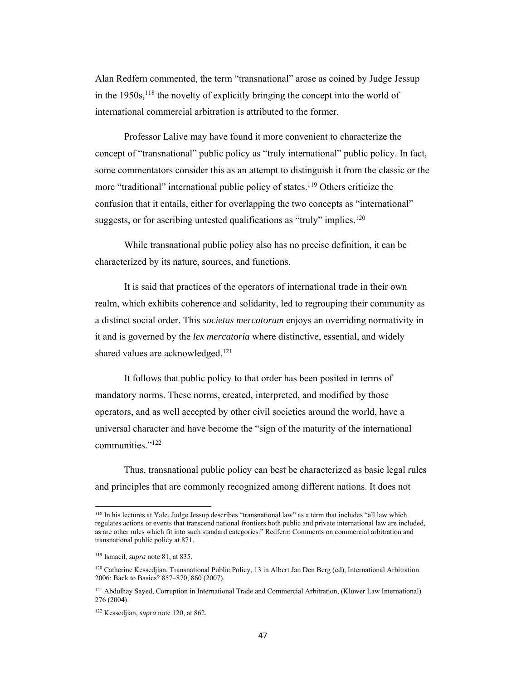Alan Redfern commented, the term "transnational" arose as coined by Judge Jessup in the  $1950s$ ,  $118$  the novelty of explicitly bringing the concept into the world of international commercial arbitration is attributed to the former.

Professor Lalive may have found it more convenient to characterize the concept of "transnational" public policy as "truly international" public policy. In fact, some commentators consider this as an attempt to distinguish it from the classic or the more "traditional" international public policy of states.<sup>119</sup> Others criticize the confusion that it entails, either for overlapping the two concepts as "international" suggests, or for ascribing untested qualifications as "truly" implies.<sup>120</sup>

While transnational public policy also has no precise definition, it can be characterized by its nature, sources, and functions.

It is said that practices of the operators of international trade in their own realm, which exhibits coherence and solidarity, led to regrouping their community as a distinct social order. This *societas mercatorum* enjoys an overriding normativity in it and is governed by the *lex mercatoria* where distinctive, essential, and widely shared values are acknowledged.<sup>121</sup>

It follows that public policy to that order has been posited in terms of mandatory norms. These norms, created, interpreted, and modified by those operators, and as well accepted by other civil societies around the world, have a universal character and have become the "sign of the maturity of the international communities."122

Thus, transnational public policy can best be characterized as basic legal rules and principles that are commonly recognized among different nations. It does not

<sup>118</sup> In his lectures at Yale, Judge Jessup describes "transnational law" as a term that includes "all law which regulates actions or events that transcend national frontiers both public and private international law are included, as are other rules which fit into such standard categories." Redfern: Comments on commercial arbitration and transnational public policy at 871.

<sup>119</sup> Ismaeil, *supra* note 81, at 835.

<sup>120</sup> Catherine Kessedjian, Transnational Public Policy, 13 in Albert Jan Den Berg (ed), International Arbitration 2006: Back to Basics? 857–870, 860 (2007).

<sup>121</sup> Abdulhay Sayed, Corruption in International Trade and Commercial Arbitration, (Kluwer Law International) 276 (2004).

<sup>122</sup> Kessedjian, *supra* note 120, at 862.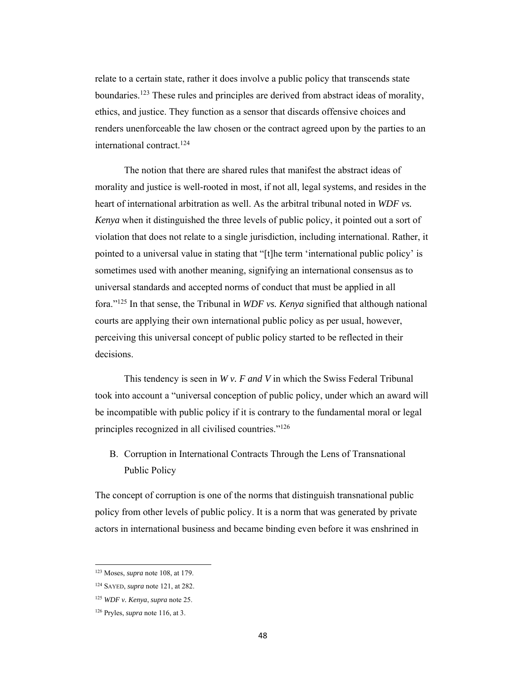relate to a certain state, rather it does involve a public policy that transcends state boundaries.123 These rules and principles are derived from abstract ideas of morality, ethics, and justice. They function as a sensor that discards offensive choices and renders unenforceable the law chosen or the contract agreed upon by the parties to an international contract.124

The notion that there are shared rules that manifest the abstract ideas of morality and justice is well-rooted in most, if not all, legal systems, and resides in the heart of international arbitration as well. As the arbitral tribunal noted in *WDF vs. Kenya* when it distinguished the three levels of public policy, it pointed out a sort of violation that does not relate to a single jurisdiction, including international. Rather, it pointed to a universal value in stating that "[t]he term 'international public policy' is sometimes used with another meaning, signifying an international consensus as to universal standards and accepted norms of conduct that must be applied in all fora."125 In that sense, the Tribunal in *WDF vs. Kenya* signified that although national courts are applying their own international public policy as per usual, however, perceiving this universal concept of public policy started to be reflected in their decisions.

This tendency is seen in *W v. F and V* in which the Swiss Federal Tribunal took into account a "universal conception of public policy, under which an award will be incompatible with public policy if it is contrary to the fundamental moral or legal principles recognized in all civilised countries."126

B. Corruption in International Contracts Through the Lens of Transnational Public Policy

The concept of corruption is one of the norms that distinguish transnational public policy from other levels of public policy. It is a norm that was generated by private actors in international business and became binding even before it was enshrined in

<sup>123</sup> Moses, *supra* note 108, at 179.

<sup>124</sup> SAYED, *supra* note 121, at 282.

<sup>125</sup> *WDF v. Kenya*, *supra* note 25.

<sup>126</sup> Pryles, *supra* note 116, at 3.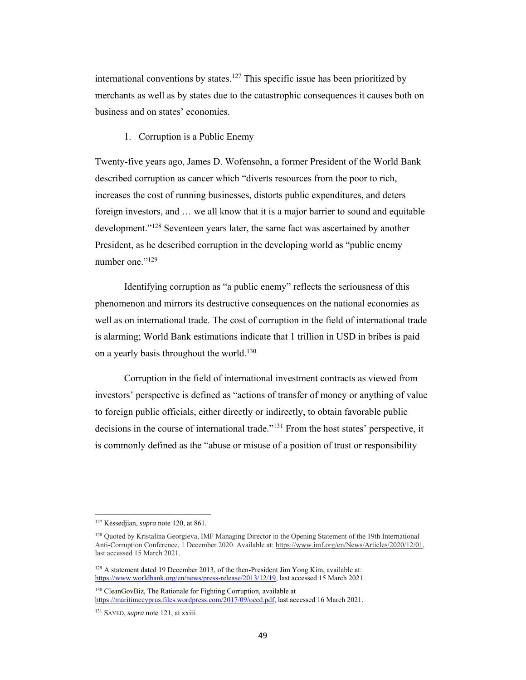international conventions by states.<sup>127</sup> This specific issue has been prioritized by merchants as well as by states due to the catastrophic consequences it causes both on business and on states' economies.

1. Corruption is a Public Enemy

Twenty-five years ago, James D. Wofensohn, a former President of the World Bank described corruption as cancer which "diverts resources from the poor to rich, increases the cost of running businesses, distorts public expenditures, and deters foreign investors, and … we all know that it is a major barrier to sound and equitable development."128 Seventeen years later, the same fact was ascertained by another President, as he described corruption in the developing world as "public enemy number one."<sup>129</sup>

Identifying corruption as "a public enemy" reflects the seriousness of this phenomenon and mirrors its destructive consequences on the national economies as well as on international trade. The cost of corruption in the field of international trade is alarming; World Bank estimations indicate that 1 trillion in USD in bribes is paid on a yearly basis throughout the world.<sup>130</sup>

Corruption in the field of international investment contracts as viewed from investors' perspective is defined as "actions of transfer of money or anything of value to foreign public officials, either directly or indirectly, to obtain favorable public decisions in the course of international trade."131 From the host states' perspective, it is commonly defined as the "abuse or misuse of a position of trust or responsibility

 127 Kessedjian, *supra* note 120, at 861.

<sup>128</sup> Quoted by Kristalina Georgieva, IMF Managing Director in the Opening Statement of the 19th International Anti-Corruption Conference, 1 December 2020. Available at: https://www.imf.org/en/News/Articles/2020/12/01, last accessed 15 March 2021.

<sup>&</sup>lt;sup>129</sup> A statement dated 19 December 2013, of the then-President Jim Yong Kim, available at: https://www.worldbank.org/en/news/press-release/2013/12/19, last accessed 15 March 2021.

<sup>130</sup> CleanGovBiz, The Rationale for Fighting Corruption, available at https://maritimecyprus.files.wordpress.com/2017/09/oecd.pdf, last accessed 16 March 2021.

<sup>131</sup> SAYED, *supra* note 121, at xxiii.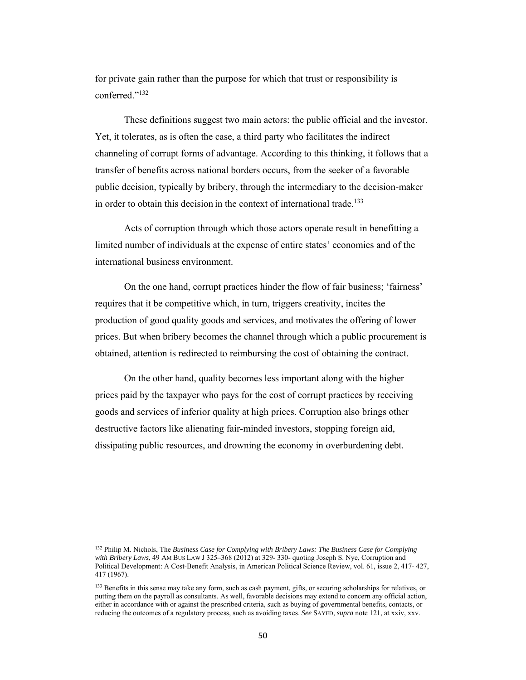for private gain rather than the purpose for which that trust or responsibility is conferred."132

 These definitions suggest two main actors: the public official and the investor. Yet, it tolerates, as is often the case, a third party who facilitates the indirect channeling of corrupt forms of advantage. According to this thinking, it follows that a transfer of benefits across national borders occurs, from the seeker of a favorable public decision, typically by bribery, through the intermediary to the decision-maker in order to obtain this decision in the context of international trade.133

Acts of corruption through which those actors operate result in benefitting a limited number of individuals at the expense of entire states' economies and of the international business environment.

On the one hand, corrupt practices hinder the flow of fair business; 'fairness' requires that it be competitive which, in turn, triggers creativity, incites the production of good quality goods and services, and motivates the offering of lower prices. But when bribery becomes the channel through which a public procurement is obtained, attention is redirected to reimbursing the cost of obtaining the contract.

On the other hand, quality becomes less important along with the higher prices paid by the taxpayer who pays for the cost of corrupt practices by receiving goods and services of inferior quality at high prices. Corruption also brings other destructive factors like alienating fair-minded investors, stopping foreign aid, dissipating public resources, and drowning the economy in overburdening debt.

<sup>132</sup> Philip M. Nichols, The *Business Case for Complying with Bribery Laws: The Business Case for Complying with Bribery Laws*, 49 AM BUS LAW J 325–368 (2012) at 329- 330- quoting Joseph S. Nye, Corruption and Political Development: A Cost-Benefit Analysis, in American Political Science Review, vol. 61, issue 2, 417- 427, 417 (1967).

<sup>&</sup>lt;sup>133</sup> Benefits in this sense may take any form, such as cash payment, gifts, or securing scholarships for relatives, or putting them on the payroll as consultants. As well, favorable decisions may extend to concern any official action, either in accordance with or against the prescribed criteria, such as buying of governmental benefits, contacts, or reducing the outcomes of a regulatory process, such as avoiding taxes. *See* SAYED, *supra* note 121, at xxiv, xxv.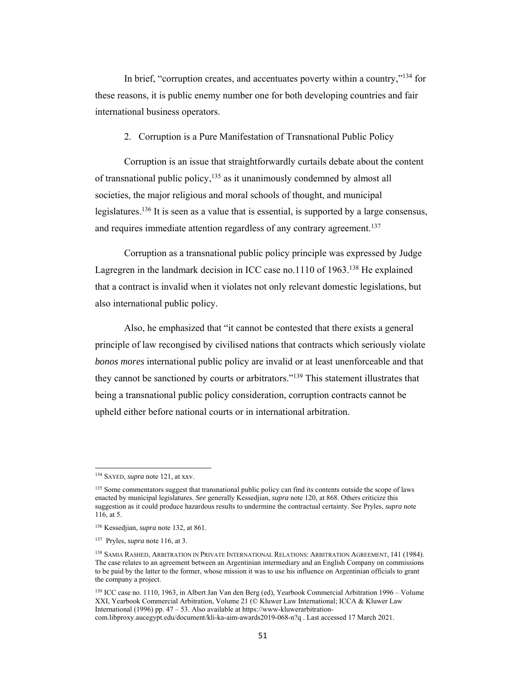In brief, "corruption creates, and accentuates poverty within a country,"<sup>134</sup> for these reasons, it is public enemy number one for both developing countries and fair international business operators.

2. Corruption is a Pure Manifestation of Transnational Public Policy

Corruption is an issue that straightforwardly curtails debate about the content of transnational public policy,  $135$  as it unanimously condemned by almost all societies, the major religious and moral schools of thought, and municipal legislatures.<sup>136</sup> It is seen as a value that is essential, is supported by a large consensus, and requires immediate attention regardless of any contrary agreement.<sup>137</sup>

Corruption as a transnational public policy principle was expressed by Judge Lagregren in the landmark decision in ICC case no.1110 of  $1963$ <sup>138</sup> He explained that a contract is invalid when it violates not only relevant domestic legislations, but also international public policy.

Also, he emphasized that "it cannot be contested that there exists a general principle of law recongised by civilised nations that contracts which seriously violate *bonos mores* international public policy are invalid or at least unenforceable and that they cannot be sanctioned by courts or arbitrators."139 This statement illustrates that being a transnational public policy consideration, corruption contracts cannot be upheld either before national courts or in international arbitration.

<sup>134</sup> SAYED, *supra* note 121, at xxv.

<sup>&</sup>lt;sup>135</sup> Some commentators suggest that transnational public policy can find its contents outside the scope of laws enacted by municipal legislatures. *See* generally Kessedjian, *supra* note 120, at 868. Others criticize this suggestion as it could produce hazardous results to undermine the contractual certainty. See Pryles, *supra* note 116, at 5.

<sup>136</sup> Kessedjian, *supra* note 132, at 861.

<sup>137</sup> Pryles, *supra* note 116, at 3.

<sup>138</sup> SAMIA RASHED, ARBITRATION IN PRIVATE INTERNATIONAL RELATIONS: ARBITRATION AGREEMENT, 141 (1984). The case relates to an agreement between an Argentinian intermediary and an English Company on commissions to be paid by the latter to the former, whose mission it was to use his influence on Argentinian officials to grant the company a project.

<sup>139</sup> ICC case no. 1110, 1963, in Albert Jan Van den Berg (ed), Yearbook Commercial Arbitration 1996 – Volume XXI, Yearbook Commercial Arbitration, Volume 21 (© Kluwer Law International; ICCA & Kluwer Law International (1996) pp. 47 – 53. Also available at https://www-kluwerarbitrationcom.libproxy.aucegypt.edu/document/kli-ka-aim-awards2019-068-n?q . Last accessed 17 March 2021.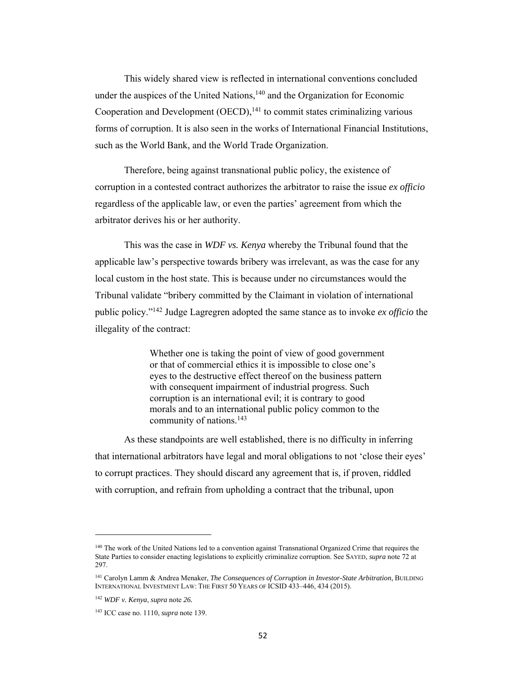This widely shared view is reflected in international conventions concluded under the auspices of the United Nations, $140$  and the Organization for Economic Cooperation and Development  $(OECD)$ ,<sup>141</sup> to commit states criminalizing various forms of corruption. It is also seen in the works of International Financial Institutions, such as the World Bank, and the World Trade Organization.

Therefore, being against transnational public policy, the existence of corruption in a contested contract authorizes the arbitrator to raise the issue *ex officio* regardless of the applicable law, or even the parties' agreement from which the arbitrator derives his or her authority.

This was the case in *WDF vs. Kenya* whereby the Tribunal found that the applicable law's perspective towards bribery was irrelevant, as was the case for any local custom in the host state. This is because under no circumstances would the Tribunal validate "bribery committed by the Claimant in violation of international public policy."142 Judge Lagregren adopted the same stance as to invoke *ex officio* the illegality of the contract:

> Whether one is taking the point of view of good government or that of commercial ethics it is impossible to close one's eyes to the destructive effect thereof on the business pattern with consequent impairment of industrial progress. Such corruption is an international evil; it is contrary to good morals and to an international public policy common to the community of nations.<sup>143</sup>

As these standpoints are well established, there is no difficulty in inferring that international arbitrators have legal and moral obligations to not 'close their eyes' to corrupt practices. They should discard any agreement that is, if proven, riddled with corruption, and refrain from upholding a contract that the tribunal, upon

<sup>140</sup> The work of the United Nations led to a convention against Transnational Organized Crime that requires the State Parties to consider enacting legislations to explicitly criminalize corruption. See SAYED, *supra* note 72 at 297.

<sup>141</sup> Carolyn Lamm & Andrea Menaker, *The Consequences of Corruption in Investor-State Arbitration*, BUILDING INTERNATIONAL INVESTMENT LAW: THE FIRST 50 YEARS OF ICSID 433–446, 434 (2015).

<sup>142</sup> *WDF v. Kenya*, *supra* note *26.*

<sup>143</sup> ICC case no. 1110, *supra* note 139.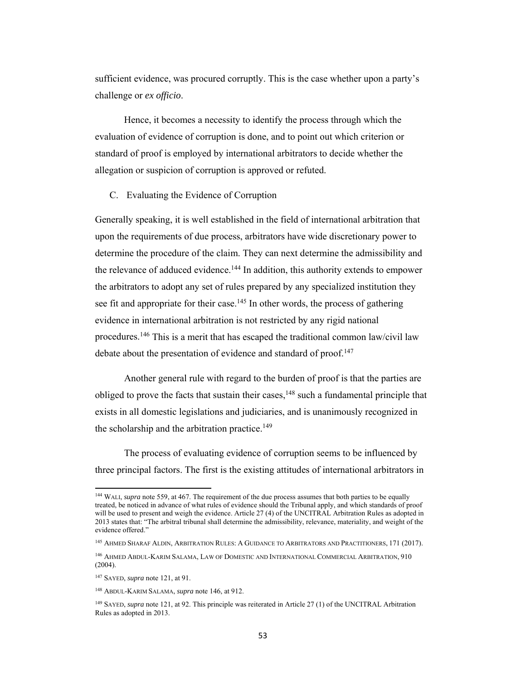sufficient evidence, was procured corruptly. This is the case whether upon a party's challenge or *ex officio*.

Hence, it becomes a necessity to identify the process through which the evaluation of evidence of corruption is done, and to point out which criterion or standard of proof is employed by international arbitrators to decide whether the allegation or suspicion of corruption is approved or refuted.

#### C. Evaluating the Evidence of Corruption

Generally speaking, it is well established in the field of international arbitration that upon the requirements of due process, arbitrators have wide discretionary power to determine the procedure of the claim. They can next determine the admissibility and the relevance of adduced evidence.<sup>144</sup> In addition, this authority extends to empower the arbitrators to adopt any set of rules prepared by any specialized institution they see fit and appropriate for their case.<sup>145</sup> In other words, the process of gathering evidence in international arbitration is not restricted by any rigid national procedures.146 This is a merit that has escaped the traditional common law/civil law debate about the presentation of evidence and standard of proof.<sup>147</sup>

 Another general rule with regard to the burden of proof is that the parties are obliged to prove the facts that sustain their cases,<sup>148</sup> such a fundamental principle that exists in all domestic legislations and judiciaries, and is unanimously recognized in the scholarship and the arbitration practice.<sup>149</sup>

 The process of evaluating evidence of corruption seems to be influenced by three principal factors. The first is the existing attitudes of international arbitrators in

<sup>144</sup> WALI, *supra* note 559, at 467. The requirement of the due process assumes that both parties to be equally treated, be noticed in advance of what rules of evidence should the Tribunal apply, and which standards of proof will be used to present and weigh the evidence. Article 27 (4) of the UNCITRAL Arbitration Rules as adopted in 2013 states that: "The arbitral tribunal shall determine the admissibility, relevance, materiality, and weight of the evidence offered."

<sup>145</sup> AHMED SHARAF ALDIN, ARBITRATION RULES: A GUIDANCE TO ARBITRATORS AND PRACTITIONERS, 171 (2017).

<sup>146</sup> AHMED ABDUL-KARIM SALAMA, LAW OF DOMESTIC AND INTERNATIONAL COMMERCIAL ARBITRATION, 910 (2004).

<sup>147</sup> SAYED, *supra* note 121, at 91.

<sup>148</sup> ABDUL-KARIM SALAMA, *supra* note 146, at 912.

<sup>149</sup> SAYED, *supra* note 121, at 92. This principle was reiterated in Article 27 (1) of the UNCITRAL Arbitration Rules as adopted in 2013.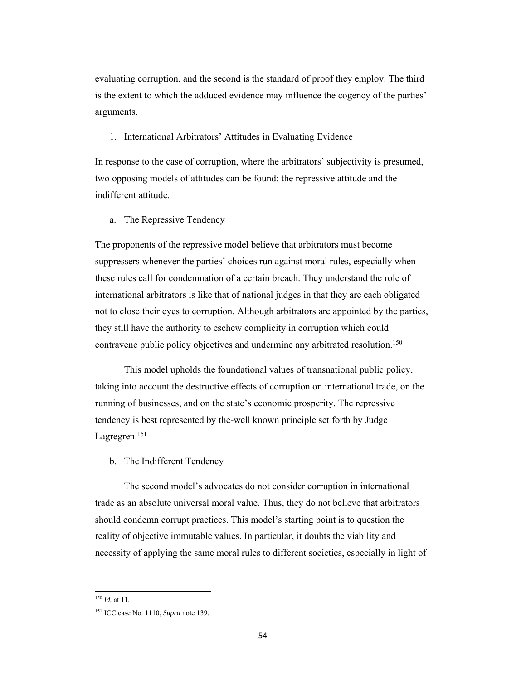evaluating corruption, and the second is the standard of proof they employ. The third is the extent to which the adduced evidence may influence the cogency of the parties' arguments.

# 1. International Arbitrators' Attitudes in Evaluating Evidence

In response to the case of corruption, where the arbitrators' subjectivity is presumed, two opposing models of attitudes can be found: the repressive attitude and the indifferent attitude.

### a. The Repressive Tendency

The proponents of the repressive model believe that arbitrators must become suppressers whenever the parties' choices run against moral rules, especially when these rules call for condemnation of a certain breach. They understand the role of international arbitrators is like that of national judges in that they are each obligated not to close their eyes to corruption. Although arbitrators are appointed by the parties, they still have the authority to eschew complicity in corruption which could contravene public policy objectives and undermine any arbitrated resolution.<sup>150</sup>

This model upholds the foundational values of transnational public policy, taking into account the destructive effects of corruption on international trade, on the running of businesses, and on the state's economic prosperity. The repressive tendency is best represented by the-well known principle set forth by Judge Lagregren.151

### b. The Indifferent Tendency

The second model's advocates do not consider corruption in international trade as an absolute universal moral value. Thus, they do not believe that arbitrators should condemn corrupt practices. This model's starting point is to question the reality of objective immutable values. In particular, it doubts the viability and necessity of applying the same moral rules to different societies, especially in light of

<sup>150</sup> *Id.* at 11*.*

<sup>151</sup> ICC case No. 1110, *Supra* note 139.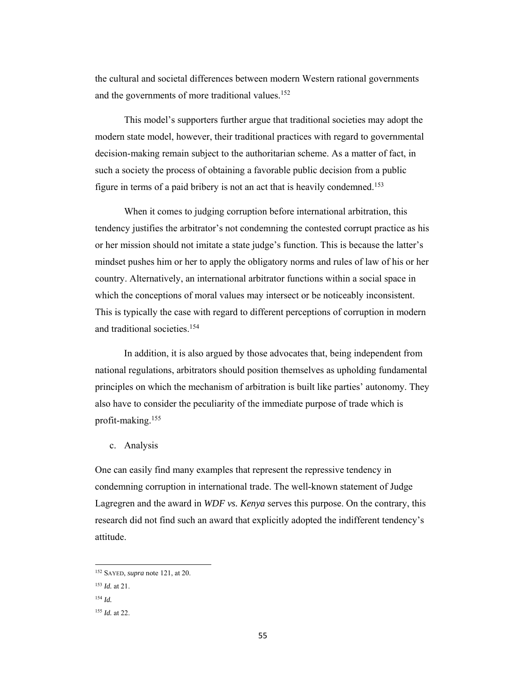the cultural and societal differences between modern Western rational governments and the governments of more traditional values.<sup>152</sup>

This model's supporters further argue that traditional societies may adopt the modern state model, however, their traditional practices with regard to governmental decision-making remain subject to the authoritarian scheme. As a matter of fact, in such a society the process of obtaining a favorable public decision from a public figure in terms of a paid bribery is not an act that is heavily condemned.<sup>153</sup>

When it comes to judging corruption before international arbitration, this tendency justifies the arbitrator's not condemning the contested corrupt practice as his or her mission should not imitate a state judge's function. This is because the latter's mindset pushes him or her to apply the obligatory norms and rules of law of his or her country. Alternatively, an international arbitrator functions within a social space in which the conceptions of moral values may intersect or be noticeably inconsistent. This is typically the case with regard to different perceptions of corruption in modern and traditional societies.154

In addition, it is also argued by those advocates that, being independent from national regulations, arbitrators should position themselves as upholding fundamental principles on which the mechanism of arbitration is built like parties' autonomy. They also have to consider the peculiarity of the immediate purpose of trade which is profit-making.155

c. Analysis

One can easily find many examples that represent the repressive tendency in condemning corruption in international trade. The well-known statement of Judge Lagregren and the award in *WDF vs. Kenya* serves this purpose. On the contrary, this research did not find such an award that explicitly adopted the indifferent tendency's attitude.

<sup>152</sup> SAYED, *supra* note 121, at 20.

<sup>153</sup> *Id.* at 21.

<sup>154</sup> *Id.*

<sup>155</sup> *Id.* at 22.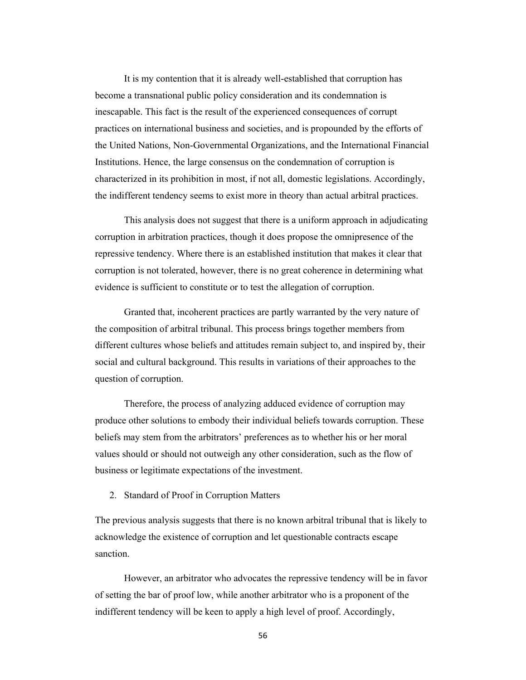It is my contention that it is already well-established that corruption has become a transnational public policy consideration and its condemnation is inescapable. This fact is the result of the experienced consequences of corrupt practices on international business and societies, and is propounded by the efforts of the United Nations, Non-Governmental Organizations, and the International Financial Institutions. Hence, the large consensus on the condemnation of corruption is characterized in its prohibition in most, if not all, domestic legislations. Accordingly, the indifferent tendency seems to exist more in theory than actual arbitral practices.

 This analysis does not suggest that there is a uniform approach in adjudicating corruption in arbitration practices, though it does propose the omnipresence of the repressive tendency. Where there is an established institution that makes it clear that corruption is not tolerated, however, there is no great coherence in determining what evidence is sufficient to constitute or to test the allegation of corruption.

Granted that, incoherent practices are partly warranted by the very nature of the composition of arbitral tribunal. This process brings together members from different cultures whose beliefs and attitudes remain subject to, and inspired by, their social and cultural background. This results in variations of their approaches to the question of corruption.

Therefore, the process of analyzing adduced evidence of corruption may produce other solutions to embody their individual beliefs towards corruption. These beliefs may stem from the arbitrators' preferences as to whether his or her moral values should or should not outweigh any other consideration, such as the flow of business or legitimate expectations of the investment.

2. Standard of Proof in Corruption Matters

The previous analysis suggests that there is no known arbitral tribunal that is likely to acknowledge the existence of corruption and let questionable contracts escape sanction.

However, an arbitrator who advocates the repressive tendency will be in favor of setting the bar of proof low, while another arbitrator who is a proponent of the indifferent tendency will be keen to apply a high level of proof. Accordingly,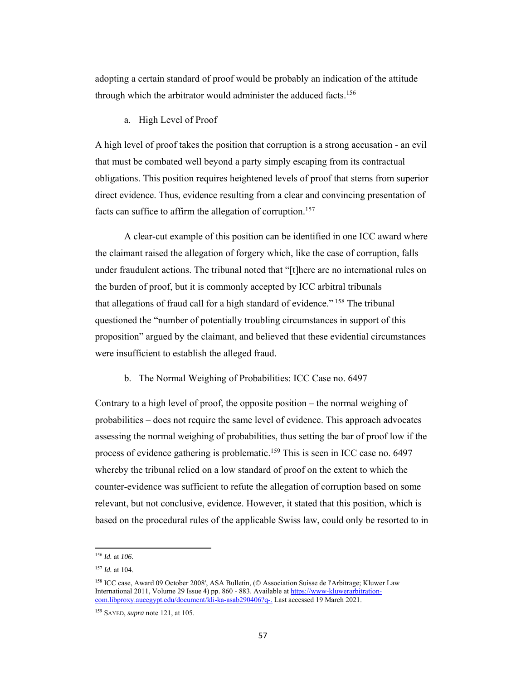adopting a certain standard of proof would be probably an indication of the attitude through which the arbitrator would administer the adduced facts.<sup>156</sup>

### a. High Level of Proof

A high level of proof takes the position that corruption is a strong accusation - an evil that must be combated well beyond a party simply escaping from its contractual obligations. This position requires heightened levels of proof that stems from superior direct evidence. Thus, evidence resulting from a clear and convincing presentation of facts can suffice to affirm the allegation of corruption.<sup>157</sup>

 A clear-cut example of this position can be identified in one ICC award where the claimant raised the allegation of forgery which, like the case of corruption, falls under fraudulent actions. The tribunal noted that "[t]here are no international rules on the burden of proof, but it is commonly accepted by ICC arbitral tribunals that allegations of fraud call for a high standard of evidence."<sup>158</sup> The tribunal questioned the "number of potentially troubling circumstances in support of this proposition" argued by the claimant, and believed that these evidential circumstances were insufficient to establish the alleged fraud.

### b. The Normal Weighing of Probabilities: ICC Case no. 6497

Contrary to a high level of proof, the opposite position – the normal weighing of probabilities – does not require the same level of evidence. This approach advocates assessing the normal weighing of probabilities, thus setting the bar of proof low if the process of evidence gathering is problematic.<sup>159</sup> This is seen in ICC case no. 6497 whereby the tribunal relied on a low standard of proof on the extent to which the counter-evidence was sufficient to refute the allegation of corruption based on some relevant, but not conclusive, evidence. However, it stated that this position, which is based on the procedural rules of the applicable Swiss law, could only be resorted to in

<sup>156</sup> *Id.* at *106.*

<sup>157</sup> *Id.* at 104.

<sup>158</sup> ICC case, Award 09 October 2008', ASA Bulletin, (© Association Suisse de l'Arbitrage; Kluwer Law International 2011, Volume 29 Issue 4) pp. 860 - 883. Available at https://www-kluwerarbitrationcom.libproxy.aucegypt.edu/document/kli-ka-asab290406?q-. Last accessed 19 March 2021.

<sup>159</sup> SAYED, *supra* note 121, at 105.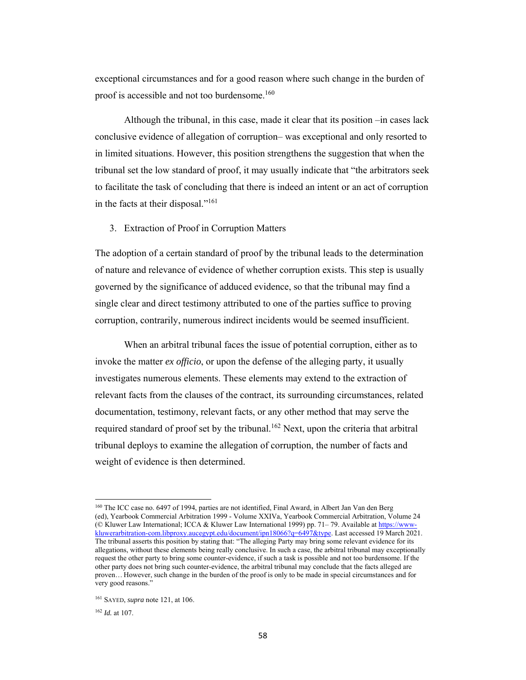exceptional circumstances and for a good reason where such change in the burden of proof is accessible and not too burdensome.160

 Although the tribunal, in this case, made it clear that its position –in cases lack conclusive evidence of allegation of corruption– was exceptional and only resorted to in limited situations. However, this position strengthens the suggestion that when the tribunal set the low standard of proof, it may usually indicate that "the arbitrators seek to facilitate the task of concluding that there is indeed an intent or an act of corruption in the facts at their disposal."161

#### 3. Extraction of Proof in Corruption Matters

The adoption of a certain standard of proof by the tribunal leads to the determination of nature and relevance of evidence of whether corruption exists. This step is usually governed by the significance of adduced evidence, so that the tribunal may find a single clear and direct testimony attributed to one of the parties suffice to proving corruption, contrarily, numerous indirect incidents would be seemed insufficient.

When an arbitral tribunal faces the issue of potential corruption, either as to invoke the matter *ex officio*, or upon the defense of the alleging party, it usually investigates numerous elements. These elements may extend to the extraction of relevant facts from the clauses of the contract, its surrounding circumstances, related documentation, testimony, relevant facts, or any other method that may serve the required standard of proof set by the tribunal.<sup>162</sup> Next, upon the criteria that arbitral tribunal deploys to examine the allegation of corruption, the number of facts and weight of evidence is then determined.

<sup>160</sup> The ICC case no. 6497 of 1994, parties are not identified, Final Award, in Albert Jan Van den Berg (ed), Yearbook Commercial Arbitration 1999 - Volume XXIVa, Yearbook Commercial Arbitration, Volume 24 (© Kluwer Law International; ICCA & Kluwer Law International 1999) pp. 71– 79. Available at https://wwwkluwerarbitration-com.libproxy.aucegypt.edu/document/ipn18066?q=6497&type. Last accessed 19 March 2021. The tribunal asserts this position by stating that: "The alleging Party may bring some relevant evidence for its allegations, without these elements being really conclusive. In such a case, the arbitral tribunal may exceptionally request the other party to bring some counter-evidence, if such a task is possible and not too burdensome. If the other party does not bring such counter-evidence, the arbitral tribunal may conclude that the facts alleged are proven… However, such change in the burden of the proof is only to be made in special circumstances and for very good reasons."

<sup>161</sup> SAYED, *supra* note 121, at 106.

<sup>162</sup> *Id.* at 107.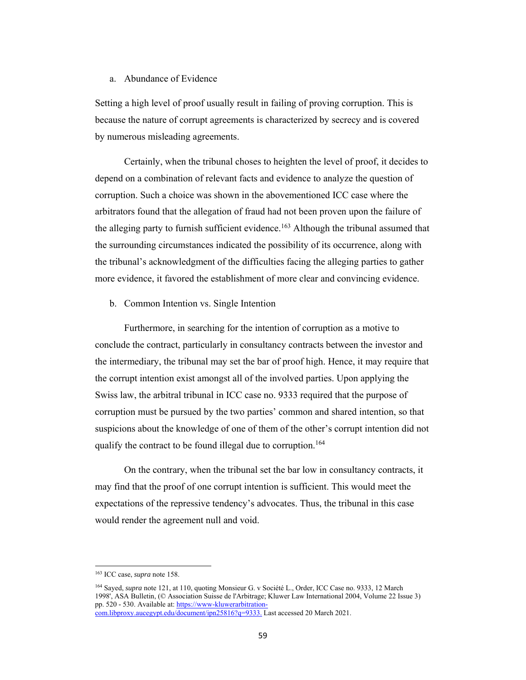# a. Abundance of Evidence

Setting a high level of proof usually result in failing of proving corruption. This is because the nature of corrupt agreements is characterized by secrecy and is covered by numerous misleading agreements.

Certainly, when the tribunal choses to heighten the level of proof, it decides to depend on a combination of relevant facts and evidence to analyze the question of corruption. Such a choice was shown in the abovementioned ICC case where the arbitrators found that the allegation of fraud had not been proven upon the failure of the alleging party to furnish sufficient evidence.<sup>163</sup> Although the tribunal assumed that the surrounding circumstances indicated the possibility of its occurrence, along with the tribunal's acknowledgment of the difficulties facing the alleging parties to gather more evidence, it favored the establishment of more clear and convincing evidence.

b. Common Intention vs. Single Intention

Furthermore, in searching for the intention of corruption as a motive to conclude the contract, particularly in consultancy contracts between the investor and the intermediary, the tribunal may set the bar of proof high. Hence, it may require that the corrupt intention exist amongst all of the involved parties. Upon applying the Swiss law, the arbitral tribunal in ICC case no. 9333 required that the purpose of corruption must be pursued by the two parties' common and shared intention, so that suspicions about the knowledge of one of them of the other's corrupt intention did not qualify the contract to be found illegal due to corruption.<sup>164</sup>

On the contrary, when the tribunal set the bar low in consultancy contracts, it may find that the proof of one corrupt intention is sufficient. This would meet the expectations of the repressive tendency's advocates. Thus, the tribunal in this case would render the agreement null and void.

<sup>163</sup> ICC case, *supra* note 158.

<sup>&</sup>lt;sup>164</sup> Sayed, *supra* note 121, at 110, quoting Monsieur G. v Société L., Order, ICC Case no. 9333, 12 March 1998', ASA Bulletin, (© Association Suisse de l'Arbitrage; Kluwer Law International 2004, Volume 22 Issue 3) pp. 520 - 530. Available at: https://www-kluwerarbitration-

com.libproxy.aucegypt.edu/document/ipn25816?q=9333. Last accessed 20 March 2021.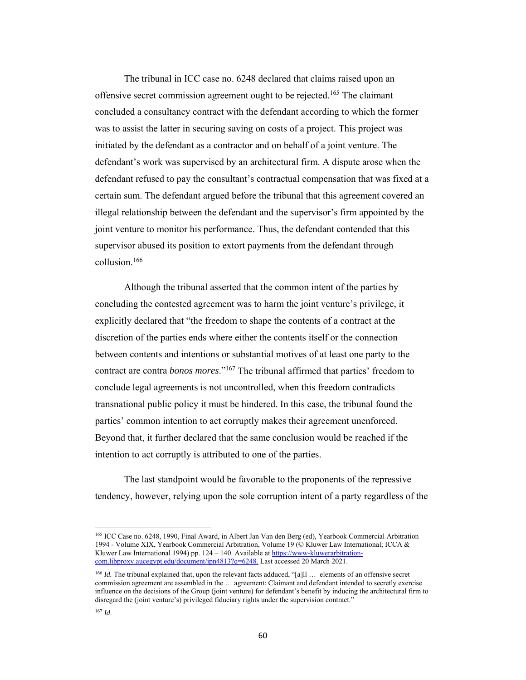The tribunal in ICC case no. 6248 declared that claims raised upon an offensive secret commission agreement ought to be rejected.165 The claimant concluded a consultancy contract with the defendant according to which the former was to assist the latter in securing saving on costs of a project. This project was initiated by the defendant as a contractor and on behalf of a joint venture. The defendant's work was supervised by an architectural firm. A dispute arose when the defendant refused to pay the consultant's contractual compensation that was fixed at a certain sum. The defendant argued before the tribunal that this agreement covered an illegal relationship between the defendant and the supervisor's firm appointed by the joint venture to monitor his performance. Thus, the defendant contended that this supervisor abused its position to extort payments from the defendant through collusion.166

Although the tribunal asserted that the common intent of the parties by concluding the contested agreement was to harm the joint venture's privilege, it explicitly declared that "the freedom to shape the contents of a contract at the discretion of the parties ends where either the contents itself or the connection between contents and intentions or substantial motives of at least one party to the contract are contra *bonos mores*."167 The tribunal affirmed that parties' freedom to conclude legal agreements is not uncontrolled, when this freedom contradicts transnational public policy it must be hindered. In this case, the tribunal found the parties' common intention to act corruptly makes their agreement unenforced. Beyond that, it further declared that the same conclusion would be reached if the intention to act corruptly is attributed to one of the parties.

The last standpoint would be favorable to the proponents of the repressive tendency, however, relying upon the sole corruption intent of a party regardless of the

<sup>165</sup> ICC Case no. 6248, 1990, Final Award, in Albert Jan Van den Berg (ed), Yearbook Commercial Arbitration 1994 - Volume XIX, Yearbook Commercial Arbitration, Volume 19 (© Kluwer Law International; ICCA & Kluwer Law International 1994) pp. 124 - 140. Available at https://www-kluwerarbitrationcom.libproxy.aucegypt.edu/document/ipn4813?q=6248. Last accessed 20 March 2021.

<sup>&</sup>lt;sup>166</sup> *Id.* The tribunal explained that, upon the relevant facts adduced, "[a]ll ... elements of an offensive secret commission agreement are assembled in the … agreement: Claimant and defendant intended to secretly exercise influence on the decisions of the Group (joint venture) for defendant's benefit by inducing the architectural firm to disregard the (joint venture's) privileged fiduciary rights under the supervision contract."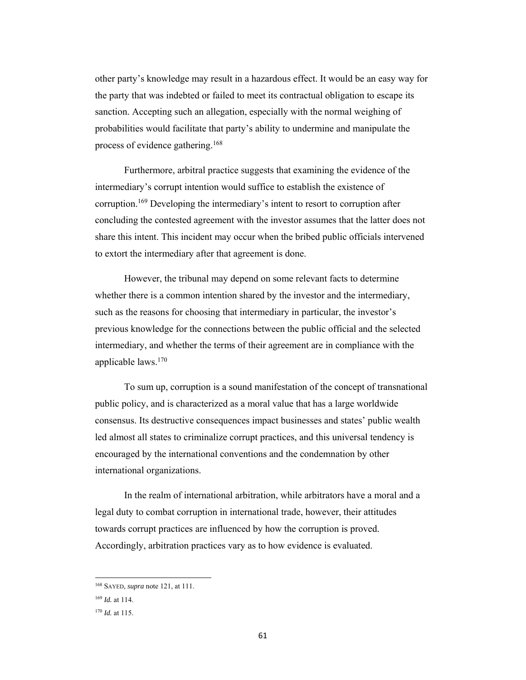other party's knowledge may result in a hazardous effect. It would be an easy way for the party that was indebted or failed to meet its contractual obligation to escape its sanction. Accepting such an allegation, especially with the normal weighing of probabilities would facilitate that party's ability to undermine and manipulate the process of evidence gathering.168

Furthermore, arbitral practice suggests that examining the evidence of the intermediary's corrupt intention would suffice to establish the existence of corruption.169 Developing the intermediary's intent to resort to corruption after concluding the contested agreement with the investor assumes that the latter does not share this intent. This incident may occur when the bribed public officials intervened to extort the intermediary after that agreement is done.

However, the tribunal may depend on some relevant facts to determine whether there is a common intention shared by the investor and the intermediary, such as the reasons for choosing that intermediary in particular, the investor's previous knowledge for the connections between the public official and the selected intermediary, and whether the terms of their agreement are in compliance with the applicable laws.170

To sum up, corruption is a sound manifestation of the concept of transnational public policy, and is characterized as a moral value that has a large worldwide consensus. Its destructive consequences impact businesses and states' public wealth led almost all states to criminalize corrupt practices, and this universal tendency is encouraged by the international conventions and the condemnation by other international organizations.

In the realm of international arbitration, while arbitrators have a moral and a legal duty to combat corruption in international trade, however, their attitudes towards corrupt practices are influenced by how the corruption is proved. Accordingly, arbitration practices vary as to how evidence is evaluated.

<sup>168</sup> SAYED, *supra* note 121, at 111.

<sup>169</sup> *Id.* at 114.

<sup>170</sup> *Id.* at 115.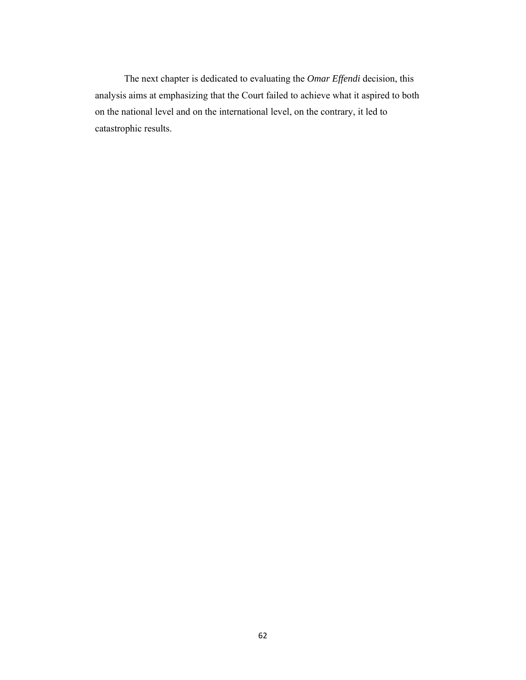The next chapter is dedicated to evaluating the *Omar Effendi* decision, this analysis aims at emphasizing that the Court failed to achieve what it aspired to both on the national level and on the international level, on the contrary, it led to catastrophic results.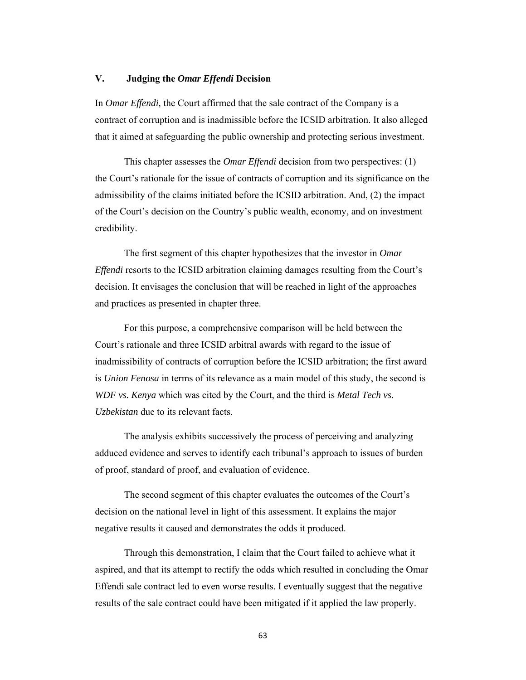# **V. Judging the** *Omar Effendi* **Decision**

In *Omar Effendi,* the Court affirmed that the sale contract of the Company is a contract of corruption and is inadmissible before the ICSID arbitration. It also alleged that it aimed at safeguarding the public ownership and protecting serious investment.

This chapter assesses the *Omar Effendi* decision from two perspectives: (1) the Court's rationale for the issue of contracts of corruption and its significance on the admissibility of the claims initiated before the ICSID arbitration. And, (2) the impact of the Court's decision on the Country's public wealth, economy, and on investment credibility.

The first segment of this chapter hypothesizes that the investor in *Omar Effendi* resorts to the ICSID arbitration claiming damages resulting from the Court's decision. It envisages the conclusion that will be reached in light of the approaches and practices as presented in chapter three.

For this purpose, a comprehensive comparison will be held between the Court's rationale and three ICSID arbitral awards with regard to the issue of inadmissibility of contracts of corruption before the ICSID arbitration; the first award is *Union Fenosa* in terms of its relevance as a main model of this study, the second is *WDF vs. Kenya* which was cited by the Court, and the third is *Metal Tech vs. Uzbekistan* due to its relevant facts.

The analysis exhibits successively the process of perceiving and analyzing adduced evidence and serves to identify each tribunal's approach to issues of burden of proof, standard of proof, and evaluation of evidence.

The second segment of this chapter evaluates the outcomes of the Court's decision on the national level in light of this assessment. It explains the major negative results it caused and demonstrates the odds it produced.

Through this demonstration, I claim that the Court failed to achieve what it aspired, and that its attempt to rectify the odds which resulted in concluding the Omar Effendi sale contract led to even worse results. I eventually suggest that the negative results of the sale contract could have been mitigated if it applied the law properly.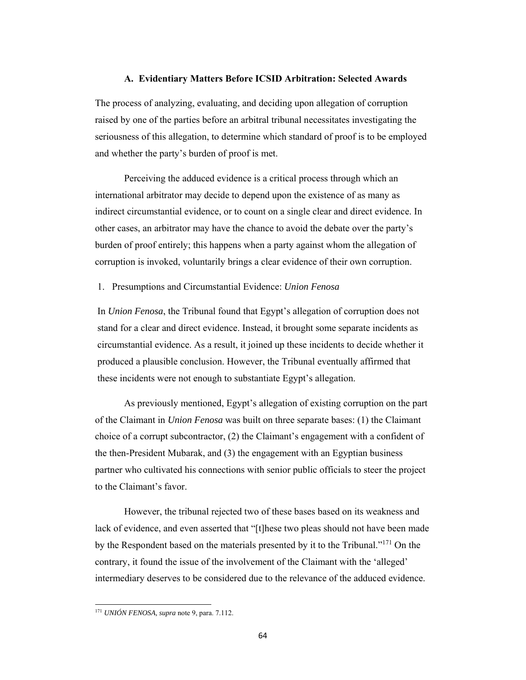# **A. Evidentiary Matters Before ICSID Arbitration: Selected Awards**

The process of analyzing, evaluating, and deciding upon allegation of corruption raised by one of the parties before an arbitral tribunal necessitates investigating the seriousness of this allegation, to determine which standard of proof is to be employed and whether the party's burden of proof is met.

Perceiving the adduced evidence is a critical process through which an international arbitrator may decide to depend upon the existence of as many as indirect circumstantial evidence, or to count on a single clear and direct evidence. In other cases, an arbitrator may have the chance to avoid the debate over the party's burden of proof entirely; this happens when a party against whom the allegation of corruption is invoked, voluntarily brings a clear evidence of their own corruption.

#### 1. Presumptions and Circumstantial Evidence: *Union Fenosa*

In *Union Fenosa*, the Tribunal found that Egypt's allegation of corruption does not stand for a clear and direct evidence. Instead, it brought some separate incidents as circumstantial evidence. As a result, it joined up these incidents to decide whether it produced a plausible conclusion. However, the Tribunal eventually affirmed that these incidents were not enough to substantiate Egypt's allegation.

As previously mentioned, Egypt's allegation of existing corruption on the part of the Claimant in *Union Fenosa* was built on three separate bases: (1) the Claimant choice of a corrupt subcontractor, (2) the Claimant's engagement with a confident of the then-President Mubarak, and (3) the engagement with an Egyptian business partner who cultivated his connections with senior public officials to steer the project to the Claimant's favor.

However, the tribunal rejected two of these bases based on its weakness and lack of evidence, and even asserted that "[t]hese two pleas should not have been made by the Respondent based on the materials presented by it to the Tribunal."171 On the contrary, it found the issue of the involvement of the Claimant with the 'alleged' intermediary deserves to be considered due to the relevance of the adduced evidence.

<sup>171</sup> *UNIÓN FENOSA, supra* note 9, para. 7.112.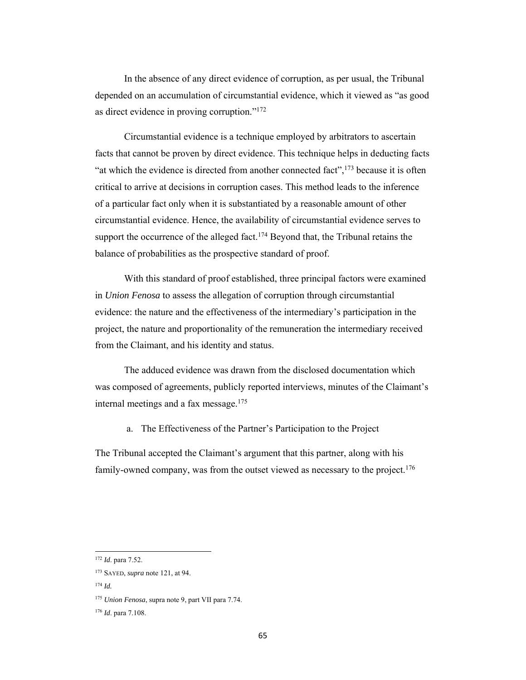In the absence of any direct evidence of corruption, as per usual, the Tribunal depended on an accumulation of circumstantial evidence, which it viewed as "as good as direct evidence in proving corruption."172

Circumstantial evidence is a technique employed by arbitrators to ascertain facts that cannot be proven by direct evidence. This technique helps in deducting facts "at which the evidence is directed from another connected fact",  $173$  because it is often critical to arrive at decisions in corruption cases. This method leads to the inference of a particular fact only when it is substantiated by a reasonable amount of other circumstantial evidence. Hence, the availability of circumstantial evidence serves to support the occurrence of the alleged fact.<sup>174</sup> Beyond that, the Tribunal retains the balance of probabilities as the prospective standard of proof.

With this standard of proof established, three principal factors were examined in *Union Fenosa* to assess the allegation of corruption through circumstantial evidence: the nature and the effectiveness of the intermediary's participation in the project, the nature and proportionality of the remuneration the intermediary received from the Claimant, and his identity and status.

The adduced evidence was drawn from the disclosed documentation which was composed of agreements, publicly reported interviews, minutes of the Claimant's internal meetings and a fax message. $175$ 

a. The Effectiveness of the Partner's Participation to the Project

The Tribunal accepted the Claimant's argument that this partner, along with his family-owned company, was from the outset viewed as necessary to the project.<sup>176</sup>

<sup>172</sup> *Id*. para 7.52.

<sup>173</sup> SAYED, *supra* note 121, at 94.

<sup>174</sup> *Id.*

<sup>175</sup> *Union Fenosa*, supra note 9, part VII para 7.74.

<sup>176</sup> *Id*. para 7.108.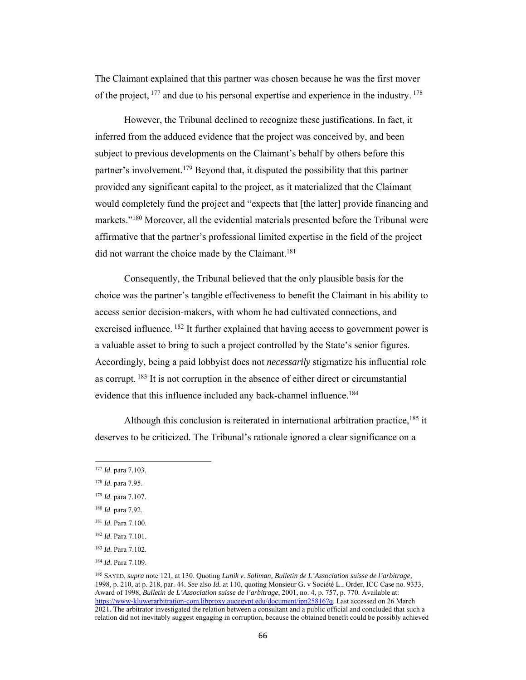The Claimant explained that this partner was chosen because he was the first mover of the project,  $^{177}$  and due to his personal expertise and experience in the industry.  $^{178}$ 

 However, the Tribunal declined to recognize these justifications. In fact, it inferred from the adduced evidence that the project was conceived by, and been subject to previous developments on the Claimant's behalf by others before this partner's involvement.179 Beyond that, it disputed the possibility that this partner provided any significant capital to the project, as it materialized that the Claimant would completely fund the project and "expects that [the latter] provide financing and markets."<sup>180</sup> Moreover, all the evidential materials presented before the Tribunal were affirmative that the partner's professional limited expertise in the field of the project did not warrant the choice made by the Claimant.<sup>181</sup>

Consequently, the Tribunal believed that the only plausible basis for the choice was the partner's tangible effectiveness to benefit the Claimant in his ability to access senior decision-makers, with whom he had cultivated connections, and exercised influence. <sup>182</sup> It further explained that having access to government power is a valuable asset to bring to such a project controlled by the State's senior figures. Accordingly, being a paid lobbyist does not *necessarily* stigmatize his influential role as corrupt. 183 It is not corruption in the absence of either direct or circumstantial evidence that this influence included any back-channel influence.<sup>184</sup>

Although this conclusion is reiterated in international arbitration practice,  $185$  it deserves to be criticized. The Tribunal's rationale ignored a clear significance on a

<sup>177</sup> *Id*. para 7.103.

<sup>178</sup> *Id*. para 7.95.

<sup>179</sup> *Id*. para 7.107.

<sup>180</sup> *Id*. para 7.92.

<sup>181</sup> *Id*. Para 7.100.

<sup>182</sup> *Id*. Para 7.101.

<sup>183</sup> *Id*. Para 7.102.

<sup>184</sup> *Id*. Para 7.109.

<sup>185</sup> SAYED, *supra* note 121, at 130. Quoting *Lunik v. Soliman, Bulletin de L'Association suisse de l'arbitrage,* 1998, p. 210, at p. 218, par. 44. *See* also *Id.* at 110, quoting Monsieur G. v Société L., Order, ICC Case no. 9333, Award of 1998, *Bulletin de L'Association suisse de l'arbitrage*, 2001, no. 4, p. 757, p. 770. Available at: https://www-kluwerarbitration-com.libproxy.aucegypt.edu/document/ipn25816?q. Last accessed on 26 March 2021. The arbitrator investigated the relation between a consultant and a public official and concluded that such a relation did not inevitably suggest engaging in corruption, because the obtained benefit could be possibly achieved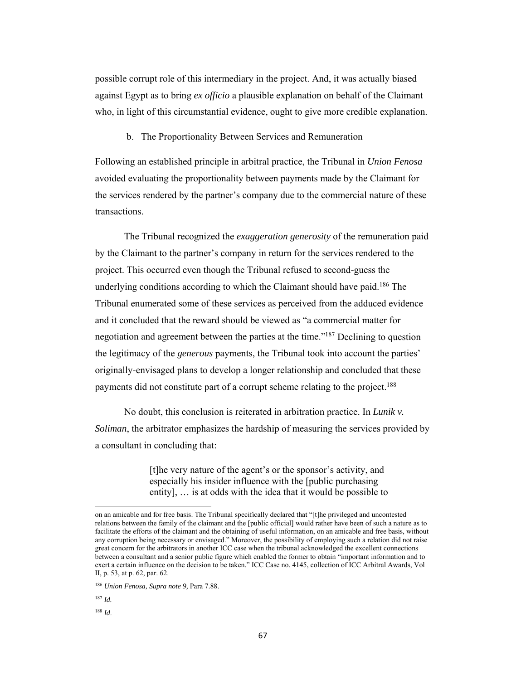possible corrupt role of this intermediary in the project. And, it was actually biased against Egypt as to bring *ex officio* a plausible explanation on behalf of the Claimant who, in light of this circumstantial evidence, ought to give more credible explanation.

b. The Proportionality Between Services and Remuneration

Following an established principle in arbitral practice, the Tribunal in *Union Fenosa* avoided evaluating the proportionality between payments made by the Claimant for the services rendered by the partner's company due to the commercial nature of these transactions.

The Tribunal recognized the *exaggeration generosity* of the remuneration paid by the Claimant to the partner's company in return for the services rendered to the project. This occurred even though the Tribunal refused to second-guess the underlying conditions according to which the Claimant should have paid.<sup>186</sup> The Tribunal enumerated some of these services as perceived from the adduced evidence and it concluded that the reward should be viewed as "a commercial matter for negotiation and agreement between the parties at the time."187 Declining to question the legitimacy of the *generous* payments, the Tribunal took into account the parties' originally-envisaged plans to develop a longer relationship and concluded that these payments did not constitute part of a corrupt scheme relating to the project.<sup>188</sup>

 No doubt, this conclusion is reiterated in arbitration practice. In *Lunik v. Soliman*, the arbitrator emphasizes the hardship of measuring the services provided by a consultant in concluding that:

> [t]he very nature of the agent's or the sponsor's activity, and especially his insider influence with the [public purchasing entity], … is at odds with the idea that it would be possible to

on an amicable and for free basis. The Tribunal specifically declared that "[t]he privileged and uncontested relations between the family of the claimant and the [public official] would rather have been of such a nature as to facilitate the efforts of the claimant and the obtaining of useful information, on an amicable and free basis, without any corruption being necessary or envisaged." Moreover, the possibility of employing such a relation did not raise great concern for the arbitrators in another ICC case when the tribunal acknowledged the excellent connections between a consultant and a senior public figure which enabled the former to obtain "important information and to exert a certain influence on the decision to be taken." ICC Case no. 4145, collection of ICC Arbitral Awards, Vol II, p. 53, at p. 62, par. 62.

<sup>186</sup> *Union Fenosa, Supra note 9,* Para 7.88.

<sup>187</sup> *Id.*

<sup>188</sup> *Id*.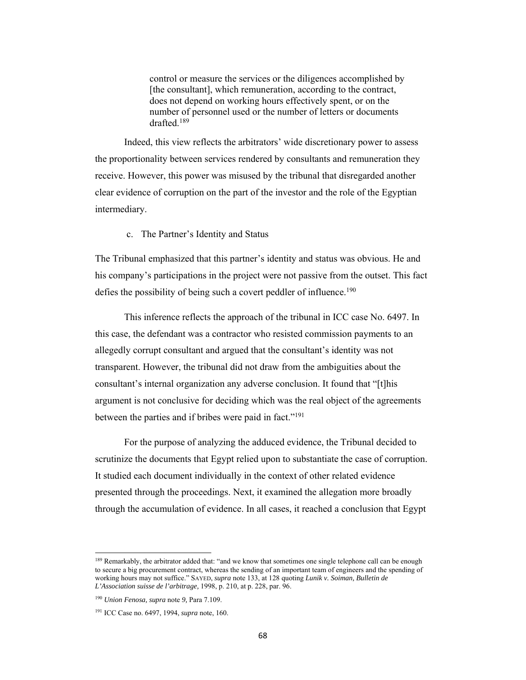control or measure the services or the diligences accomplished by [the consultant], which remuneration, according to the contract, does not depend on working hours effectively spent, or on the number of personnel used or the number of letters or documents drafted.189

Indeed, this view reflects the arbitrators' wide discretionary power to assess the proportionality between services rendered by consultants and remuneration they receive. However, this power was misused by the tribunal that disregarded another clear evidence of corruption on the part of the investor and the role of the Egyptian intermediary.

### c. The Partner's Identity and Status

The Tribunal emphasized that this partner's identity and status was obvious. He and his company's participations in the project were not passive from the outset. This fact defies the possibility of being such a covert peddler of influence.<sup>190</sup>

This inference reflects the approach of the tribunal in ICC case No. 6497. In this case, the defendant was a contractor who resisted commission payments to an allegedly corrupt consultant and argued that the consultant's identity was not transparent. However, the tribunal did not draw from the ambiguities about the consultant's internal organization any adverse conclusion. It found that "[t]his argument is not conclusive for deciding which was the real object of the agreements between the parties and if bribes were paid in fact."<sup>191</sup>

 For the purpose of analyzing the adduced evidence, the Tribunal decided to scrutinize the documents that Egypt relied upon to substantiate the case of corruption. It studied each document individually in the context of other related evidence presented through the proceedings. Next, it examined the allegation more broadly through the accumulation of evidence. In all cases, it reached a conclusion that Egypt

<sup>&</sup>lt;sup>189</sup> Remarkably, the arbitrator added that: "and we know that sometimes one single telephone call can be enough to secure a big procurement contract, whereas the sending of an important team of engineers and the spending of working hours may not suffice." SAYED, *supra* note 133, at 128 quoting *Lunik v. Soiman, Bulletin de L'Association suisse de l'arbitrage,* 1998, p. 210, at p. 228, par. 96.

<sup>190</sup> *Union Fenosa, supra* note *9,* Para 7.109.

<sup>191</sup> ICC Case no. 6497, 1994, *supra* note, 160.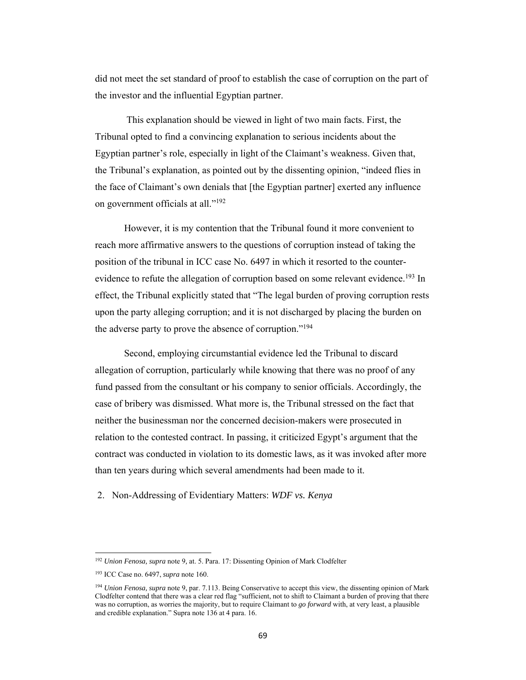did not meet the set standard of proof to establish the case of corruption on the part of the investor and the influential Egyptian partner.

 This explanation should be viewed in light of two main facts. First, the Tribunal opted to find a convincing explanation to serious incidents about the Egyptian partner's role, especially in light of the Claimant's weakness. Given that, the Tribunal's explanation, as pointed out by the dissenting opinion, "indeed flies in the face of Claimant's own denials that [the Egyptian partner] exerted any influence on government officials at all."192

However, it is my contention that the Tribunal found it more convenient to reach more affirmative answers to the questions of corruption instead of taking the position of the tribunal in ICC case No. 6497 in which it resorted to the counterevidence to refute the allegation of corruption based on some relevant evidence.<sup>193</sup> In effect, the Tribunal explicitly stated that "The legal burden of proving corruption rests upon the party alleging corruption; and it is not discharged by placing the burden on the adverse party to prove the absence of corruption."<sup>194</sup>

 Second, employing circumstantial evidence led the Tribunal to discard allegation of corruption, particularly while knowing that there was no proof of any fund passed from the consultant or his company to senior officials. Accordingly, the case of bribery was dismissed. What more is, the Tribunal stressed on the fact that neither the businessman nor the concerned decision-makers were prosecuted in relation to the contested contract. In passing, it criticized Egypt's argument that the contract was conducted in violation to its domestic laws, as it was invoked after more than ten years during which several amendments had been made to it.

2. Non-Addressing of Evidentiary Matters: *WDF vs. Kenya*

<sup>192</sup> *Union Fenosa, supra* note 9*,* at. 5. Para. 17: Dissenting Opinion of Mark Clodfelter

<sup>193</sup> ICC Case no. 6497, *supra* note 160.

<sup>194</sup> *Union Fenosa, supra* note 9, par. 7.113. Being Conservative to accept this view, the dissenting opinion of Mark Clodfelter contend that there was a clear red flag "sufficient, not to shift to Claimant a burden of proving that there was no corruption, as worries the majority, but to require Claimant to *go forward* with, at very least, a plausible and credible explanation." Supra note 136 at 4 para. 16.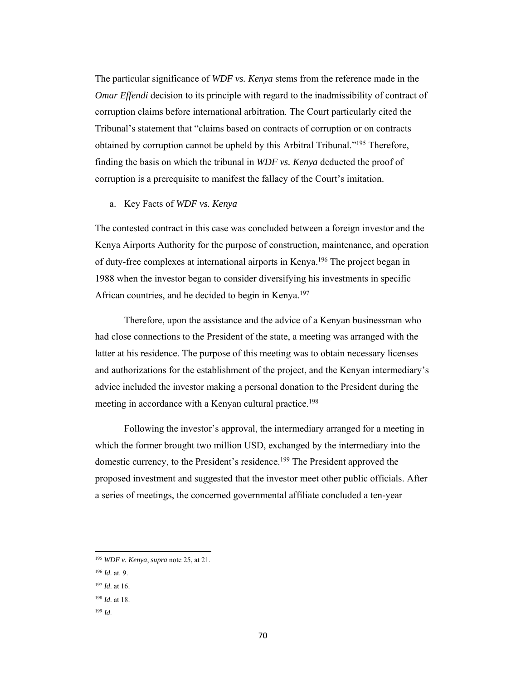The particular significance of *WDF vs. Kenya* stems from the reference made in the *Omar Effendi* decision to its principle with regard to the inadmissibility of contract of corruption claims before international arbitration. The Court particularly cited the Tribunal's statement that "claims based on contracts of corruption or on contracts obtained by corruption cannot be upheld by this Arbitral Tribunal."195 Therefore, finding the basis on which the tribunal in *WDF vs. Kenya* deducted the proof of corruption is a prerequisite to manifest the fallacy of the Court's imitation.

## a. Key Facts of *WDF vs. Kenya*

The contested contract in this case was concluded between a foreign investor and the Kenya Airports Authority for the purpose of construction, maintenance, and operation of duty-free complexes at international airports in Kenya.196 The project began in 1988 when the investor began to consider diversifying his investments in specific African countries, and he decided to begin in Kenya.<sup>197</sup>

Therefore, upon the assistance and the advice of a Kenyan businessman who had close connections to the President of the state, a meeting was arranged with the latter at his residence. The purpose of this meeting was to obtain necessary licenses and authorizations for the establishment of the project, and the Kenyan intermediary's advice included the investor making a personal donation to the President during the meeting in accordance with a Kenyan cultural practice.<sup>198</sup>

 Following the investor's approval, the intermediary arranged for a meeting in which the former brought two million USD, exchanged by the intermediary into the domestic currency, to the President's residence.<sup>199</sup> The President approved the proposed investment and suggested that the investor meet other public officials. After a series of meetings, the concerned governmental affiliate concluded a ten-year

<sup>196</sup> *Id*. at. 9.

 <sup>195</sup> *WDF v. Kenya*, *supra* note 25, at 21.

<sup>197</sup> *Id*. at 16.

<sup>198</sup> *Id*. at 18.

<sup>199</sup> *Id*.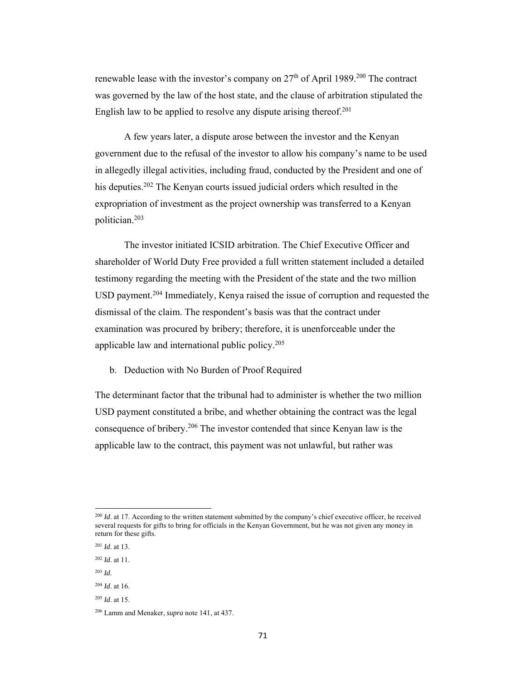renewable lease with the investor's company on  $27<sup>th</sup>$  of April 1989.<sup>200</sup> The contract was governed by the law of the host state, and the clause of arbitration stipulated the English law to be applied to resolve any dispute arising thereof.<sup>201</sup>

 A few years later, a dispute arose between the investor and the Kenyan government due to the refusal of the investor to allow his company's name to be used in allegedly illegal activities, including fraud, conducted by the President and one of his deputies.<sup>202</sup> The Kenyan courts issued judicial orders which resulted in the expropriation of investment as the project ownership was transferred to a Kenyan politician.203

 The investor initiated ICSID arbitration. The Chief Executive Officer and shareholder of World Duty Free provided a full written statement included a detailed testimony regarding the meeting with the President of the state and the two million USD payment.204 Immediately, Kenya raised the issue of corruption and requested the dismissal of the claim. The respondent's basis was that the contract under examination was procured by bribery; therefore, it is unenforceable under the applicable law and international public policy.205

## b. Deduction with No Burden of Proof Required

The determinant factor that the tribunal had to administer is whether the two million USD payment constituted a bribe, and whether obtaining the contract was the legal consequence of bribery.206 The investor contended that since Kenyan law is the applicable law to the contract, this payment was not unlawful, but rather was

<sup>&</sup>lt;sup>200</sup> *Id.* at 17. According to the written statement submitted by the company's chief executive officer, he received several requests for gifts to bring for officials in the Kenyan Government, but he was not given any money in return for these gifts.

<sup>201</sup> *Id*. at 13.

<sup>202</sup> *Id*. at 11.

<sup>203</sup> *Id*.

<sup>204</sup> *Id*. at 16.

<sup>205</sup> *Id*. at 15.

<sup>206</sup> Lamm and Menaker, *supra* note 141, at 437.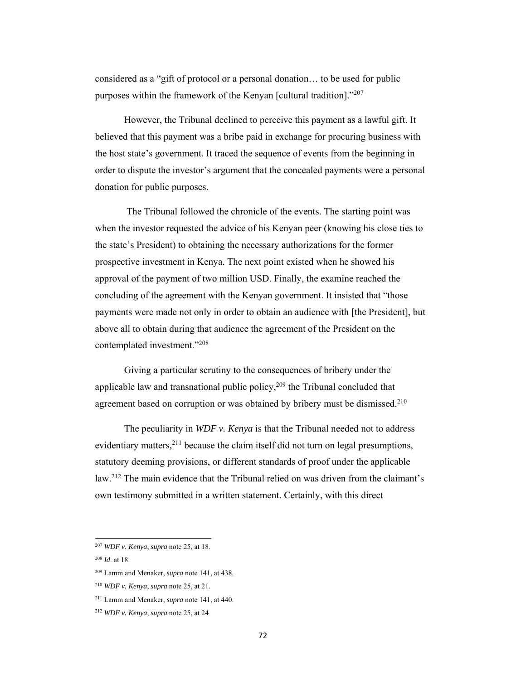considered as a "gift of protocol or a personal donation… to be used for public purposes within the framework of the Kenyan [cultural tradition]."207

However, the Tribunal declined to perceive this payment as a lawful gift. It believed that this payment was a bribe paid in exchange for procuring business with the host state's government. It traced the sequence of events from the beginning in order to dispute the investor's argument that the concealed payments were a personal donation for public purposes.

 The Tribunal followed the chronicle of the events. The starting point was when the investor requested the advice of his Kenyan peer (knowing his close ties to the state's President) to obtaining the necessary authorizations for the former prospective investment in Kenya. The next point existed when he showed his approval of the payment of two million USD. Finally, the examine reached the concluding of the agreement with the Kenyan government. It insisted that "those payments were made not only in order to obtain an audience with [the President], but above all to obtain during that audience the agreement of the President on the contemplated investment."208

Giving a particular scrutiny to the consequences of bribery under the applicable law and transnational public policy, $209$  the Tribunal concluded that agreement based on corruption or was obtained by bribery must be dismissed.<sup>210</sup>

The peculiarity in *WDF v. Kenya* is that the Tribunal needed not to address evidentiary matters, $^{211}$  because the claim itself did not turn on legal presumptions, statutory deeming provisions, or different standards of proof under the applicable law.212 The main evidence that the Tribunal relied on was driven from the claimant's own testimony submitted in a written statement. Certainly, with this direct

 <sup>207</sup> *WDF v. Kenya*, *supra* note 25, at 18.

<sup>208</sup> *Id*. at 18.

<sup>209</sup> Lamm and Menaker, *supra* note 141, at 438.

<sup>210</sup> *WDF v. Kenya*, *supra* note 25, at 21.

<sup>211</sup> Lamm and Menaker, *supra* note 141, at 440.

<sup>212</sup> *WDF v. Kenya*, *supra* note 25, at 24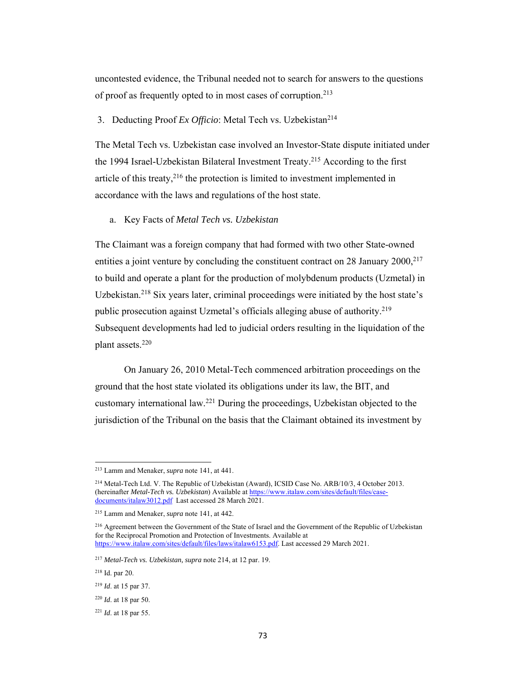uncontested evidence, the Tribunal needed not to search for answers to the questions of proof as frequently opted to in most cases of corruption.213

# 3. Deducting Proof *Ex Officio*: Metal Tech vs. Uzbekistan<sup>214</sup>

The Metal Tech vs. Uzbekistan case involved an Investor-State dispute initiated under the 1994 Israel-Uzbekistan Bilateral Investment Treaty.<sup>215</sup> According to the first article of this treaty, $2^{16}$  the protection is limited to investment implemented in accordance with the laws and regulations of the host state.

a. Key Facts of *Metal Tech vs. Uzbekistan*

The Claimant was a foreign company that had formed with two other State-owned entities a joint venture by concluding the constituent contract on 28 January  $2000$ <sup>217</sup> to build and operate a plant for the production of molybdenum products (Uzmetal) in Uzbekistan.<sup>218</sup> Six years later, criminal proceedings were initiated by the host state's public prosecution against Uzmetal's officials alleging abuse of authority.<sup>219</sup> Subsequent developments had led to judicial orders resulting in the liquidation of the plant assets.220

On January 26, 2010 Metal-Tech commenced arbitration proceedings on the ground that the host state violated its obligations under its law, the BIT, and customary international law.221 During the proceedings, Uzbekistan objected to the jurisdiction of the Tribunal on the basis that the Claimant obtained its investment by

<sup>213</sup> Lamm and Menaker, *supra* note 141, at 441.

<sup>214</sup> Metal-Tech Ltd. V. The Republic of Uzbekistan (Award), ICSID Case No. ARB/10/3, 4 October 2013. (hereinafter *Metal-Tech vs. Uzbekistan*) Available at https://www.italaw.com/sites/default/files/casedocuments/italaw3012.pdf Last accessed 28 March 2021.

<sup>215</sup> Lamm and Menaker, *supra* note 141, at 442.

<sup>&</sup>lt;sup>216</sup> Agreement between the Government of the State of Israel and the Government of the Republic of Uzbekistan for the Reciprocal Promotion and Protection of Investments. Available at https://www.italaw.com/sites/default/files/laws/italaw6153.pdf. Last accessed 29 March 2021.

<sup>217</sup> *Metal-Tech vs. Uzbekistan, supra* note 214, at 12 par. 19.

<sup>218</sup> Id. par 20.

<sup>219</sup> *Id*. at 15 par 37.

<sup>220</sup> *Id*. at 18 par 50.

<sup>221</sup> *Id*. at 18 par 55.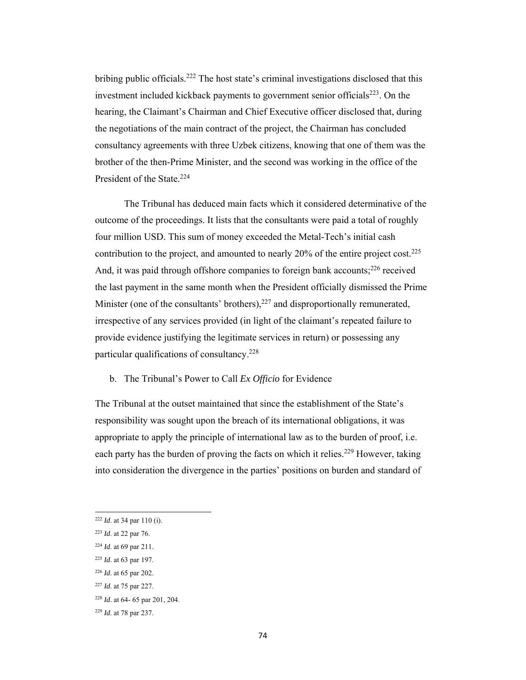bribing public officials.<sup>222</sup> The host state's criminal investigations disclosed that this investment included kickback payments to government senior officials $223$ . On the hearing, the Claimant's Chairman and Chief Executive officer disclosed that, during the negotiations of the main contract of the project, the Chairman has concluded consultancy agreements with three Uzbek citizens, knowing that one of them was the brother of the then-Prime Minister, and the second was working in the office of the President of the State.<sup>224</sup>

 The Tribunal has deduced main facts which it considered determinative of the outcome of the proceedings. It lists that the consultants were paid a total of roughly four million USD. This sum of money exceeded the Metal-Tech's initial cash contribution to the project, and amounted to nearly 20% of the entire project cost.225 And, it was paid through offshore companies to foreign bank accounts;<sup>226</sup> received the last payment in the same month when the President officially dismissed the Prime Minister (one of the consultants' brothers), $227$  and disproportionally remunerated, irrespective of any services provided (in light of the claimant's repeated failure to provide evidence justifying the legitimate services in return) or possessing any particular qualifications of consultancy.228

# b. The Tribunal's Power to Call *Ex Officio* for Evidence

The Tribunal at the outset maintained that since the establishment of the State's responsibility was sought upon the breach of its international obligations, it was appropriate to apply the principle of international law as to the burden of proof, i.e. each party has the burden of proving the facts on which it relies.<sup>229</sup> However, taking into consideration the divergence in the parties' positions on burden and standard of

<sup>222</sup> *Id*. at 34 par 110 (i).

<sup>223</sup> *Id*. at 22 par 76.

<sup>224</sup> *Id*. at 69 par 211.

<sup>225</sup> *Id*. at 63 par 197.

<sup>226</sup> *Id*. at 65 par 202.

<sup>227</sup> *Id*. at 75 par 227.

<sup>228</sup> *Id*. at 64- 65 par 201, 204.

<sup>229</sup> *Id*. at 78 par 237.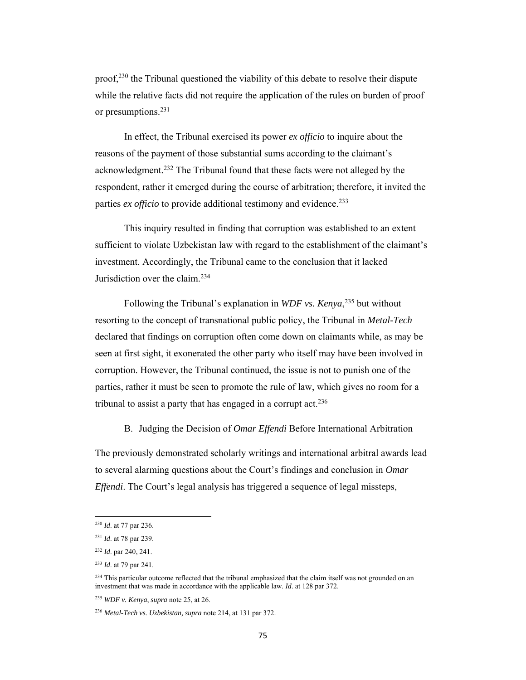$proof, <sup>230</sup>$  the Tribunal questioned the viability of this debate to resolve their dispute while the relative facts did not require the application of the rules on burden of proof or presumptions.231

In effect, the Tribunal exercised its power *ex officio* to inquire about the reasons of the payment of those substantial sums according to the claimant's acknowledgment.232 The Tribunal found that these facts were not alleged by the respondent, rather it emerged during the course of arbitration; therefore, it invited the parties *ex officio* to provide additional testimony and evidence.<sup>233</sup>

This inquiry resulted in finding that corruption was established to an extent sufficient to violate Uzbekistan law with regard to the establishment of the claimant's investment. Accordingly, the Tribunal came to the conclusion that it lacked Jurisdiction over the claim.234

Following the Tribunal's explanation in *WDF vs. Kenya*, 235 but without resorting to the concept of transnational public policy, the Tribunal in *Metal-Tech* declared that findings on corruption often come down on claimants while, as may be seen at first sight, it exonerated the other party who itself may have been involved in corruption. However, the Tribunal continued, the issue is not to punish one of the parties, rather it must be seen to promote the rule of law, which gives no room for a tribunal to assist a party that has engaged in a corrupt  $\arctan 236$ 

# B. Judging the Decision of *Omar Effendi* Before International Arbitration

The previously demonstrated scholarly writings and international arbitral awards lead to several alarming questions about the Court's findings and conclusion in *Omar Effendi*. The Court's legal analysis has triggered a sequence of legal missteps,

<sup>230</sup> *Id*. at 77 par 236.

<sup>231</sup> *Id*. at 78 par 239.

<sup>232</sup> *Id*. par 240, 241.

<sup>233</sup> *Id*. at 79 par 241.

 $^{234}$  This particular outcome reflected that the tribunal emphasized that the claim itself was not grounded on an investment that was made in accordance with the applicable law. *Id*. at 128 par 372.

<sup>235</sup> *WDF v. Kenya*, *supra* note 25, at 26.

<sup>236</sup> *Metal-Tech vs. Uzbekistan, supra* note 214, at 131 par 372.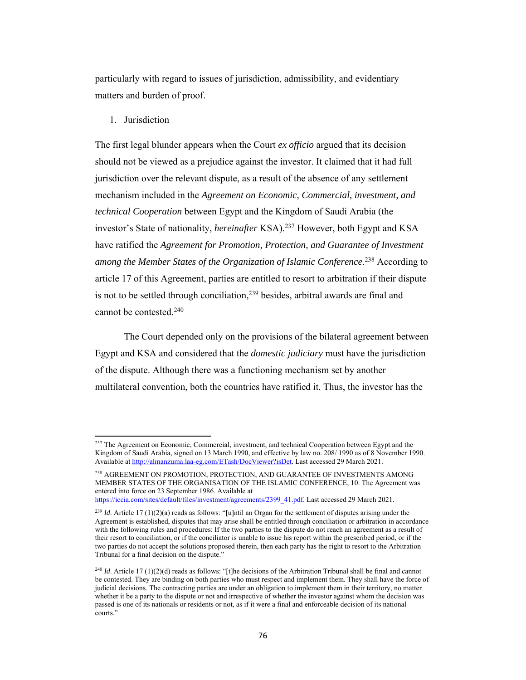particularly with regard to issues of jurisdiction, admissibility, and evidentiary matters and burden of proof.

1. Jurisdiction

The first legal blunder appears when the Court *ex officio* argued that its decision should not be viewed as a prejudice against the investor. It claimed that it had full jurisdiction over the relevant dispute, as a result of the absence of any settlement mechanism included in the *Agreement on Economic, Commercial, investment, and technical Cooperation* between Egypt and the Kingdom of Saudi Arabia (the investor's State of nationality, *hereinafter* KSA).237 However, both Egypt and KSA have ratified the *Agreement for Promotion, Protection, and Guarantee of Investment among the Member States of the Organization of Islamic Conference*. 238 According to article 17 of this Agreement, parties are entitled to resort to arbitration if their dispute is not to be settled through conciliation,<sup>239</sup> besides, arbitral awards are final and cannot be contested.240

 The Court depended only on the provisions of the bilateral agreement between Egypt and KSA and considered that the *domestic judiciary* must have the jurisdiction of the dispute. Although there was a functioning mechanism set by another multilateral convention, both the countries have ratified it. Thus, the investor has the

<sup>&</sup>lt;sup>237</sup> The Agreement on Economic, Commercial, investment, and technical Cooperation between Egypt and the Kingdom of Saudi Arabia, signed on 13 March 1990, and effective by law no. 208/ 1990 as of 8 November 1990. Available at http://almanzuma.laa-eg.com/ETash/DocViewer?isDet. Last accessed 29 March 2021.

<sup>238</sup> AGREEMENT ON PROMOTION, PROTECTION, AND GUARANTEE OF INVESTMENTS AMONG MEMBER STATES OF THE ORGANISATION OF THE ISLAMIC CONFERENCE, 10. The Agreement was entered into force on 23 September 1986. Available at

https://iccia.com/sites/default/files/investment/agreements/2399\_41.pdf. Last accessed 29 March 2021.

<sup>&</sup>lt;sup>239</sup> *Id*. Article 17 (1)(2)(a) reads as follows: "[u]ntil an Organ for the settlement of disputes arising under the Agreement is established, disputes that may arise shall be entitled through conciliation or arbitration in accordance with the following rules and procedures: If the two parties to the dispute do not reach an agreement as a result of their resort to conciliation, or if the conciliator is unable to issue his report within the prescribed period, or if the two parties do not accept the solutions proposed therein, then each party has the right to resort to the Arbitration Tribunal for a final decision on the dispute."

<sup>&</sup>lt;sup>240</sup> *Id*. Article 17 (1)(2)(d) reads as follows: "[t]he decisions of the Arbitration Tribunal shall be final and cannot be contested. They are binding on both parties who must respect and implement them. They shall have the force of judicial decisions. The contracting parties are under an obligation to implement them in their territory, no matter whether it be a party to the dispute or not and irrespective of whether the investor against whom the decision was passed is one of its nationals or residents or not, as if it were a final and enforceable decision of its national courts."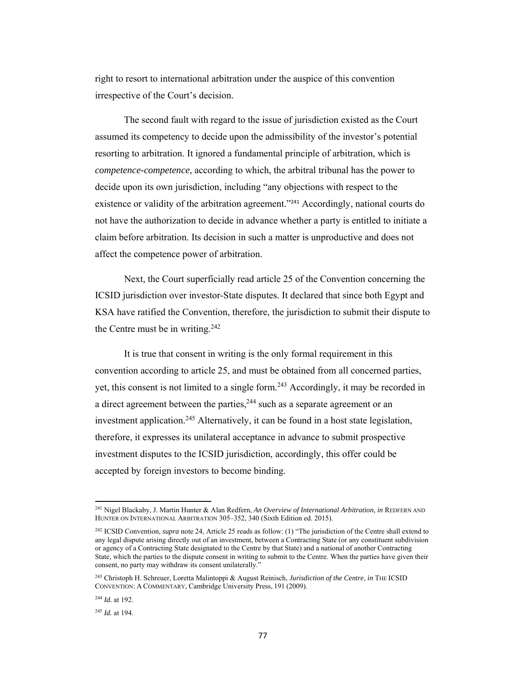right to resort to international arbitration under the auspice of this convention irrespective of the Court's decision.

The second fault with regard to the issue of jurisdiction existed as the Court assumed its competency to decide upon the admissibility of the investor's potential resorting to arbitration. It ignored a fundamental principle of arbitration, which is *competence-competence*, according to which, the arbitral tribunal has the power to decide upon its own jurisdiction, including "any objections with respect to the existence or validity of the arbitration agreement."<sup>241</sup> Accordingly, national courts do not have the authorization to decide in advance whether a party is entitled to initiate a claim before arbitration. Its decision in such a matter is unproductive and does not affect the competence power of arbitration.

Next, the Court superficially read article 25 of the Convention concerning the ICSID jurisdiction over investor-State disputes. It declared that since both Egypt and KSA have ratified the Convention, therefore, the jurisdiction to submit their dispute to the Centre must be in writing. $242$ 

It is true that consent in writing is the only formal requirement in this convention according to article 25, and must be obtained from all concerned parties, yet, this consent is not limited to a single form.<sup>243</sup> Accordingly, it may be recorded in a direct agreement between the parties,<sup>244</sup> such as a separate agreement or an investment application.245 Alternatively, it can be found in a host state legislation, therefore, it expresses its unilateral acceptance in advance to submit prospective investment disputes to the ICSID jurisdiction, accordingly, this offer could be accepted by foreign investors to become binding.

<sup>245</sup> *Id.* at 194.

<sup>241</sup> Nigel Blackaby, J. Martin Hunter & Alan Redfern, *An Overview of International Arbitration*, *in* REDFERN AND HUNTER ON INTERNATIONAL ARBITRATION 305–352, 340 (Sixth Edition ed. 2015).

<sup>242</sup> ICSID Convention, *supra* note 24, Article 25 reads as follow: (1) "The jurisdiction of the Centre shall extend to any legal dispute arising directly out of an investment, between a Contracting State (or any constituent subdivision or agency of a Contracting State designated to the Centre by that State) and a national of another Contracting State, which the parties to the dispute consent in writing to submit to the Centre. When the parties have given their consent, no party may withdraw its consent unilaterally."

<sup>243</sup> Christoph H. Schreuer, Loretta Malintoppi & August Reinisch, *Jurisdiction of the Centre*, *in* THE ICSID CONVENTION: A COMMENTARY, Cambridge University Press, 191 (2009).

<sup>244</sup> *Id.* at 192.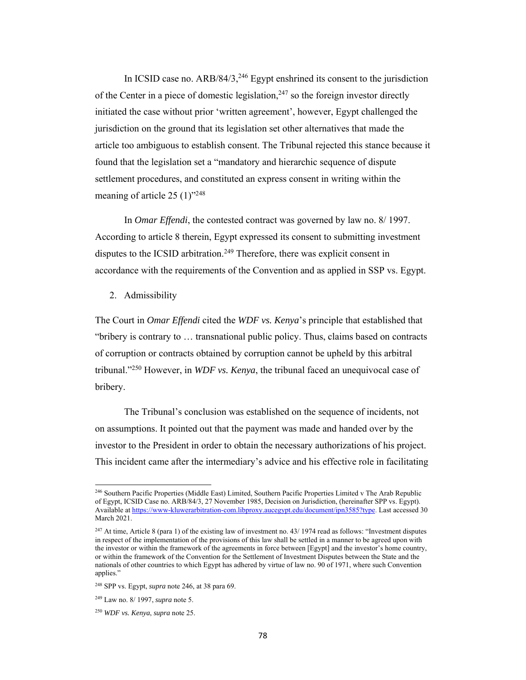In ICSID case no.  $ARB/84/3$ ,  $^{246}$  Egypt enshrined its consent to the jurisdiction of the Center in a piece of domestic legislation,<sup>247</sup> so the foreign investor directly initiated the case without prior 'written agreement', however, Egypt challenged the jurisdiction on the ground that its legislation set other alternatives that made the article too ambiguous to establish consent. The Tribunal rejected this stance because it found that the legislation set a "mandatory and hierarchic sequence of dispute settlement procedures, and constituted an express consent in writing within the meaning of article  $25 (1)$ "<sup>248</sup>

In *Omar Effendi*, the contested contract was governed by law no. 8/ 1997. According to article 8 therein, Egypt expressed its consent to submitting investment disputes to the ICSID arbitration.<sup>249</sup> Therefore, there was explicit consent in accordance with the requirements of the Convention and as applied in SSP vs. Egypt.

2. Admissibility

The Court in *Omar Effendi* cited the *WDF vs. Kenya*'s principle that established that "bribery is contrary to … transnational public policy. Thus, claims based on contracts of corruption or contracts obtained by corruption cannot be upheld by this arbitral tribunal."250 However, in *WDF vs. Kenya*, the tribunal faced an unequivocal case of bribery.

The Tribunal's conclusion was established on the sequence of incidents, not on assumptions. It pointed out that the payment was made and handed over by the investor to the President in order to obtain the necessary authorizations of his project. This incident came after the intermediary's advice and his effective role in facilitating

<sup>246</sup> Southern Pacific Properties (Middle East) Limited, Southern Pacific Properties Limited v The Arab Republic of Egypt, ICSID Case no. ARB/84/3, 27 November 1985, Decision on Jurisdiction, (hereinafter SPP vs. Egypt). Available at https://www-kluwerarbitration-com.libproxy.aucegypt.edu/document/ipn3585?type. Last accessed 30 March 2021.

<sup>&</sup>lt;sup>247</sup> At time, Article 8 (para 1) of the existing law of investment no. 43/ 1974 read as follows: "Investment disputes in respect of the implementation of the provisions of this law shall be settled in a manner to be agreed upon with the investor or within the framework of the agreements in force between [Egypt] and the investor's home country, or within the framework of the Convention for the Settlement of Investment Disputes between the State and the nationals of other countries to which Egypt has adhered by virtue of law no. 90 of 1971, where such Convention applies."

<sup>248</sup> SPP vs. Egypt, *supra* note 246, at 38 para 69.

<sup>249</sup> Law no. 8/ 1997, *supra* note 5.

<sup>250</sup> *WDF vs. Kenya*, *supra* note 25.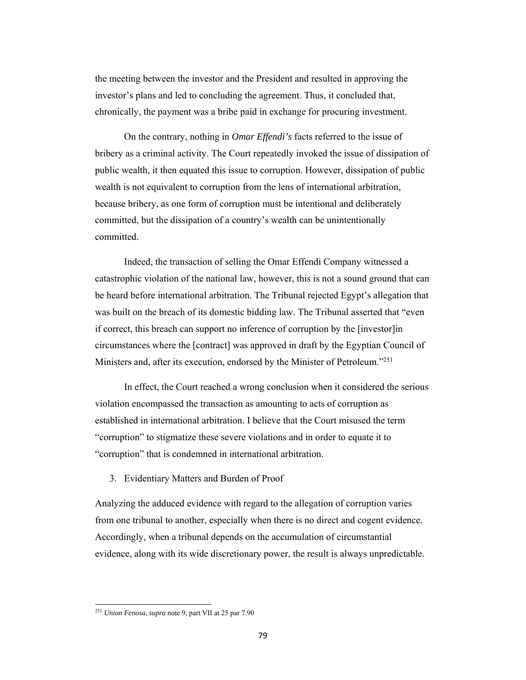the meeting between the investor and the President and resulted in approving the investor's plans and led to concluding the agreement. Thus, it concluded that, chronically, the payment was a bribe paid in exchange for procuring investment.

On the contrary, nothing in *Omar Effendi's* facts referred to the issue of bribery as a criminal activity. The Court repeatedly invoked the issue of dissipation of public wealth, it then equated this issue to corruption. However, dissipation of public wealth is not equivalent to corruption from the lens of international arbitration, because bribery, as one form of corruption must be intentional and deliberately committed, but the dissipation of a country's wealth can be unintentionally committed.

Indeed, the transaction of selling the Omar Effendi Company witnessed a catastrophic violation of the national law, however, this is not a sound ground that can be heard before international arbitration. The Tribunal rejected Egypt's allegation that was built on the breach of its domestic bidding law. The Tribunal asserted that "even if correct, this breach can support no inference of corruption by the [investor]in circumstances where the [contract] was approved in draft by the Egyptian Council of Ministers and, after its execution, endorsed by the Minister of Petroleum."251

In effect, the Court reached a wrong conclusion when it considered the serious violation encompassed the transaction as amounting to acts of corruption as established in international arbitration. I believe that the Court misused the term "corruption" to stigmatize these severe violations and in order to equate it to "corruption" that is condemned in international arbitration.

#### 3. Evidentiary Matters and Burden of Proof

Analyzing the adduced evidence with regard to the allegation of corruption varies from one tribunal to another, especially when there is no direct and cogent evidence. Accordingly, when a tribunal depends on the accumulation of circumstantial evidence, along with its wide discretionary power, the result is always unpredictable.

<sup>251</sup> *Union Fenosa*, *supra* note 9, part VII at 25 par 7.90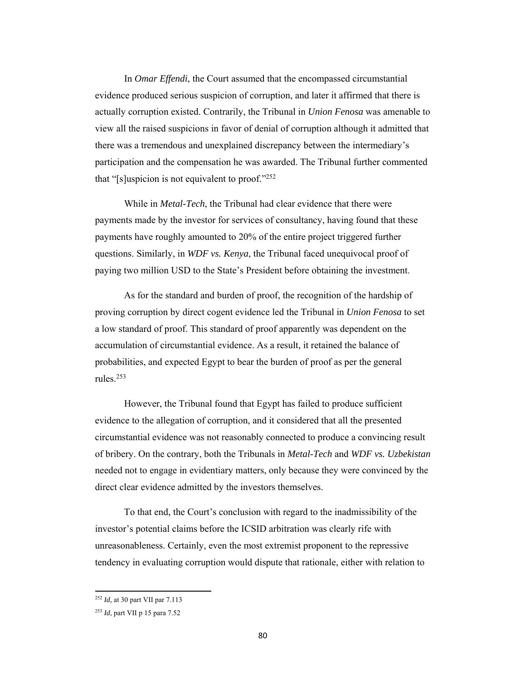In *Omar Effendi*, the Court assumed that the encompassed circumstantial evidence produced serious suspicion of corruption, and later it affirmed that there is actually corruption existed. Contrarily, the Tribunal in *Union Fenosa* was amenable to view all the raised suspicions in favor of denial of corruption although it admitted that there was a tremendous and unexplained discrepancy between the intermediary's participation and the compensation he was awarded. The Tribunal further commented that "[s]uspicion is not equivalent to proof."252

While in *Metal-Tech*, the Tribunal had clear evidence that there were payments made by the investor for services of consultancy, having found that these payments have roughly amounted to 20% of the entire project triggered further questions. Similarly, in *WDF vs. Kenya*, the Tribunal faced unequivocal proof of paying two million USD to the State's President before obtaining the investment.

As for the standard and burden of proof, the recognition of the hardship of proving corruption by direct cogent evidence led the Tribunal in *Union Fenosa* to set a low standard of proof. This standard of proof apparently was dependent on the accumulation of circumstantial evidence. As a result, it retained the balance of probabilities, and expected Egypt to bear the burden of proof as per the general rules.253

However, the Tribunal found that Egypt has failed to produce sufficient evidence to the allegation of corruption, and it considered that all the presented circumstantial evidence was not reasonably connected to produce a convincing result of bribery. On the contrary, both the Tribunals in *Metal-Tech* and *WDF vs. Uzbekistan* needed not to engage in evidentiary matters, only because they were convinced by the direct clear evidence admitted by the investors themselves.

To that end, the Court's conclusion with regard to the inadmissibility of the investor's potential claims before the ICSID arbitration was clearly rife with unreasonableness. Certainly, even the most extremist proponent to the repressive tendency in evaluating corruption would dispute that rationale, either with relation to

<sup>252</sup> *Id,* at 30 part VII par 7.113

<sup>253</sup> *Id*, part VII p 15 para 7.52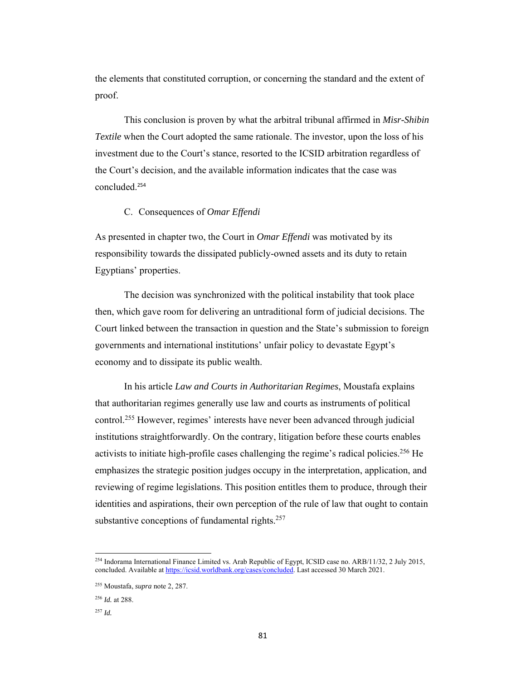the elements that constituted corruption, or concerning the standard and the extent of proof.

This conclusion is proven by what the arbitral tribunal affirmed in *Misr-Shibin Textile* when the Court adopted the same rationale. The investor, upon the loss of his investment due to the Court's stance, resorted to the ICSID arbitration regardless of the Court's decision, and the available information indicates that the case was concluded.<sup>254</sup>

# C. Consequences of *Omar Effendi*

As presented in chapter two, the Court in *Omar Effendi* was motivated by its responsibility towards the dissipated publicly-owned assets and its duty to retain Egyptians' properties.

The decision was synchronized with the political instability that took place then, which gave room for delivering an untraditional form of judicial decisions. The Court linked between the transaction in question and the State's submission to foreign governments and international institutions' unfair policy to devastate Egypt's economy and to dissipate its public wealth.

In his article *Law and Courts in Authoritarian Regimes*, Moustafa explains that authoritarian regimes generally use law and courts as instruments of political control.255 However, regimes' interests have never been advanced through judicial institutions straightforwardly. On the contrary, litigation before these courts enables activists to initiate high-profile cases challenging the regime's radical policies.<sup>256</sup> He emphasizes the strategic position judges occupy in the interpretation, application, and reviewing of regime legislations. This position entitles them to produce, through their identities and aspirations, their own perception of the rule of law that ought to contain substantive conceptions of fundamental rights.<sup>257</sup>

<sup>&</sup>lt;sup>254</sup> Indorama International Finance Limited vs. Arab Republic of Egypt, ICSID case no. ARB/11/32, 2 July 2015, concluded. Available at https://icsid.worldbank.org/cases/concluded. Last accessed 30 March 2021.

<sup>255</sup> Moustafa, *supra* note 2, 287.

<sup>256</sup> *Id.* at 288.

<sup>257</sup> *Id.*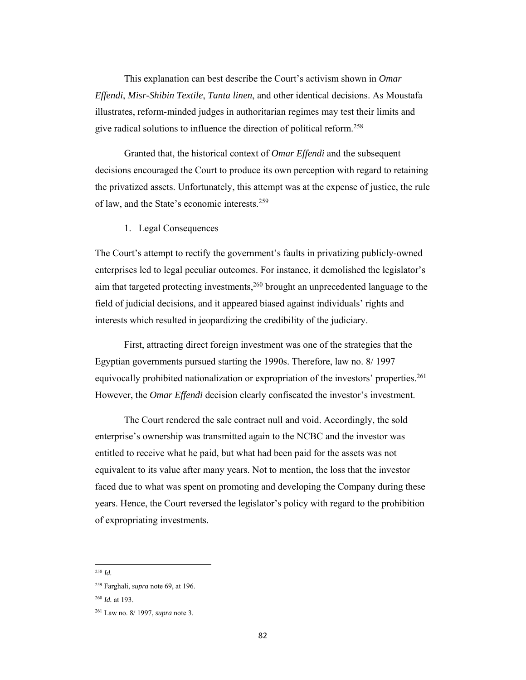This explanation can best describe the Court's activism shown in *Omar Effendi*, *Misr-Shibin Textile*, *Tanta linen*, and other identical decisions. As Moustafa illustrates, reform-minded judges in authoritarian regimes may test their limits and give radical solutions to influence the direction of political reform.258

Granted that, the historical context of *Omar Effendi* and the subsequent decisions encouraged the Court to produce its own perception with regard to retaining the privatized assets. Unfortunately, this attempt was at the expense of justice, the rule of law, and the State's economic interests.259

1. Legal Consequences

The Court's attempt to rectify the government's faults in privatizing publicly-owned enterprises led to legal peculiar outcomes. For instance, it demolished the legislator's aim that targeted protecting investments,<sup>260</sup> brought an unprecedented language to the field of judicial decisions, and it appeared biased against individuals' rights and interests which resulted in jeopardizing the credibility of the judiciary.

First, attracting direct foreign investment was one of the strategies that the Egyptian governments pursued starting the 1990s. Therefore, law no. 8/ 1997 equivocally prohibited nationalization or expropriation of the investors' properties.<sup>261</sup> However, the *Omar Effendi* decision clearly confiscated the investor's investment.

The Court rendered the sale contract null and void. Accordingly, the sold enterprise's ownership was transmitted again to the NCBC and the investor was entitled to receive what he paid, but what had been paid for the assets was not equivalent to its value after many years. Not to mention, the loss that the investor faced due to what was spent on promoting and developing the Company during these years. Hence, the Court reversed the legislator's policy with regard to the prohibition of expropriating investments.

<sup>258</sup> *Id.*

<sup>259</sup> Farghali, *supra* note 69, at 196.

<sup>260</sup> *Id.* at 193.

<sup>261</sup> Law no. 8/ 1997, *supra* note 3.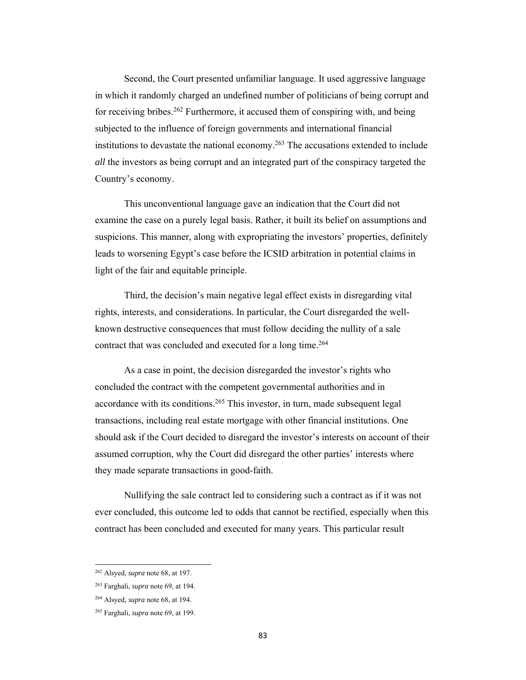Second, the Court presented unfamiliar language. It used aggressive language in which it randomly charged an undefined number of politicians of being corrupt and for receiving bribes.262 Furthermore, it accused them of conspiring with, and being subjected to the influence of foreign governments and international financial institutions to devastate the national economy.<sup>263</sup> The accusations extended to include *all* the investors as being corrupt and an integrated part of the conspiracy targeted the Country's economy.

This unconventional language gave an indication that the Court did not examine the case on a purely legal basis. Rather, it built its belief on assumptions and suspicions. This manner, along with expropriating the investors' properties, definitely leads to worsening Egypt's case before the ICSID arbitration in potential claims in light of the fair and equitable principle.

Third, the decision's main negative legal effect exists in disregarding vital rights, interests, and considerations. In particular, the Court disregarded the wellknown destructive consequences that must follow deciding the nullity of a sale contract that was concluded and executed for a long time.264

As a case in point, the decision disregarded the investor's rights who concluded the contract with the competent governmental authorities and in accordance with its conditions.<sup>265</sup> This investor, in turn, made subsequent legal transactions, including real estate mortgage with other financial institutions. One should ask if the Court decided to disregard the investor's interests on account of their assumed corruption, why the Court did disregard the other parties' interests where they made separate transactions in good-faith.

Nullifying the sale contract led to considering such a contract as if it was not ever concluded, this outcome led to odds that cannot be rectified, especially when this contract has been concluded and executed for many years. This particular result

<sup>262</sup> Alsyed, *supra* note 68, at 197.

<sup>263</sup> Farghali, *supra* note 69, at 194.

<sup>264</sup> Alsyed, *supra* note 68, at 194.

<sup>265</sup> Farghali, *supra* note 69, at 199.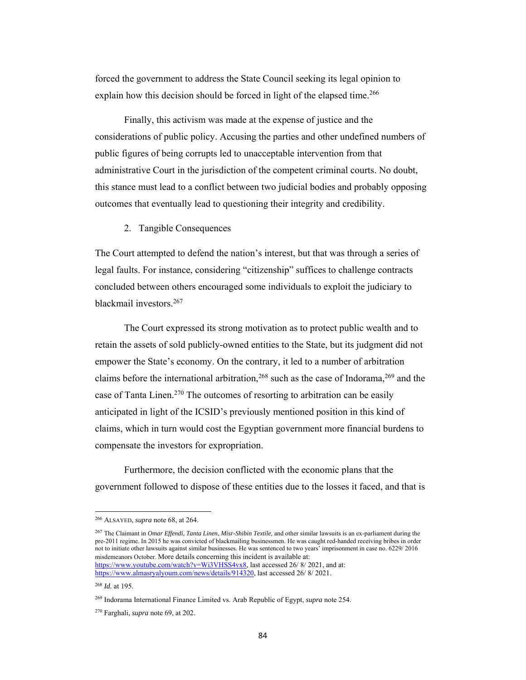forced the government to address the State Council seeking its legal opinion to explain how this decision should be forced in light of the elapsed time.<sup>266</sup>

Finally, this activism was made at the expense of justice and the considerations of public policy. Accusing the parties and other undefined numbers of public figures of being corrupts led to unacceptable intervention from that administrative Court in the jurisdiction of the competent criminal courts. No doubt, this stance must lead to a conflict between two judicial bodies and probably opposing outcomes that eventually lead to questioning their integrity and credibility.

### 2. Tangible Consequences

The Court attempted to defend the nation's interest, but that was through a series of legal faults. For instance, considering "citizenship" suffices to challenge contracts concluded between others encouraged some individuals to exploit the judiciary to blackmail investors.267

The Court expressed its strong motivation as to protect public wealth and to retain the assets of sold publicly-owned entities to the State, but its judgment did not empower the State's economy. On the contrary, it led to a number of arbitration claims before the international arbitration,<sup>268</sup> such as the case of Indorama,<sup>269</sup> and the case of Tanta Linen.<sup>270</sup> The outcomes of resorting to arbitration can be easily anticipated in light of the ICSID's previously mentioned position in this kind of claims, which in turn would cost the Egyptian government more financial burdens to compensate the investors for expropriation.

Furthermore, the decision conflicted with the economic plans that the government followed to dispose of these entities due to the losses it faced, and that is

 266 ALSAYED, *supra* note 68, at 264.

<sup>267</sup> The Claimant in *Omar Effendi*, *Tanta Linen*, *Misr-Shibin Textile,* and other similar lawsuits is an ex-parliament during the pre-2011 regime. In 2015 he was convicted of blackmailing businessmen. He was caught red-handed receiving bribes in order not to initiate other lawsuits against similar businesses. He was sentenced to two years' imprisonment in case no. 6229/ 2016 misdemeanors October. More details concerning this incident is available at: https://www.youtube.com/watch?v=Wi3VHSS4vx8, last accessed 26/8/2021, and at:

https://www.almasryalyoum.com/news/details/914320, last accessed 26/ 8/ 2021.

<sup>268</sup> *Id.* at 195.

<sup>269</sup> Indorama International Finance Limited vs. Arab Republic of Egypt, *supra* note 254.

<sup>270</sup> Farghali, *supra* note 69, at 202.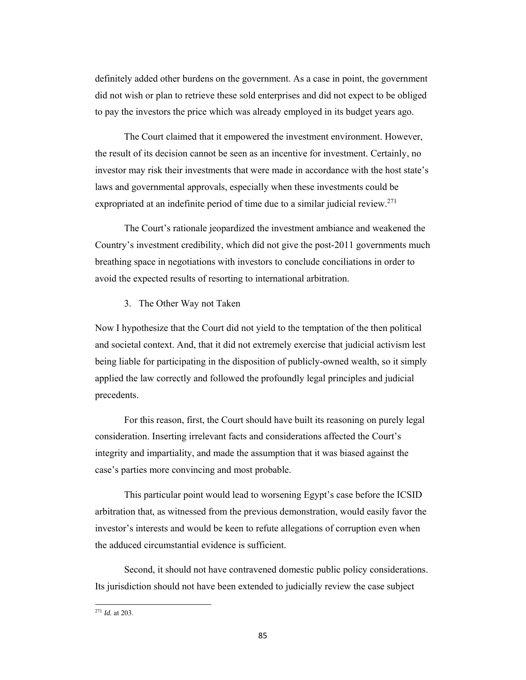definitely added other burdens on the government. As a case in point, the government did not wish or plan to retrieve these sold enterprises and did not expect to be obliged to pay the investors the price which was already employed in its budget years ago.

The Court claimed that it empowered the investment environment. However, the result of its decision cannot be seen as an incentive for investment. Certainly, no investor may risk their investments that were made in accordance with the host state's laws and governmental approvals, especially when these investments could be expropriated at an indefinite period of time due to a similar judicial review.<sup>271</sup>

The Court's rationale jeopardized the investment ambiance and weakened the Country's investment credibility, which did not give the post-2011 governments much breathing space in negotiations with investors to conclude conciliations in order to avoid the expected results of resorting to international arbitration.

3. The Other Way not Taken

Now I hypothesize that the Court did not yield to the temptation of the then political and societal context. And, that it did not extremely exercise that judicial activism lest being liable for participating in the disposition of publicly-owned wealth, so it simply applied the law correctly and followed the profoundly legal principles and judicial precedents.

 For this reason, first, the Court should have built its reasoning on purely legal consideration. Inserting irrelevant facts and considerations affected the Court's integrity and impartiality, and made the assumption that it was biased against the case's parties more convincing and most probable.

 This particular point would lead to worsening Egypt's case before the ICSID arbitration that, as witnessed from the previous demonstration, would easily favor the investor's interests and would be keen to refute allegations of corruption even when the adduced circumstantial evidence is sufficient.

 Second, it should not have contravened domestic public policy considerations. Its jurisdiction should not have been extended to judicially review the case subject

<sup>271</sup> *Id.* at 203.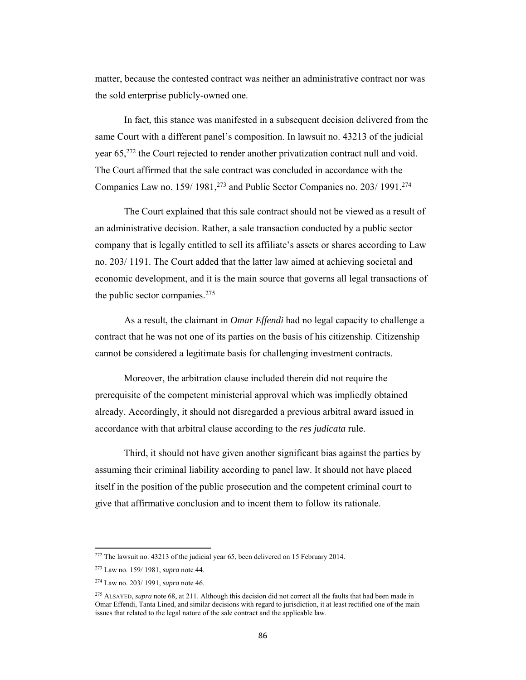matter, because the contested contract was neither an administrative contract nor was the sold enterprise publicly-owned one.

In fact, this stance was manifested in a subsequent decision delivered from the same Court with a different panel's composition. In lawsuit no. 43213 of the judicial year 65<sup>272</sup> the Court rejected to render another privatization contract null and void. The Court affirmed that the sale contract was concluded in accordance with the Companies Law no. 159/ 1981,<sup>273</sup> and Public Sector Companies no. 203/ 1991.<sup>274</sup>

The Court explained that this sale contract should not be viewed as a result of an administrative decision. Rather, a sale transaction conducted by a public sector company that is legally entitled to sell its affiliate's assets or shares according to Law no. 203/ 1191. The Court added that the latter law aimed at achieving societal and economic development, and it is the main source that governs all legal transactions of the public sector companies.275

As a result, the claimant in *Omar Effendi* had no legal capacity to challenge a contract that he was not one of its parties on the basis of his citizenship. Citizenship cannot be considered a legitimate basis for challenging investment contracts.

Moreover, the arbitration clause included therein did not require the prerequisite of the competent ministerial approval which was impliedly obtained already. Accordingly, it should not disregarded a previous arbitral award issued in accordance with that arbitral clause according to the *res judicata* rule.

Third, it should not have given another significant bias against the parties by assuming their criminal liability according to panel law. It should not have placed itself in the position of the public prosecution and the competent criminal court to give that affirmative conclusion and to incent them to follow its rationale.

<sup>&</sup>lt;sup>272</sup> The lawsuit no. 43213 of the judicial year 65, been delivered on 15 February 2014.

<sup>273</sup> Law no. 159/ 1981, *supra* note 44.

<sup>274</sup> Law no. 203/ 1991, *supra* note 46.

<sup>275</sup> ALSAYED, *supra* note 68, at 211. Although this decision did not correct all the faults that had been made in Omar Effendi, Tanta Lined, and similar decisions with regard to jurisdiction, it at least rectified one of the main issues that related to the legal nature of the sale contract and the applicable law.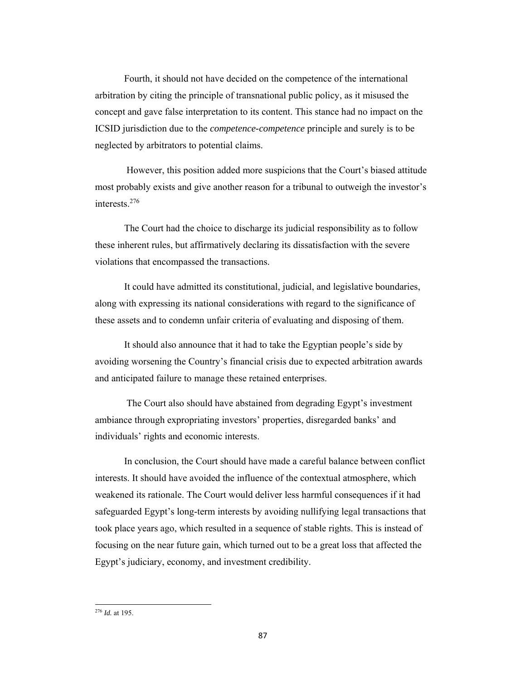Fourth, it should not have decided on the competence of the international arbitration by citing the principle of transnational public policy, as it misused the concept and gave false interpretation to its content. This stance had no impact on the ICSID jurisdiction due to the *competence-competence* principle and surely is to be neglected by arbitrators to potential claims.

 However, this position added more suspicions that the Court's biased attitude most probably exists and give another reason for a tribunal to outweigh the investor's interests.276

The Court had the choice to discharge its judicial responsibility as to follow these inherent rules, but affirmatively declaring its dissatisfaction with the severe violations that encompassed the transactions.

It could have admitted its constitutional, judicial, and legislative boundaries, along with expressing its national considerations with regard to the significance of these assets and to condemn unfair criteria of evaluating and disposing of them.

It should also announce that it had to take the Egyptian people's side by avoiding worsening the Country's financial crisis due to expected arbitration awards and anticipated failure to manage these retained enterprises.

 The Court also should have abstained from degrading Egypt's investment ambiance through expropriating investors' properties, disregarded banks' and individuals' rights and economic interests.

In conclusion, the Court should have made a careful balance between conflict interests. It should have avoided the influence of the contextual atmosphere, which weakened its rationale. The Court would deliver less harmful consequences if it had safeguarded Egypt's long-term interests by avoiding nullifying legal transactions that took place years ago, which resulted in a sequence of stable rights. This is instead of focusing on the near future gain, which turned out to be a great loss that affected the Egypt's judiciary, economy, and investment credibility.

<sup>276</sup> *Id.* at 195.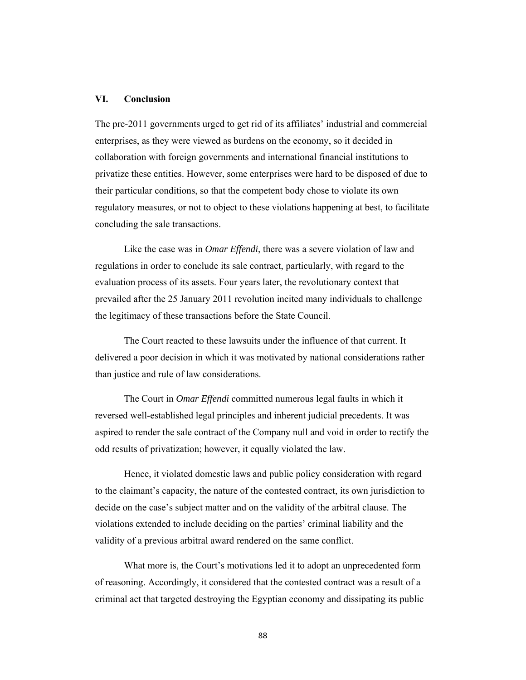# **VI. Conclusion**

The pre-2011 governments urged to get rid of its affiliates' industrial and commercial enterprises, as they were viewed as burdens on the economy, so it decided in collaboration with foreign governments and international financial institutions to privatize these entities. However, some enterprises were hard to be disposed of due to their particular conditions, so that the competent body chose to violate its own regulatory measures, or not to object to these violations happening at best, to facilitate concluding the sale transactions.

Like the case was in *Omar Effendi*, there was a severe violation of law and regulations in order to conclude its sale contract, particularly, with regard to the evaluation process of its assets. Four years later, the revolutionary context that prevailed after the 25 January 2011 revolution incited many individuals to challenge the legitimacy of these transactions before the State Council.

The Court reacted to these lawsuits under the influence of that current. It delivered a poor decision in which it was motivated by national considerations rather than justice and rule of law considerations.

The Court in *Omar Effendi* committed numerous legal faults in which it reversed well-established legal principles and inherent judicial precedents. It was aspired to render the sale contract of the Company null and void in order to rectify the odd results of privatization; however, it equally violated the law.

Hence, it violated domestic laws and public policy consideration with regard to the claimant's capacity, the nature of the contested contract, its own jurisdiction to decide on the case's subject matter and on the validity of the arbitral clause. The violations extended to include deciding on the parties' criminal liability and the validity of a previous arbitral award rendered on the same conflict.

What more is, the Court's motivations led it to adopt an unprecedented form of reasoning. Accordingly, it considered that the contested contract was a result of a criminal act that targeted destroying the Egyptian economy and dissipating its public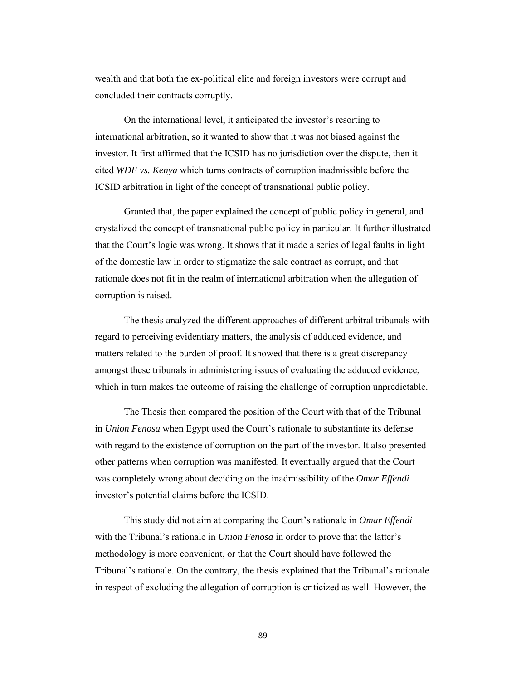wealth and that both the ex-political elite and foreign investors were corrupt and concluded their contracts corruptly.

On the international level, it anticipated the investor's resorting to international arbitration, so it wanted to show that it was not biased against the investor. It first affirmed that the ICSID has no jurisdiction over the dispute, then it cited *WDF vs. Kenya* which turns contracts of corruption inadmissible before the ICSID arbitration in light of the concept of transnational public policy.

Granted that, the paper explained the concept of public policy in general, and crystalized the concept of transnational public policy in particular. It further illustrated that the Court's logic was wrong. It shows that it made a series of legal faults in light of the domestic law in order to stigmatize the sale contract as corrupt, and that rationale does not fit in the realm of international arbitration when the allegation of corruption is raised.

The thesis analyzed the different approaches of different arbitral tribunals with regard to perceiving evidentiary matters, the analysis of adduced evidence, and matters related to the burden of proof. It showed that there is a great discrepancy amongst these tribunals in administering issues of evaluating the adduced evidence, which in turn makes the outcome of raising the challenge of corruption unpredictable.

The Thesis then compared the position of the Court with that of the Tribunal in *Union Fenosa* when Egypt used the Court's rationale to substantiate its defense with regard to the existence of corruption on the part of the investor. It also presented other patterns when corruption was manifested. It eventually argued that the Court was completely wrong about deciding on the inadmissibility of the *Omar Effendi* investor's potential claims before the ICSID.

This study did not aim at comparing the Court's rationale in *Omar Effendi* with the Tribunal's rationale in *Union Fenosa* in order to prove that the latter's methodology is more convenient, or that the Court should have followed the Tribunal's rationale. On the contrary, the thesis explained that the Tribunal's rationale in respect of excluding the allegation of corruption is criticized as well. However, the